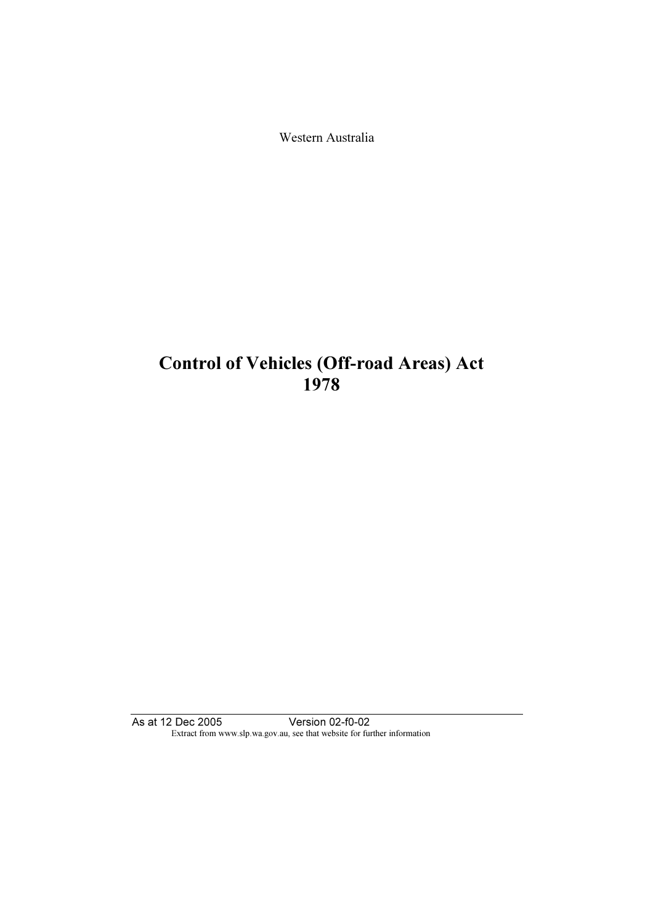Western Australia

# Control of Vehicles (Off-road Areas) Act 1978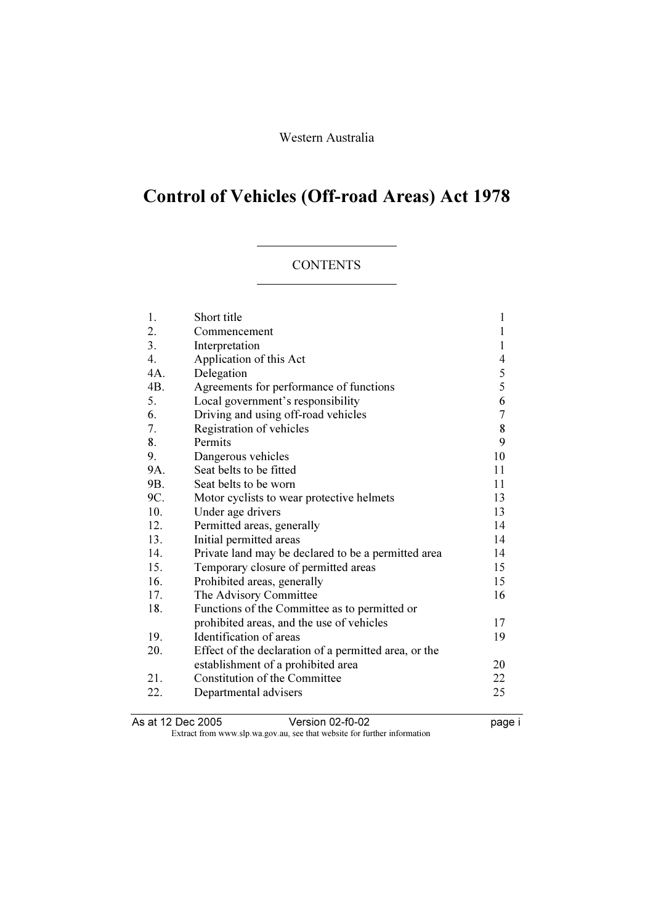# Control of Vehicles (Off-road Areas) Act 1978

#### **CONTENTS**

| 1.               | Short title                                           | 1              |
|------------------|-------------------------------------------------------|----------------|
| 2.               | Commencement                                          | 1              |
| 3.               | Interpretation                                        | 1              |
| $\overline{4}$ . | Application of this Act                               | $\overline{4}$ |
| 4A.              | Delegation                                            | $rac{5}{5}$    |
| 4B.              | Agreements for performance of functions               |                |
| 5.               | Local government's responsibility                     | 6              |
| 6.               | Driving and using off-road vehicles                   | $\overline{7}$ |
| 7.               | Registration of vehicles                              | 8              |
| 8.               | Permits                                               | 9              |
| 9.               | Dangerous vehicles                                    | 10             |
| 9A.              | Seat belts to be fitted                               | 11             |
| 9B.              | Seat belts to be worn                                 | 11             |
| 9C.              | Motor cyclists to wear protective helmets             | 13             |
| 10.              | Under age drivers                                     | 13             |
| 12.              | Permitted areas, generally                            | 14             |
| 13.              | Initial permitted areas                               | 14             |
| 14.              | Private land may be declared to be a permitted area   | 14             |
| 15.              | Temporary closure of permitted areas                  | 15             |
| 16.              | Prohibited areas, generally                           | 15             |
| 17.              | The Advisory Committee                                | 16             |
| 18.              | Functions of the Committee as to permitted or         |                |
|                  | prohibited areas, and the use of vehicles             | 17             |
| 19.              | Identification of areas                               | 19             |
| 20.              | Effect of the declaration of a permitted area, or the |                |
|                  | establishment of a prohibited area                    | 20             |
| 21.              | Constitution of the Committee                         | 22             |
| 22.              | Departmental advisers                                 | 25             |
|                  |                                                       |                |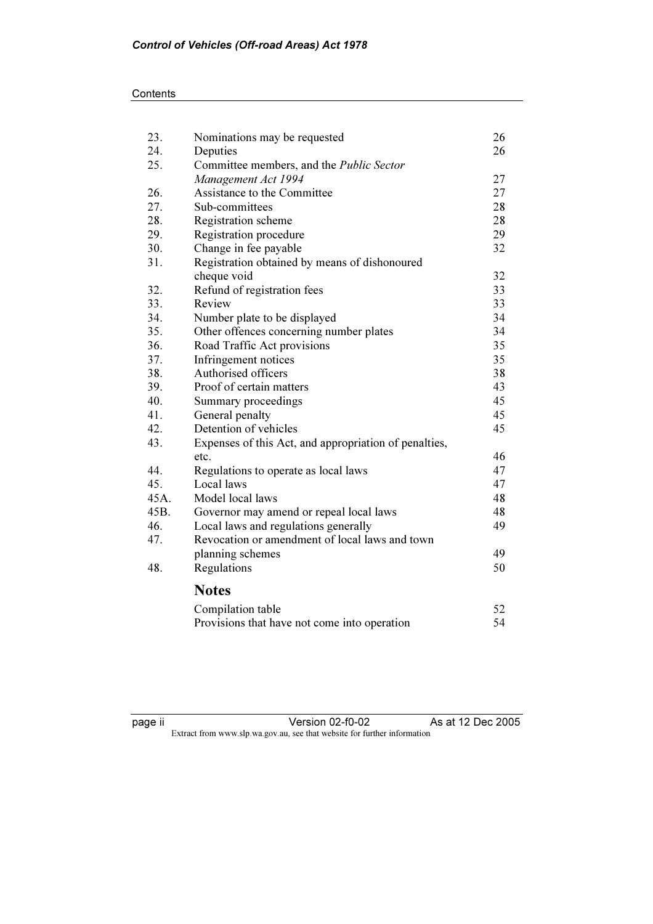## **Contents**

| 23.  | Nominations may be requested                          | 26 |
|------|-------------------------------------------------------|----|
| 24.  | Deputies                                              | 26 |
| 25.  | Committee members, and the <i>Public Sector</i>       |    |
|      | Management Act 1994                                   | 27 |
| 26.  | Assistance to the Committee                           | 27 |
| 27.  | Sub-committees                                        | 28 |
| 28.  | Registration scheme                                   | 28 |
| 29.  | Registration procedure                                | 29 |
| 30.  | Change in fee payable                                 | 32 |
| 31.  | Registration obtained by means of dishonoured         |    |
|      | cheque void                                           | 32 |
| 32.  | Refund of registration fees                           | 33 |
| 33.  | Review                                                | 33 |
| 34.  | Number plate to be displayed                          | 34 |
| 35.  | Other offences concerning number plates               | 34 |
| 36.  | Road Traffic Act provisions                           | 35 |
| 37.  | Infringement notices                                  | 35 |
| 38.  | Authorised officers                                   | 38 |
| 39.  | Proof of certain matters                              | 43 |
| 40.  | Summary proceedings                                   | 45 |
| 41.  | General penalty                                       | 45 |
| 42.  | Detention of vehicles                                 | 45 |
| 43.  | Expenses of this Act, and appropriation of penalties, |    |
|      | etc.                                                  | 46 |
| 44.  | Regulations to operate as local laws                  | 47 |
| 45.  | Local laws                                            | 47 |
| 45A. | Model local laws                                      | 48 |
| 45B. | Governor may amend or repeal local laws               | 48 |
| 46.  | Local laws and regulations generally                  | 49 |
| 47.  | Revocation or amendment of local laws and town        |    |
|      | planning schemes                                      | 49 |
| 48.  | Regulations                                           | 50 |
|      | <b>Notes</b>                                          |    |
|      | Compilation table                                     | 52 |
|      | Provisions that have not come into operation          | 54 |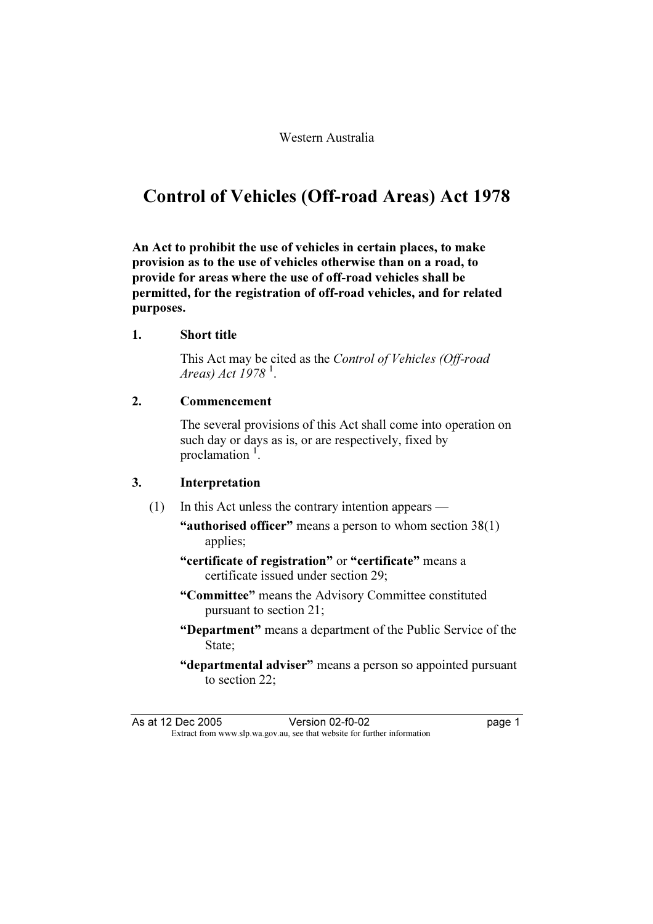# Control of Vehicles (Off-road Areas) Act 1978

An Act to prohibit the use of vehicles in certain places, to make provision as to the use of vehicles otherwise than on a road, to provide for areas where the use of off-road vehicles shall be permitted, for the registration of off-road vehicles, and for related purposes.

## 1. Short title

This Act may be cited as the Control of Vehicles (Off-road Areas) Act 1978<sup>-1</sup>.

#### 2. Commencement

 The several provisions of this Act shall come into operation on such day or days as is, or are respectively, fixed by proclamation <sup>1</sup>.

## 3. Interpretation

- (1) In this Act unless the contrary intention appears
	- "authorised officer" means a person to whom section  $38(1)$ applies;
	- "certificate of registration" or "certificate" means a certificate issued under section 29;
	- "Committee" means the Advisory Committee constituted pursuant to section 21;
	- "Department" means a department of the Public Service of the State;
	- "departmental adviser" means a person so appointed pursuant to section 22;

As at 12 Dec 2005 Version 02-f0-02 Persion 02-f0-02 Persion 02-f0-02 page 1<br>Extract from www.slp.wa.gov.au, see that website for further information Extract from www.slp.wa.gov.au, see that website for further information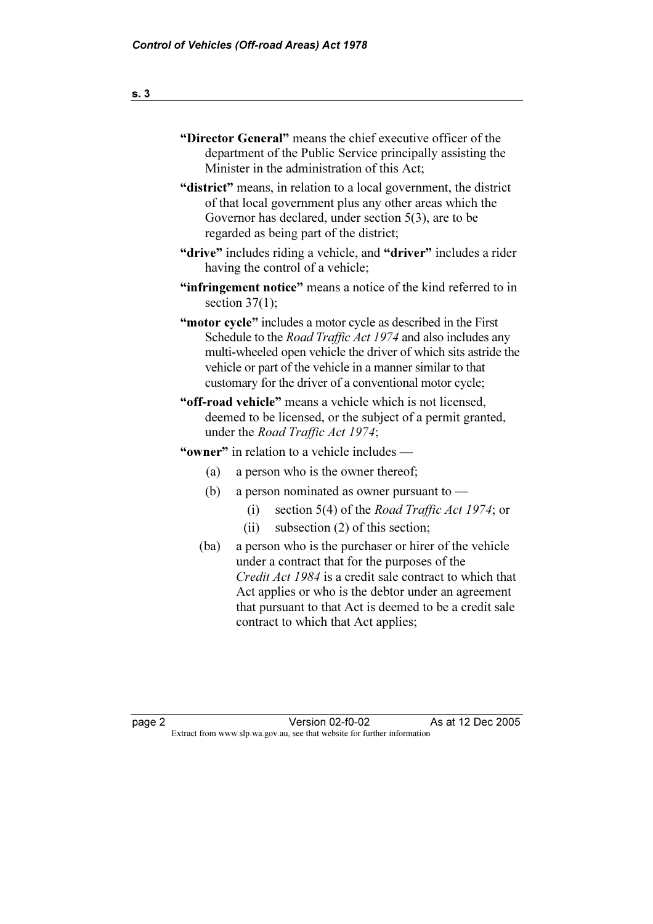| "Director General" means the chief executive officer of the       |  |  |
|-------------------------------------------------------------------|--|--|
| department of the Public Service principally assisting the        |  |  |
| Minister in the administration of this Act;                       |  |  |
| "district" means, in relation to a local government, the district |  |  |
|                                                                   |  |  |

of that local government plus any other areas which the Governor has declared, under section 5(3), are to be regarded as being part of the district;

- "drive" includes riding a vehicle, and "driver" includes a rider having the control of a vehicle;
- "infringement notice" means a notice of the kind referred to in section  $37(1)$ ;
- "motor cycle" includes a motor cycle as described in the First Schedule to the *Road Traffic Act 1974* and also includes any multi-wheeled open vehicle the driver of which sits astride the vehicle or part of the vehicle in a manner similar to that customary for the driver of a conventional motor cycle;
- "off-road vehicle" means a vehicle which is not licensed, deemed to be licensed, or the subject of a permit granted, under the Road Traffic Act 1974;

# "owner" in relation to a vehicle includes —

- (a) a person who is the owner thereof;
- (b) a person nominated as owner pursuant to  $-$ 
	- (i) section 5(4) of the Road Traffic Act 1974; or
	- (ii) subsection (2) of this section;
- (ba) a person who is the purchaser or hirer of the vehicle under a contract that for the purposes of the Credit Act 1984 is a credit sale contract to which that Act applies or who is the debtor under an agreement that pursuant to that Act is deemed to be a credit sale contract to which that Act applies;

As at 12 Dec 2005 page 2<br>Extract from www.slp.wa.gov.au, see that website for further information Version 02-f0-02 Extract from www.slp.wa.gov.au, see that website for further information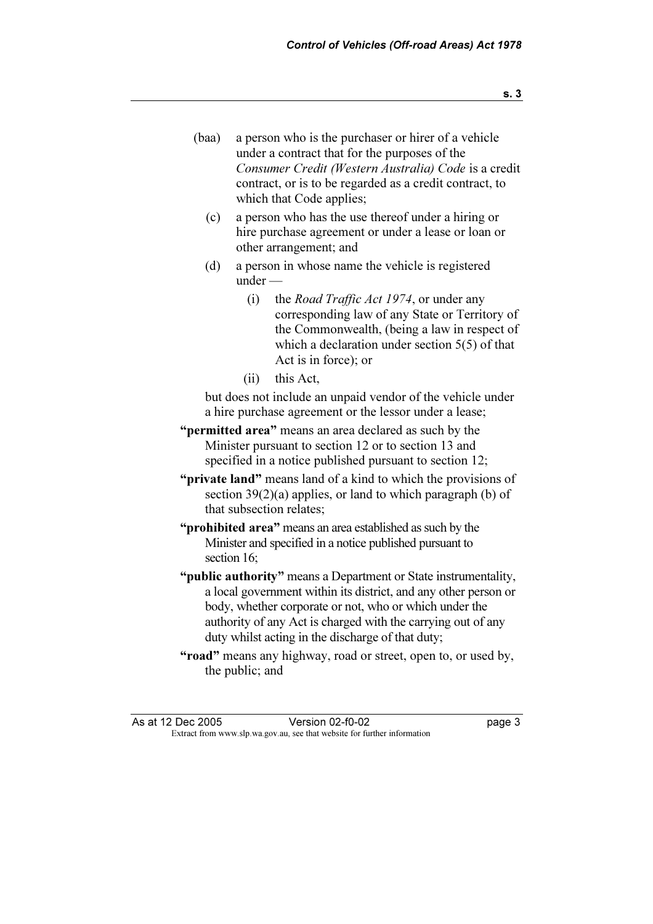- (baa) a person who is the purchaser or hirer of a vehicle under a contract that for the purposes of the Consumer Credit (Western Australia) Code is a credit contract, or is to be regarded as a credit contract, to which that Code applies;
	- (c) a person who has the use thereof under a hiring or hire purchase agreement or under a lease or loan or other arrangement; and
	- (d) a person in whose name the vehicle is registered under —
		- (i) the Road Traffic Act 1974, or under any corresponding law of any State or Territory of the Commonwealth, (being a law in respect of which a declaration under section 5(5) of that Act is in force); or
		- (ii) this Act,

 but does not include an unpaid vendor of the vehicle under a hire purchase agreement or the lessor under a lease;

- "permitted area" means an area declared as such by the Minister pursuant to section 12 or to section 13 and specified in a notice published pursuant to section 12;
- "**private land**" means land of a kind to which the provisions of section  $39(2)(a)$  applies, or land to which paragraph (b) of that subsection relates;
- "**prohibited area**" means an area established as such by the Minister and specified in a notice published pursuant to section 16;
- "**public authority**" means a Department or State instrumentality, a local government within its district, and any other person or body, whether corporate or not, who or which under the authority of any Act is charged with the carrying out of any duty whilst acting in the discharge of that duty;
- "road" means any highway, road or street, open to, or used by, the public; and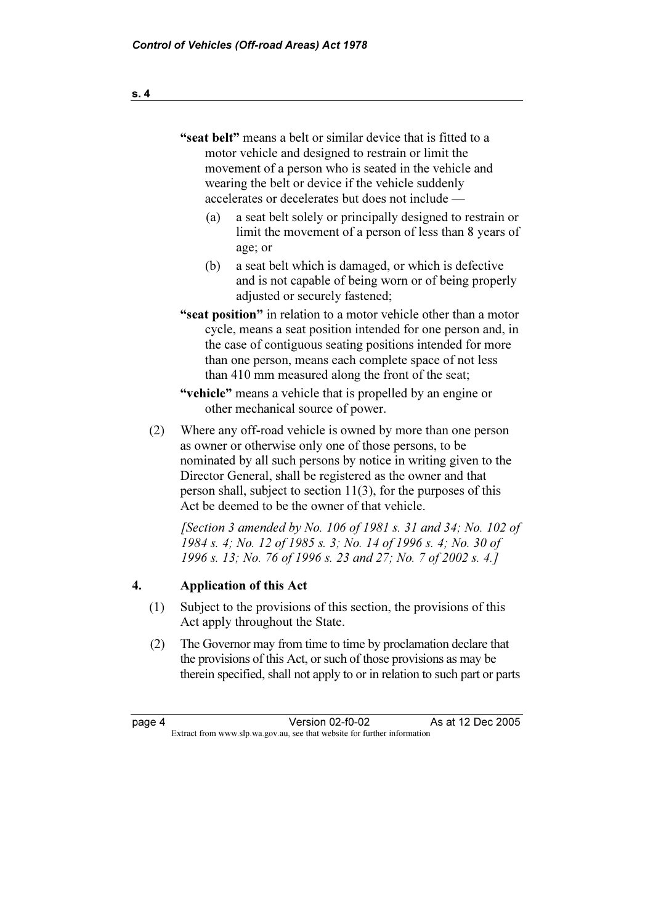"seat belt" means a belt or similar device that is fitted to a motor vehicle and designed to restrain or limit the movement of a person who is seated in the vehicle and wearing the belt or device if the vehicle suddenly accelerates or decelerates but does not include —

- (a) a seat belt solely or principally designed to restrain or limit the movement of a person of less than 8 years of age; or
- (b) a seat belt which is damaged, or which is defective and is not capable of being worn or of being properly adjusted or securely fastened;
- "seat position" in relation to a motor vehicle other than a motor cycle, means a seat position intended for one person and, in the case of contiguous seating positions intended for more than one person, means each complete space of not less than 410 mm measured along the front of the seat;

 "vehicle" means a vehicle that is propelled by an engine or other mechanical source of power.

 (2) Where any off-road vehicle is owned by more than one person as owner or otherwise only one of those persons, to be nominated by all such persons by notice in writing given to the Director General, shall be registered as the owner and that person shall, subject to section 11(3), for the purposes of this Act be deemed to be the owner of that vehicle.

[Section 3 amended by No. 106 of 1981 s. 31 and 34; No. 102 of 1984 s. 4; No. 12 of 1985 s. 3; No. 14 of 1996 s. 4; No. 30 of 1996 s. 13; No. 76 of 1996 s. 23 and 27; No. 7 of 2002 s. 4.]

# 4. Application of this Act

- (1) Subject to the provisions of this section, the provisions of this Act apply throughout the State.
- (2) The Governor may from time to time by proclamation declare that the provisions of this Act, or such of those provisions as may be therein specified, shall not apply to or in relation to such part or parts

As at 12 Dec 2005 Version 02-f0-02 page 4 Version 02-f0-02<br>Extract from www.slp.wa.gov.au, see that website for further information Extract from www.slp.wa.gov.au, see that website for further information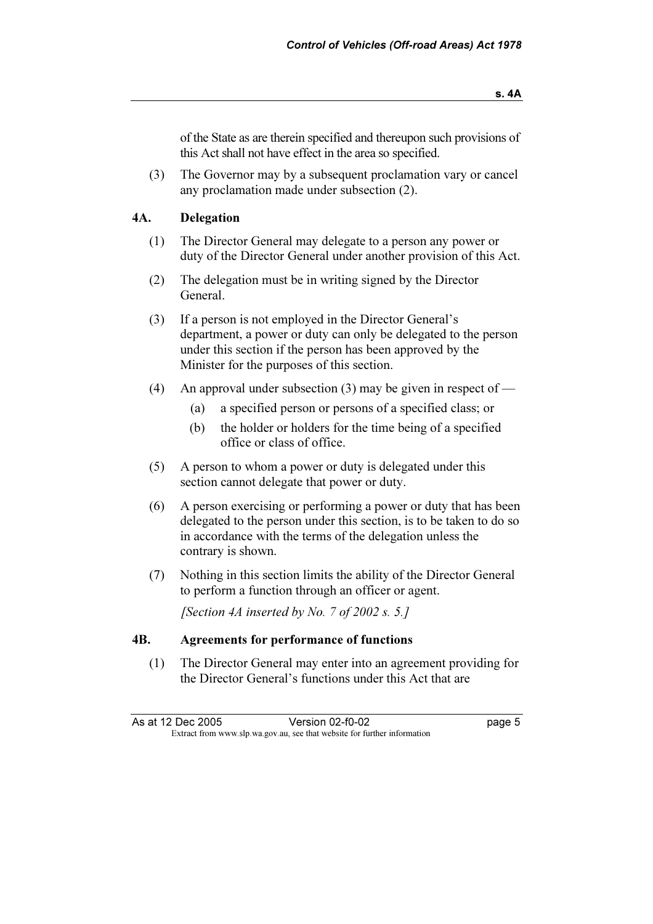(3) The Governor may by a subsequent proclamation vary or cancel any proclamation made under subsection (2).

# 4A. Delegation

- (1) The Director General may delegate to a person any power or duty of the Director General under another provision of this Act.
- (2) The delegation must be in writing signed by the Director General.
- (3) If a person is not employed in the Director General's department, a power or duty can only be delegated to the person under this section if the person has been approved by the Minister for the purposes of this section.
- (4) An approval under subsection (3) may be given in respect of  $-$ 
	- (a) a specified person or persons of a specified class; or
	- (b) the holder or holders for the time being of a specified office or class of office.
- (5) A person to whom a power or duty is delegated under this section cannot delegate that power or duty.
- (6) A person exercising or performing a power or duty that has been delegated to the person under this section, is to be taken to do so in accordance with the terms of the delegation unless the contrary is shown.
- (7) Nothing in this section limits the ability of the Director General to perform a function through an officer or agent.

[Section 4A inserted by No. 7 of 2002 s. 5.]

# 4B. Agreements for performance of functions

 (1) The Director General may enter into an agreement providing for the Director General's functions under this Act that are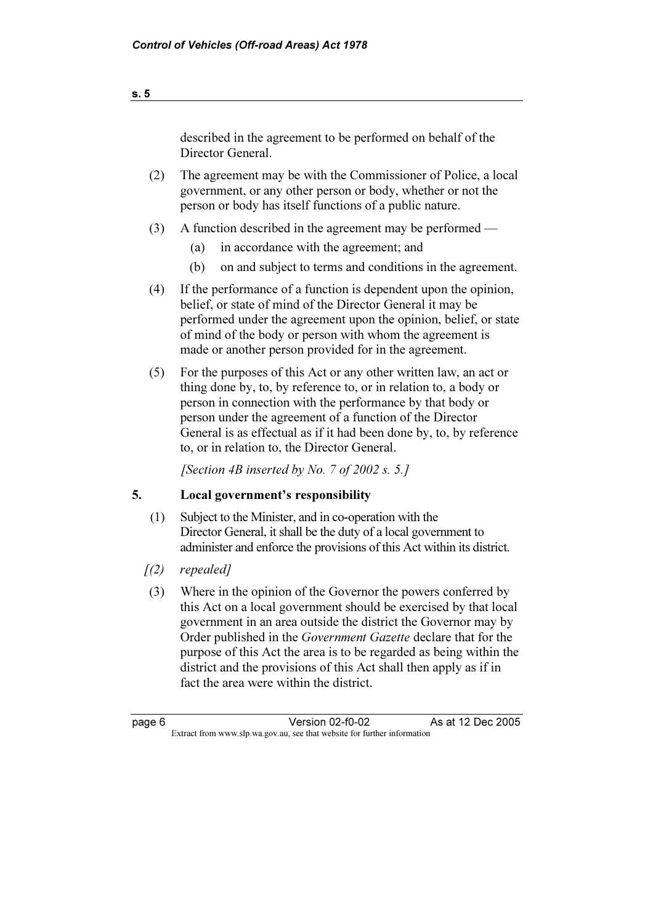described in the agreement to be performed on behalf of the Director General.

- (2) The agreement may be with the Commissioner of Police, a local government, or any other person or body, whether or not the person or body has itself functions of a public nature.
- (3) A function described in the agreement may be performed
	- (a) in accordance with the agreement; and
	- (b) on and subject to terms and conditions in the agreement.
- (4) If the performance of a function is dependent upon the opinion, belief, or state of mind of the Director General it may be performed under the agreement upon the opinion, belief, or state of mind of the body or person with whom the agreement is made or another person provided for in the agreement.
- (5) For the purposes of this Act or any other written law, an act or thing done by, to, by reference to, or in relation to, a body or person in connection with the performance by that body or person under the agreement of a function of the Director General is as effectual as if it had been done by, to, by reference to, or in relation to, the Director General.

[Section 4B inserted by No. 7 of 2002 s. 5.]

## 5. Local government's responsibility

- (1) Subject to the Minister, and in co-operation with the Director General, it shall be the duty of a local government to administer and enforce the provisions of this Act within its district.
- $(2)$  repealed]
- (3) Where in the opinion of the Governor the powers conferred by this Act on a local government should be exercised by that local government in an area outside the district the Governor may by Order published in the Government Gazette declare that for the purpose of this Act the area is to be regarded as being within the district and the provisions of this Act shall then apply as if in fact the area were within the district.

As at 12 Dec 2005 Version 02-f0-02 page 6 Version 02-f0-02<br>Extract from www.slp.wa.gov.au, see that website for further information Extract from www.slp.wa.gov.au, see that website for further information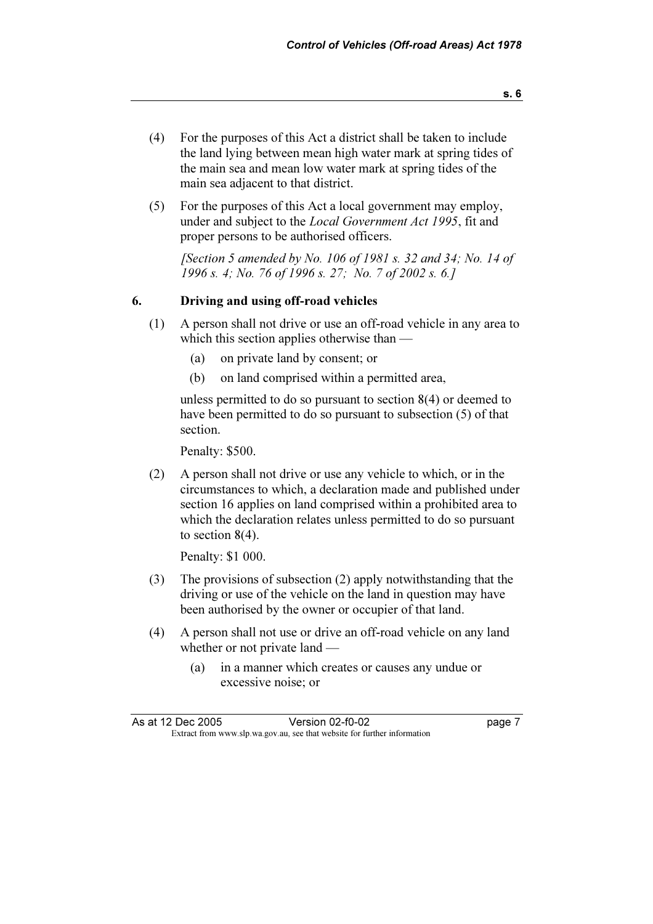- (4) For the purposes of this Act a district shall be taken to include the land lying between mean high water mark at spring tides of the main sea and mean low water mark at spring tides of the main sea adjacent to that district.
- (5) For the purposes of this Act a local government may employ, under and subject to the Local Government Act 1995, fit and proper persons to be authorised officers.

[Section 5 amended by No. 106 of 1981 s. 32 and 34; No. 14 of 1996 s. 4; No. 76 of 1996 s. 27; No. 7 of 2002 s. 6.]

## 6. Driving and using off-road vehicles

- (1) A person shall not drive or use an off-road vehicle in any area to which this section applies otherwise than —
	- (a) on private land by consent; or
	- (b) on land comprised within a permitted area,

 unless permitted to do so pursuant to section 8(4) or deemed to have been permitted to do so pursuant to subsection (5) of that section.

Penalty: \$500.

 (2) A person shall not drive or use any vehicle to which, or in the circumstances to which, a declaration made and published under section 16 applies on land comprised within a prohibited area to which the declaration relates unless permitted to do so pursuant to section 8(4).

Penalty: \$1 000.

- (3) The provisions of subsection (2) apply notwithstanding that the driving or use of the vehicle on the land in question may have been authorised by the owner or occupier of that land.
- (4) A person shall not use or drive an off-road vehicle on any land whether or not private land —
	- (a) in a manner which creates or causes any undue or excessive noise; or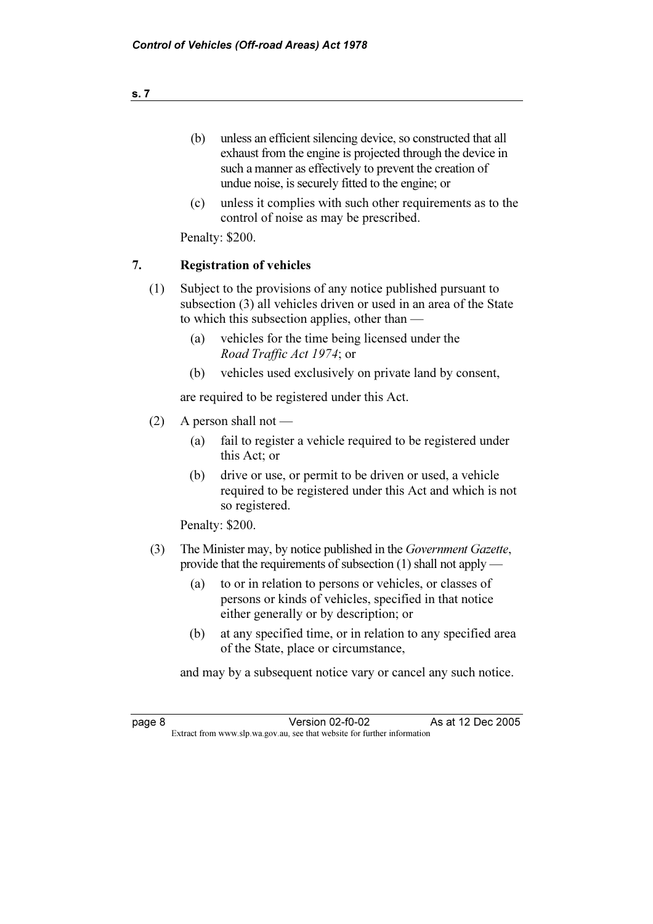- (b) unless an efficient silencing device, so constructed that all exhaust from the engine is projected through the device in such a manner as effectively to prevent the creation of undue noise, is securely fitted to the engine; or
- (c) unless it complies with such other requirements as to the control of noise as may be prescribed.

Penalty: \$200.

# 7. Registration of vehicles

- (1) Subject to the provisions of any notice published pursuant to subsection (3) all vehicles driven or used in an area of the State to which this subsection applies, other than —
	- (a) vehicles for the time being licensed under the Road Traffic Act 1974; or
	- (b) vehicles used exclusively on private land by consent,

are required to be registered under this Act.

- (2) A person shall not
	- (a) fail to register a vehicle required to be registered under this Act; or
	- (b) drive or use, or permit to be driven or used, a vehicle required to be registered under this Act and which is not so registered.

Penalty: \$200.

- (3) The Minister may, by notice published in the Government Gazette, provide that the requirements of subsection (1) shall not apply —
	- (a) to or in relation to persons or vehicles, or classes of persons or kinds of vehicles, specified in that notice either generally or by description; or
	- (b) at any specified time, or in relation to any specified area of the State, place or circumstance,

and may by a subsequent notice vary or cancel any such notice.

As at 12 Dec 2005 page 8 Version 02-f0-02<br>Extract from www.slp.wa.gov.au, see that website for further information Version 02-f0-02 Extract from www.slp.wa.gov.au, see that website for further information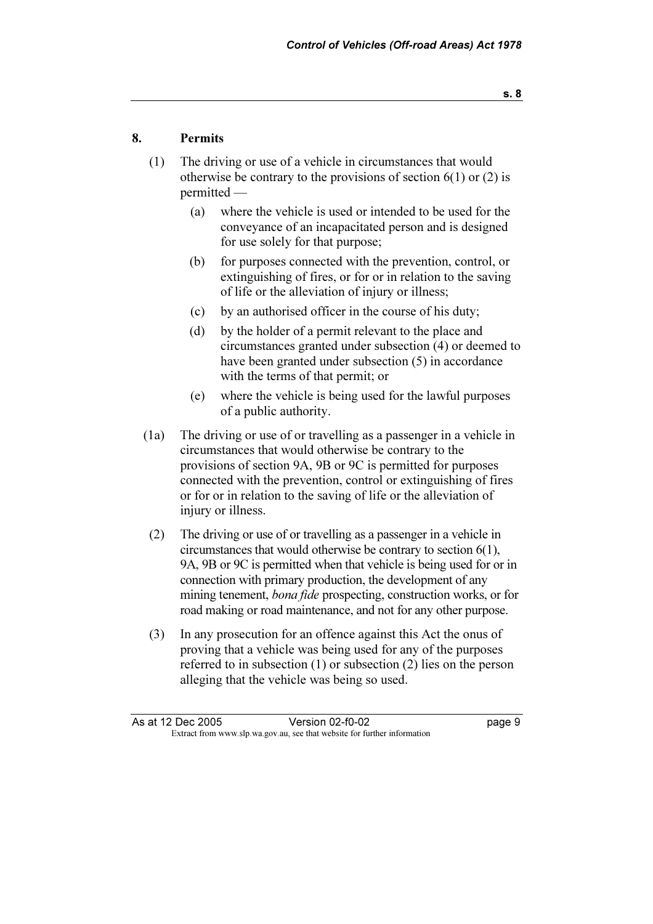# 8. Permits

- (1) The driving or use of a vehicle in circumstances that would otherwise be contrary to the provisions of section  $6(1)$  or  $(2)$  is permitted —
	- (a) where the vehicle is used or intended to be used for the conveyance of an incapacitated person and is designed for use solely for that purpose;
	- (b) for purposes connected with the prevention, control, or extinguishing of fires, or for or in relation to the saving of life or the alleviation of injury or illness;
	- (c) by an authorised officer in the course of his duty;
	- (d) by the holder of a permit relevant to the place and circumstances granted under subsection (4) or deemed to have been granted under subsection (5) in accordance with the terms of that permit; or
	- (e) where the vehicle is being used for the lawful purposes of a public authority.
- (1a) The driving or use of or travelling as a passenger in a vehicle in circumstances that would otherwise be contrary to the provisions of section 9A, 9B or 9C is permitted for purposes connected with the prevention, control or extinguishing of fires or for or in relation to the saving of life or the alleviation of injury or illness.
- (2) The driving or use of or travelling as a passenger in a vehicle in circumstances that would otherwise be contrary to section 6(1), 9A, 9B or 9C is permitted when that vehicle is being used for or in connection with primary production, the development of any mining tenement, bona fide prospecting, construction works, or for road making or road maintenance, and not for any other purpose.
- (3) In any prosecution for an offence against this Act the onus of proving that a vehicle was being used for any of the purposes referred to in subsection (1) or subsection (2) lies on the person alleging that the vehicle was being so used.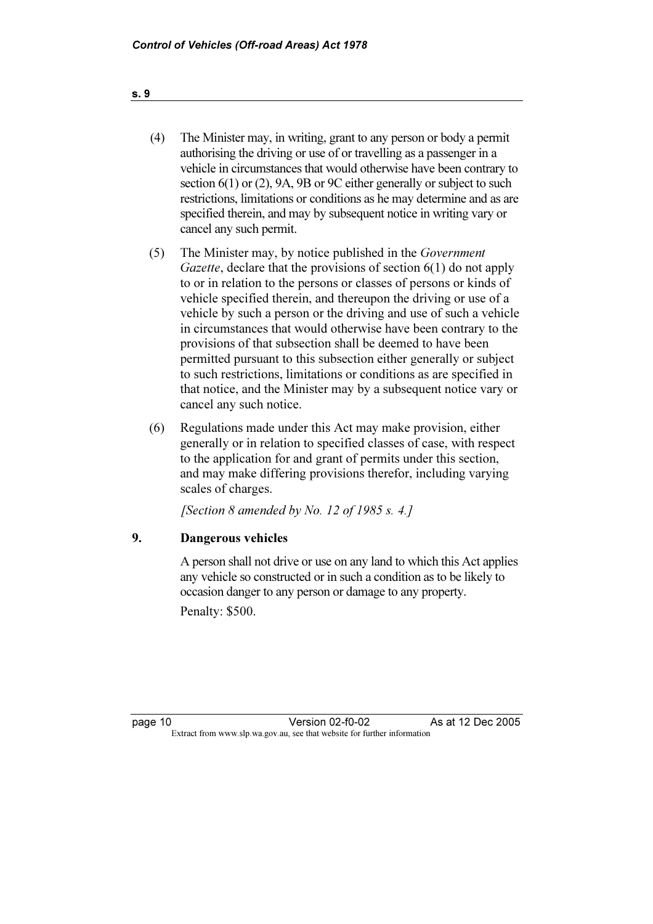- (4) The Minister may, in writing, grant to any person or body a permit authorising the driving or use of or travelling as a passenger in a vehicle in circumstances that would otherwise have been contrary to section 6(1) or (2), 9A, 9B or 9C either generally or subject to such restrictions, limitations or conditions as he may determine and as are specified therein, and may by subsequent notice in writing vary or cancel any such permit.
- (5) The Minister may, by notice published in the Government Gazette, declare that the provisions of section 6(1) do not apply to or in relation to the persons or classes of persons or kinds of vehicle specified therein, and thereupon the driving or use of a vehicle by such a person or the driving and use of such a vehicle in circumstances that would otherwise have been contrary to the provisions of that subsection shall be deemed to have been permitted pursuant to this subsection either generally or subject to such restrictions, limitations or conditions as are specified in that notice, and the Minister may by a subsequent notice vary or cancel any such notice.
- (6) Regulations made under this Act may make provision, either generally or in relation to specified classes of case, with respect to the application for and grant of permits under this section, and may make differing provisions therefor, including varying scales of charges.

[Section 8 amended by No. 12 of 1985 s. 4.]

# 9. Dangerous vehicles

 A person shall not drive or use on any land to which this Act applies any vehicle so constructed or in such a condition as to be likely to occasion danger to any person or damage to any property.

Penalty: \$500.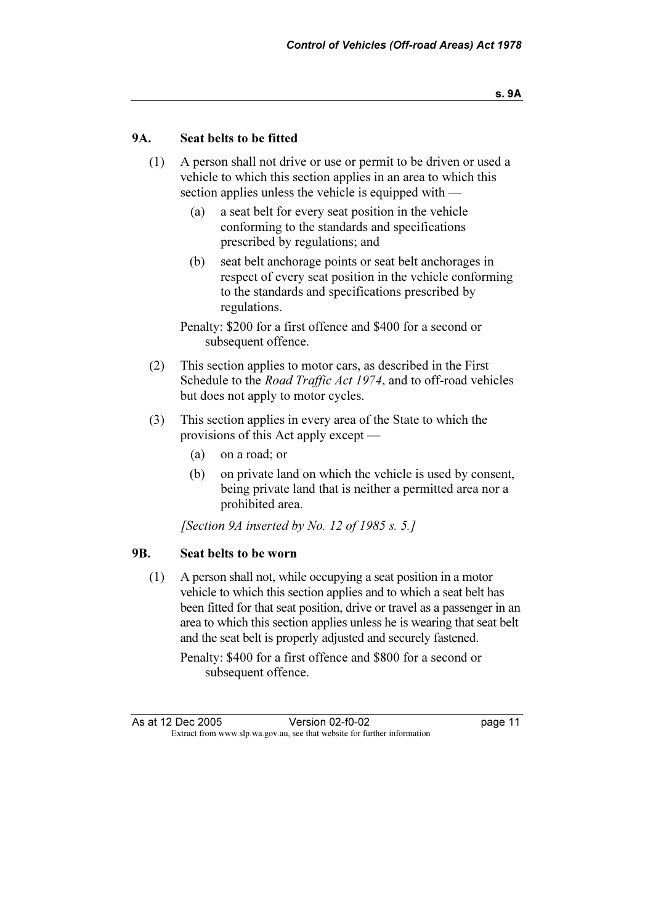## 9A. Seat belts to be fitted

- (1) A person shall not drive or use or permit to be driven or used a vehicle to which this section applies in an area to which this section applies unless the vehicle is equipped with —
	- (a) a seat belt for every seat position in the vehicle conforming to the standards and specifications prescribed by regulations; and
	- (b) seat belt anchorage points or seat belt anchorages in respect of every seat position in the vehicle conforming to the standards and specifications prescribed by regulations.

 Penalty: \$200 for a first offence and \$400 for a second or subsequent offence.

- (2) This section applies to motor cars, as described in the First Schedule to the *Road Traffic Act 1974*, and to off-road vehicles but does not apply to motor cycles.
- (3) This section applies in every area of the State to which the provisions of this Act apply except —
	- (a) on a road; or
	- (b) on private land on which the vehicle is used by consent, being private land that is neither a permitted area nor a prohibited area.

[Section 9A inserted by No. 12 of 1985 s. 5.]

#### 9B. Seat belts to be worn

 (1) A person shall not, while occupying a seat position in a motor vehicle to which this section applies and to which a seat belt has been fitted for that seat position, drive or travel as a passenger in an area to which this section applies unless he is wearing that seat belt and the seat belt is properly adjusted and securely fastened.

 Penalty: \$400 for a first offence and \$800 for a second or subsequent offence.

As at 12 Dec 2005 Persion 02-f0-02 page 11<br>Extract from www.slp.wa.gov.au, see that website for further information Version 02-f0-02 Extract from www.slp.wa.gov.au, see that website for further information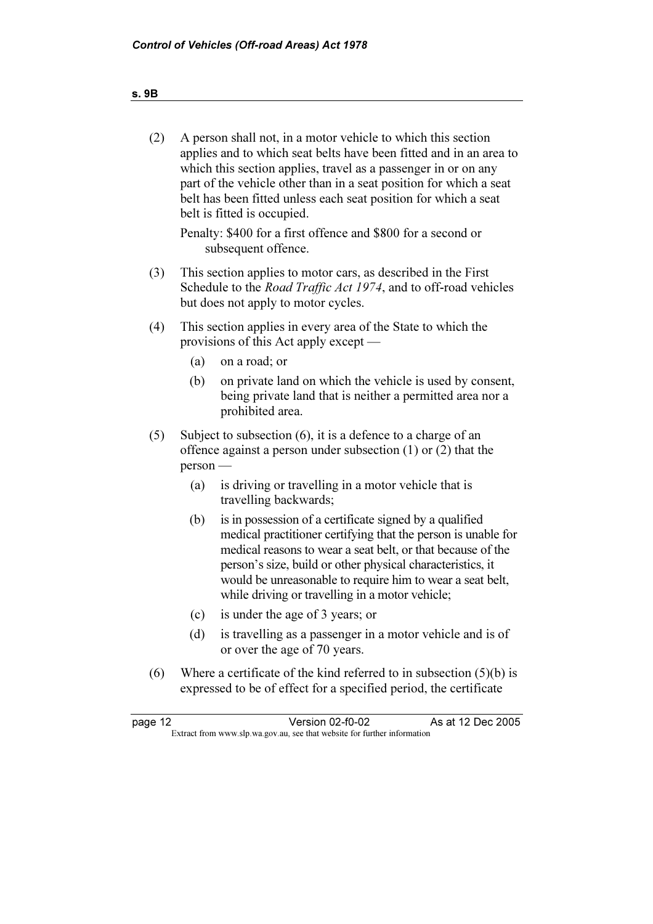| (2)<br>A person shall not, in a motor vehicle to which this section<br>applies and to which seat belts have been fitted and in an area to<br>which this section applies, travel as a passenger in or on any<br>part of the vehicle other than in a seat position for which a seat<br>belt has been fitted unless each seat position for which a seat<br>belt is fitted is occupied.<br>Penalty: \$400 for a first offence and \$800 for a second or<br>subsequent offence.<br>(3)<br>This section applies to motor cars, as described in the First<br>Schedule to the <i>Road Traffic Act 1974</i> , and to off-road vehicles<br>but does not apply to motor cycles.<br>This section applies in every area of the State to which the<br>(4)<br>provisions of this Act apply except<br>(a)<br>on a road; or<br>on private land on which the vehicle is used by consent,<br>(b)<br>being private land that is neither a permitted area nor a<br>prohibited area.<br>Subject to subsection $(6)$ , it is a defence to a charge of an<br>(5)<br>offence against a person under subsection $(1)$ or $(2)$ that the<br>person<br>is driving or travelling in a motor vehicle that is<br>(a)<br>travelling backwards;<br>is in possession of a certificate signed by a qualified<br>(b)<br>medical practitioner certifying that the person is unable for<br>medical reasons to wear a seat belt, or that because of the<br>person's size, build or other physical characteristics, it<br>would be unreasonable to require him to wear a seat belt,<br>while driving or travelling in a motor vehicle;<br>is under the age of 3 years; or<br>(c)<br>(d)<br>is travelling as a passenger in a motor vehicle and is of<br>or over the age of 70 years.<br>(6)<br>Where a certificate of the kind referred to in subsection $(5)(b)$ is<br>expressed to be of effect for a specified period, the certificate<br>Version 02-f0-02<br>As at 12 Dec 2005<br>page 12<br>Extract from www.slp.wa.gov.au, see that website for further information |  |  |
|-----------------------------------------------------------------------------------------------------------------------------------------------------------------------------------------------------------------------------------------------------------------------------------------------------------------------------------------------------------------------------------------------------------------------------------------------------------------------------------------------------------------------------------------------------------------------------------------------------------------------------------------------------------------------------------------------------------------------------------------------------------------------------------------------------------------------------------------------------------------------------------------------------------------------------------------------------------------------------------------------------------------------------------------------------------------------------------------------------------------------------------------------------------------------------------------------------------------------------------------------------------------------------------------------------------------------------------------------------------------------------------------------------------------------------------------------------------------------------------------------------------------------------------------------------------------------------------------------------------------------------------------------------------------------------------------------------------------------------------------------------------------------------------------------------------------------------------------------------------------------------------------------------------------------------------------------------------------------------------------------------------------------------------|--|--|
|                                                                                                                                                                                                                                                                                                                                                                                                                                                                                                                                                                                                                                                                                                                                                                                                                                                                                                                                                                                                                                                                                                                                                                                                                                                                                                                                                                                                                                                                                                                                                                                                                                                                                                                                                                                                                                                                                                                                                                                                                                   |  |  |
|                                                                                                                                                                                                                                                                                                                                                                                                                                                                                                                                                                                                                                                                                                                                                                                                                                                                                                                                                                                                                                                                                                                                                                                                                                                                                                                                                                                                                                                                                                                                                                                                                                                                                                                                                                                                                                                                                                                                                                                                                                   |  |  |
|                                                                                                                                                                                                                                                                                                                                                                                                                                                                                                                                                                                                                                                                                                                                                                                                                                                                                                                                                                                                                                                                                                                                                                                                                                                                                                                                                                                                                                                                                                                                                                                                                                                                                                                                                                                                                                                                                                                                                                                                                                   |  |  |
|                                                                                                                                                                                                                                                                                                                                                                                                                                                                                                                                                                                                                                                                                                                                                                                                                                                                                                                                                                                                                                                                                                                                                                                                                                                                                                                                                                                                                                                                                                                                                                                                                                                                                                                                                                                                                                                                                                                                                                                                                                   |  |  |
|                                                                                                                                                                                                                                                                                                                                                                                                                                                                                                                                                                                                                                                                                                                                                                                                                                                                                                                                                                                                                                                                                                                                                                                                                                                                                                                                                                                                                                                                                                                                                                                                                                                                                                                                                                                                                                                                                                                                                                                                                                   |  |  |
|                                                                                                                                                                                                                                                                                                                                                                                                                                                                                                                                                                                                                                                                                                                                                                                                                                                                                                                                                                                                                                                                                                                                                                                                                                                                                                                                                                                                                                                                                                                                                                                                                                                                                                                                                                                                                                                                                                                                                                                                                                   |  |  |
|                                                                                                                                                                                                                                                                                                                                                                                                                                                                                                                                                                                                                                                                                                                                                                                                                                                                                                                                                                                                                                                                                                                                                                                                                                                                                                                                                                                                                                                                                                                                                                                                                                                                                                                                                                                                                                                                                                                                                                                                                                   |  |  |
|                                                                                                                                                                                                                                                                                                                                                                                                                                                                                                                                                                                                                                                                                                                                                                                                                                                                                                                                                                                                                                                                                                                                                                                                                                                                                                                                                                                                                                                                                                                                                                                                                                                                                                                                                                                                                                                                                                                                                                                                                                   |  |  |
|                                                                                                                                                                                                                                                                                                                                                                                                                                                                                                                                                                                                                                                                                                                                                                                                                                                                                                                                                                                                                                                                                                                                                                                                                                                                                                                                                                                                                                                                                                                                                                                                                                                                                                                                                                                                                                                                                                                                                                                                                                   |  |  |
|                                                                                                                                                                                                                                                                                                                                                                                                                                                                                                                                                                                                                                                                                                                                                                                                                                                                                                                                                                                                                                                                                                                                                                                                                                                                                                                                                                                                                                                                                                                                                                                                                                                                                                                                                                                                                                                                                                                                                                                                                                   |  |  |
|                                                                                                                                                                                                                                                                                                                                                                                                                                                                                                                                                                                                                                                                                                                                                                                                                                                                                                                                                                                                                                                                                                                                                                                                                                                                                                                                                                                                                                                                                                                                                                                                                                                                                                                                                                                                                                                                                                                                                                                                                                   |  |  |
|                                                                                                                                                                                                                                                                                                                                                                                                                                                                                                                                                                                                                                                                                                                                                                                                                                                                                                                                                                                                                                                                                                                                                                                                                                                                                                                                                                                                                                                                                                                                                                                                                                                                                                                                                                                                                                                                                                                                                                                                                                   |  |  |
|                                                                                                                                                                                                                                                                                                                                                                                                                                                                                                                                                                                                                                                                                                                                                                                                                                                                                                                                                                                                                                                                                                                                                                                                                                                                                                                                                                                                                                                                                                                                                                                                                                                                                                                                                                                                                                                                                                                                                                                                                                   |  |  |

# s. 9B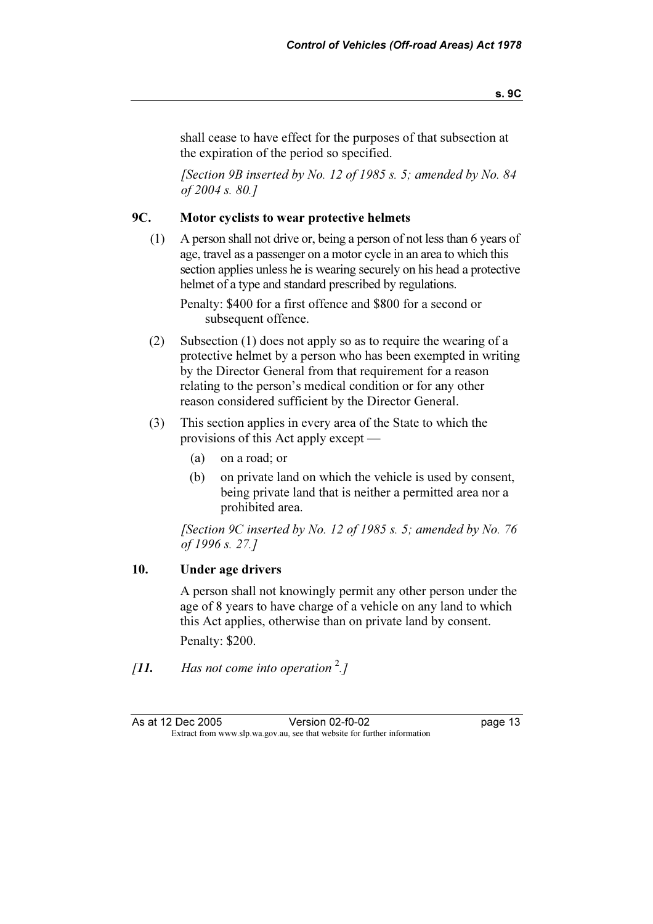shall cease to have effect for the purposes of that subsection at the expiration of the period so specified.

[Section 9B inserted by No. 12 of 1985 s. 5; amended by No. 84 of 2004 s. 80.]

# 9C. Motor cyclists to wear protective helmets

 (1) A person shall not drive or, being a person of not less than 6 years of age, travel as a passenger on a motor cycle in an area to which this section applies unless he is wearing securely on his head a protective helmet of a type and standard prescribed by regulations.

 Penalty: \$400 for a first offence and \$800 for a second or subsequent offence.

- (2) Subsection (1) does not apply so as to require the wearing of a protective helmet by a person who has been exempted in writing by the Director General from that requirement for a reason relating to the person's medical condition or for any other reason considered sufficient by the Director General.
- (3) This section applies in every area of the State to which the provisions of this Act apply except —
	- (a) on a road; or
	- (b) on private land on which the vehicle is used by consent, being private land that is neither a permitted area nor a prohibited area.

[Section 9C inserted by No. 12 of 1985 s. 5; amended by No. 76 of 1996 s. 27.]

## 10. Under age drivers

 A person shall not knowingly permit any other person under the age of 8 years to have charge of a vehicle on any land to which this Act applies, otherwise than on private land by consent. Penalty: \$200.

[11. Has not come into operation  $\frac{2}{1}$ ]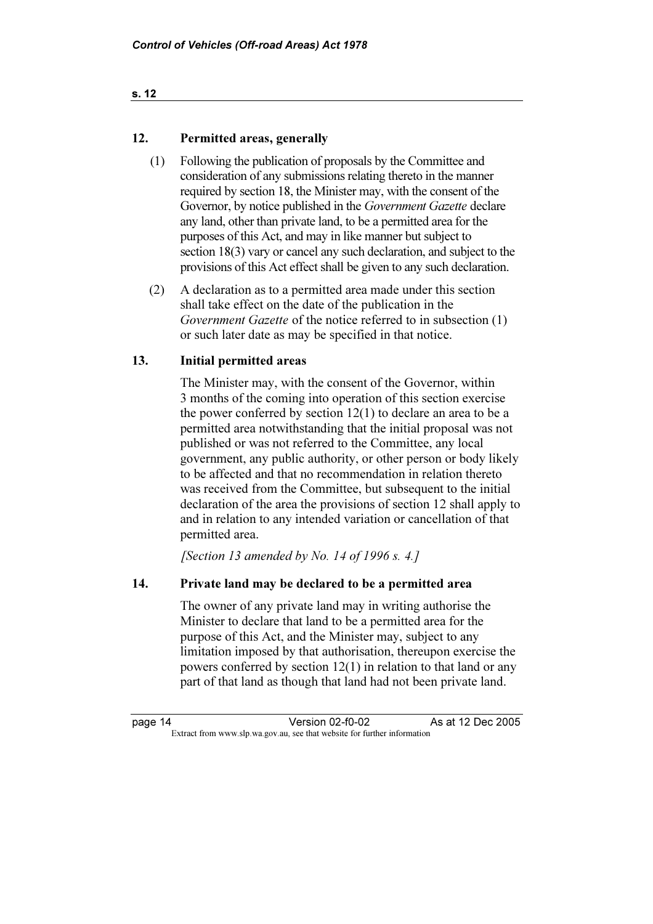#### s. 12

# 12. Permitted areas, generally

- (1) Following the publication of proposals by the Committee and consideration of any submissions relating thereto in the manner required by section 18, the Minister may, with the consent of the Governor, by notice published in the *Government Gazette* declare any land, other than private land, to be a permitted area for the purposes of this Act, and may in like manner but subject to section 18(3) vary or cancel any such declaration, and subject to the provisions of this Act effect shall be given to any such declaration.
- (2) A declaration as to a permitted area made under this section shall take effect on the date of the publication in the Government Gazette of the notice referred to in subsection (1) or such later date as may be specified in that notice.

# 13. Initial permitted areas

 The Minister may, with the consent of the Governor, within 3 months of the coming into operation of this section exercise the power conferred by section 12(1) to declare an area to be a permitted area notwithstanding that the initial proposal was not published or was not referred to the Committee, any local government, any public authority, or other person or body likely to be affected and that no recommendation in relation thereto was received from the Committee, but subsequent to the initial declaration of the area the provisions of section 12 shall apply to and in relation to any intended variation or cancellation of that permitted area.

[Section 13 amended by No. 14 of 1996 s. 4.]

# 14. Private land may be declared to be a permitted area

 The owner of any private land may in writing authorise the Minister to declare that land to be a permitted area for the purpose of this Act, and the Minister may, subject to any limitation imposed by that authorisation, thereupon exercise the powers conferred by section 12(1) in relation to that land or any part of that land as though that land had not been private land.

As at 12 Dec 2005 page 14 Version 02-f0-02<br>Extract from www.slp.wa.gov.au, see that website for further information Version 02-f0-02 Extract from www.slp.wa.gov.au, see that website for further information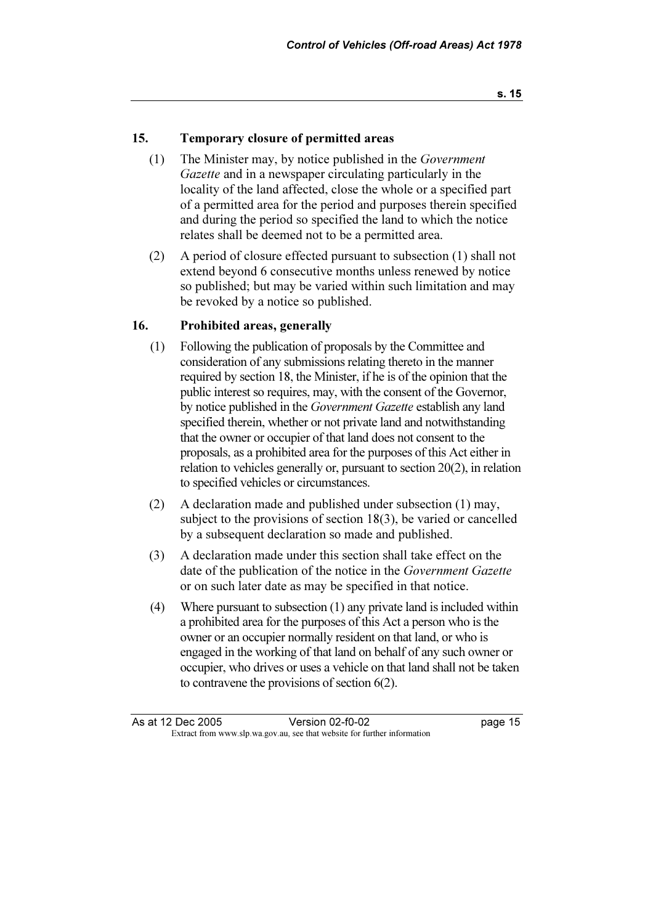## 15. Temporary closure of permitted areas

- (1) The Minister may, by notice published in the Government Gazette and in a newspaper circulating particularly in the locality of the land affected, close the whole or a specified part of a permitted area for the period and purposes therein specified and during the period so specified the land to which the notice relates shall be deemed not to be a permitted area.
- (2) A period of closure effected pursuant to subsection (1) shall not extend beyond 6 consecutive months unless renewed by notice so published; but may be varied within such limitation and may be revoked by a notice so published.

#### 16. Prohibited areas, generally

- (1) Following the publication of proposals by the Committee and consideration of any submissions relating thereto in the manner required by section 18, the Minister, if he is of the opinion that the public interest so requires, may, with the consent of the Governor, by notice published in the *Government Gazette* establish any land specified therein, whether or not private land and notwithstanding that the owner or occupier of that land does not consent to the proposals, as a prohibited area for the purposes of this Act either in relation to vehicles generally or, pursuant to section 20(2), in relation to specified vehicles or circumstances.
- (2) A declaration made and published under subsection (1) may, subject to the provisions of section 18(3), be varied or cancelled by a subsequent declaration so made and published.
- (3) A declaration made under this section shall take effect on the date of the publication of the notice in the Government Gazette or on such later date as may be specified in that notice.
- (4) Where pursuant to subsection (1) any private land is included within a prohibited area for the purposes of this Act a person who is the owner or an occupier normally resident on that land, or who is engaged in the working of that land on behalf of any such owner or occupier, who drives or uses a vehicle on that land shall not be taken to contravene the provisions of section 6(2).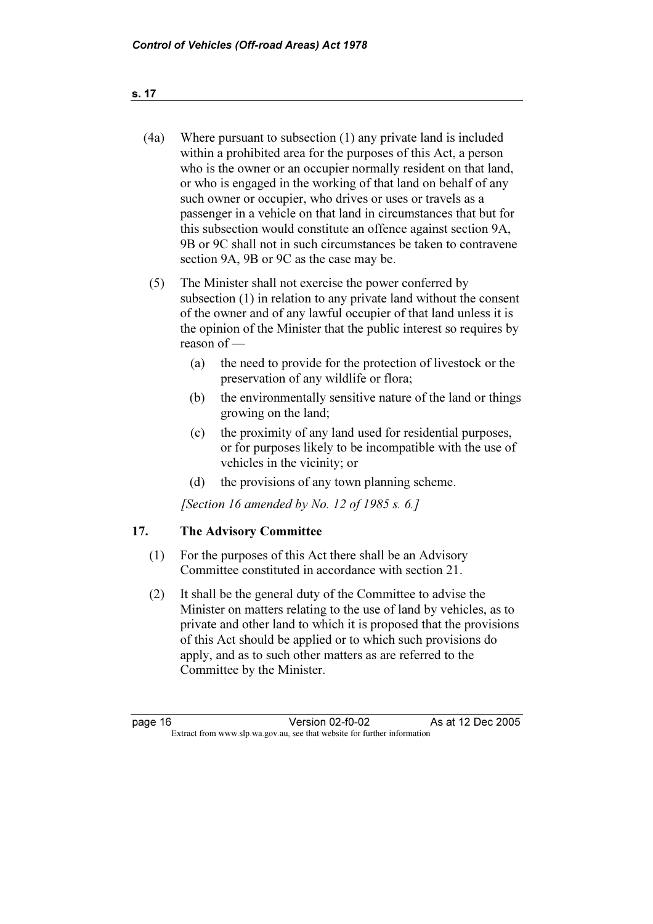- (4a) Where pursuant to subsection (1) any private land is included within a prohibited area for the purposes of this Act, a person who is the owner or an occupier normally resident on that land, or who is engaged in the working of that land on behalf of any such owner or occupier, who drives or uses or travels as a passenger in a vehicle on that land in circumstances that but for this subsection would constitute an offence against section 9A, 9B or 9C shall not in such circumstances be taken to contravene section 9A, 9B or 9C as the case may be.
- (5) The Minister shall not exercise the power conferred by subsection (1) in relation to any private land without the consent of the owner and of any lawful occupier of that land unless it is the opinion of the Minister that the public interest so requires by reason of —
	- (a) the need to provide for the protection of livestock or the preservation of any wildlife or flora;
	- (b) the environmentally sensitive nature of the land or things growing on the land;
	- (c) the proximity of any land used for residential purposes, or for purposes likely to be incompatible with the use of vehicles in the vicinity; or
	- (d) the provisions of any town planning scheme.

[Section 16 amended by No. 12 of 1985 s. 6.]

# 17. The Advisory Committee

- (1) For the purposes of this Act there shall be an Advisory Committee constituted in accordance with section 21.
- (2) It shall be the general duty of the Committee to advise the Minister on matters relating to the use of land by vehicles, as to private and other land to which it is proposed that the provisions of this Act should be applied or to which such provisions do apply, and as to such other matters as are referred to the Committee by the Minister.

page 16 Version 02-f0-02<br>Extract from www.slp.wa.gov.au, see that website for further information Version 02-f0-02 As at 12 Dec 2005 Extract from www.slp.wa.gov.au, see that website for further information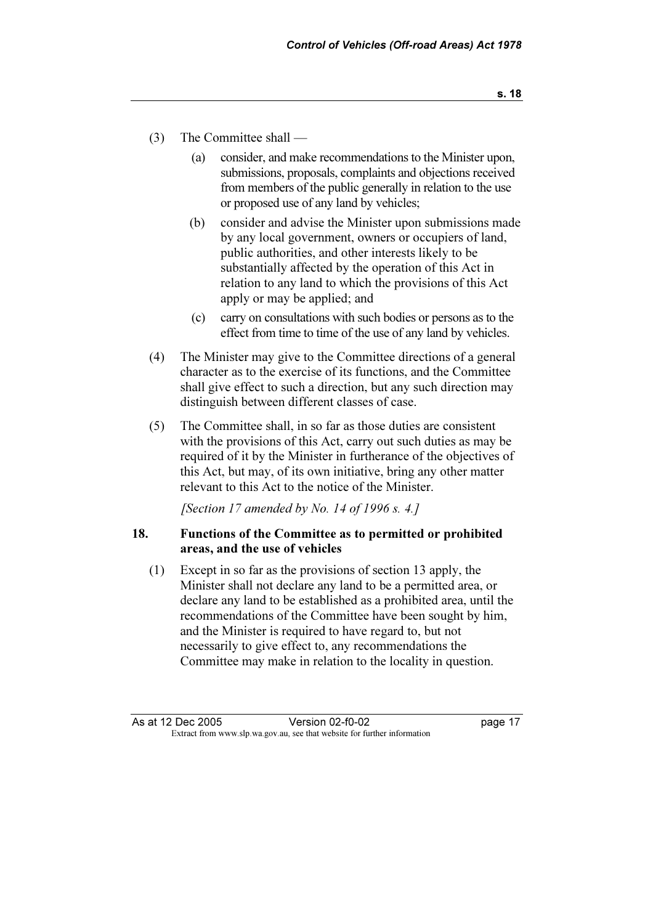- (3) The Committee shall
	- (a) consider, and make recommendations to the Minister upon, submissions, proposals, complaints and objections received from members of the public generally in relation to the use or proposed use of any land by vehicles;
	- (b) consider and advise the Minister upon submissions made by any local government, owners or occupiers of land, public authorities, and other interests likely to be substantially affected by the operation of this Act in relation to any land to which the provisions of this Act apply or may be applied; and
	- (c) carry on consultations with such bodies or persons as to the effect from time to time of the use of any land by vehicles.
- (4) The Minister may give to the Committee directions of a general character as to the exercise of its functions, and the Committee shall give effect to such a direction, but any such direction may distinguish between different classes of case.
- (5) The Committee shall, in so far as those duties are consistent with the provisions of this Act, carry out such duties as may be required of it by the Minister in furtherance of the objectives of this Act, but may, of its own initiative, bring any other matter relevant to this Act to the notice of the Minister.

[Section 17 amended by No. 14 of 1996 s. 4.]

## 18. Functions of the Committee as to permitted or prohibited areas, and the use of vehicles

 (1) Except in so far as the provisions of section 13 apply, the Minister shall not declare any land to be a permitted area, or declare any land to be established as a prohibited area, until the recommendations of the Committee have been sought by him, and the Minister is required to have regard to, but not necessarily to give effect to, any recommendations the Committee may make in relation to the locality in question.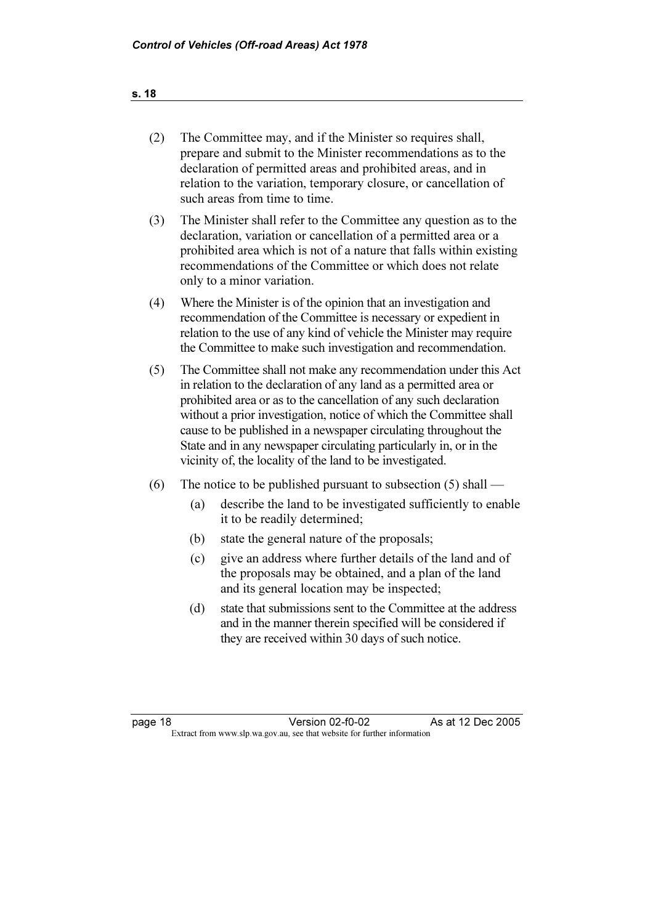# (2) The Committee may, and if the Minister so requires shall, prepare and submit to the Minister recommendations as to the declaration of permitted areas and prohibited areas, and in relation to the variation, temporary closure, or cancellation of such areas from time to time.

- (3) The Minister shall refer to the Committee any question as to the declaration, variation or cancellation of a permitted area or a prohibited area which is not of a nature that falls within existing recommendations of the Committee or which does not relate only to a minor variation.
- (4) Where the Minister is of the opinion that an investigation and recommendation of the Committee is necessary or expedient in relation to the use of any kind of vehicle the Minister may require the Committee to make such investigation and recommendation.
- (5) The Committee shall not make any recommendation under this Act in relation to the declaration of any land as a permitted area or prohibited area or as to the cancellation of any such declaration without a prior investigation, notice of which the Committee shall cause to be published in a newspaper circulating throughout the State and in any newspaper circulating particularly in, or in the vicinity of, the locality of the land to be investigated.
- (6) The notice to be published pursuant to subsection  $(5)$  shall
	- (a) describe the land to be investigated sufficiently to enable it to be readily determined;
	- (b) state the general nature of the proposals;
	- (c) give an address where further details of the land and of the proposals may be obtained, and a plan of the land and its general location may be inspected;
	- (d) state that submissions sent to the Committee at the address and in the manner therein specified will be considered if they are received within 30 days of such notice.

page 18 Version 02-f0-02 As at 12 Dec 2005<br>Extract from www.slp.wa.gov.au, see that website for further information Version 02-f0-02 Extract from www.slp.wa.gov.au, see that website for further information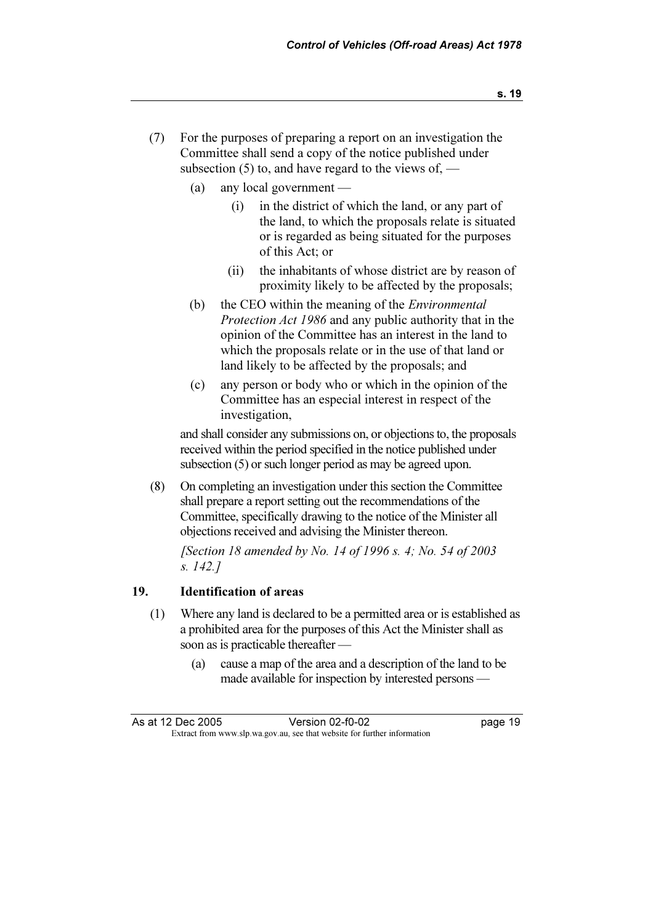- (7) For the purposes of preparing a report on an investigation the Committee shall send a copy of the notice published under subsection  $(5)$  to, and have regard to the views of, —
	- (a) any local government
		- (i) in the district of which the land, or any part of the land, to which the proposals relate is situated or is regarded as being situated for the purposes of this Act; or
		- (ii) the inhabitants of whose district are by reason of proximity likely to be affected by the proposals;
	- (b) the CEO within the meaning of the *Environmental* Protection Act 1986 and any public authority that in the opinion of the Committee has an interest in the land to which the proposals relate or in the use of that land or land likely to be affected by the proposals; and
	- (c) any person or body who or which in the opinion of the Committee has an especial interest in respect of the investigation,

 and shall consider any submissions on, or objections to, the proposals received within the period specified in the notice published under subsection (5) or such longer period as may be agreed upon.

 (8) On completing an investigation under this section the Committee shall prepare a report setting out the recommendations of the Committee, specifically drawing to the notice of the Minister all objections received and advising the Minister thereon.

 [Section 18 amended by No. 14 of 1996 s. 4; No. 54 of 2003 s. 142.]

# 19. Identification of areas

- (1) Where any land is declared to be a permitted area or is established as a prohibited area for the purposes of this Act the Minister shall as soon as is practicable thereafter —
	- (a) cause a map of the area and a description of the land to be made available for inspection by interested persons —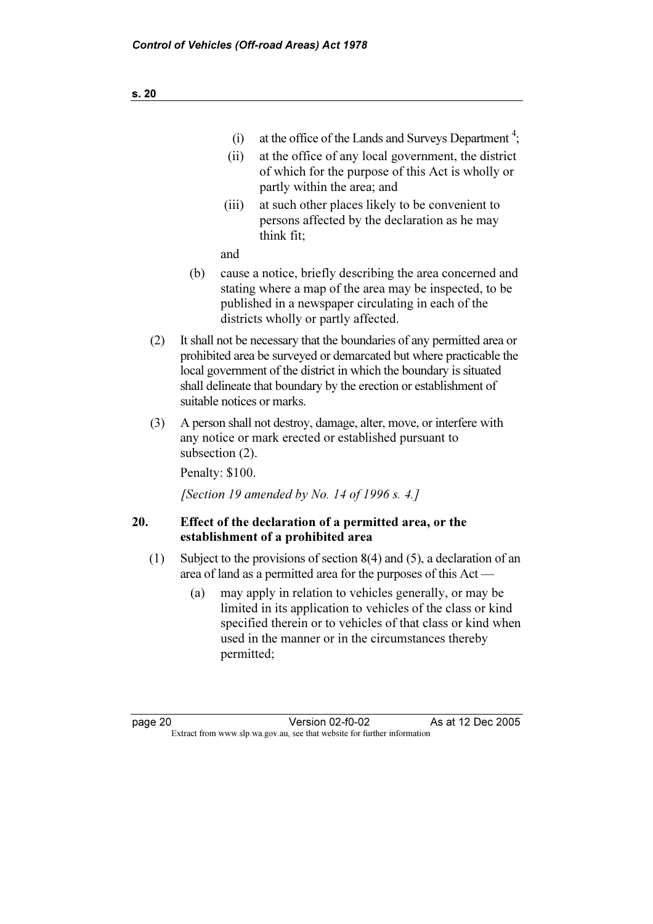- $(i)$  at the office of the Lands and Surveys Department<sup>4</sup>;
	- (ii) at the office of any local government, the district of which for the purpose of this Act is wholly or partly within the area; and
	- (iii) at such other places likely to be convenient to persons affected by the declaration as he may think fit;

and

- (b) cause a notice, briefly describing the area concerned and stating where a map of the area may be inspected, to be published in a newspaper circulating in each of the districts wholly or partly affected.
- (2) It shall not be necessary that the boundaries of any permitted area or prohibited area be surveyed or demarcated but where practicable the local government of the district in which the boundary is situated shall delineate that boundary by the erection or establishment of suitable notices or marks.
- (3) A person shall not destroy, damage, alter, move, or interfere with any notice or mark erected or established pursuant to subsection  $(2)$ .

Penalty: \$100.

[Section 19 amended by No. 14 of 1996 s. 4.]

# 20. Effect of the declaration of a permitted area, or the establishment of a prohibited area

- (1) Subject to the provisions of section 8(4) and (5), a declaration of an area of land as a permitted area for the purposes of this Act —
	- (a) may apply in relation to vehicles generally, or may be limited in its application to vehicles of the class or kind specified therein or to vehicles of that class or kind when used in the manner or in the circumstances thereby permitted;

page 20 Version 02-f0-02 As at 12 Dec 2005<br>Extract from www.slp.wa.gov.au, see that website for further information Version 02-f0-02 Extract from www.slp.wa.gov.au, see that website for further information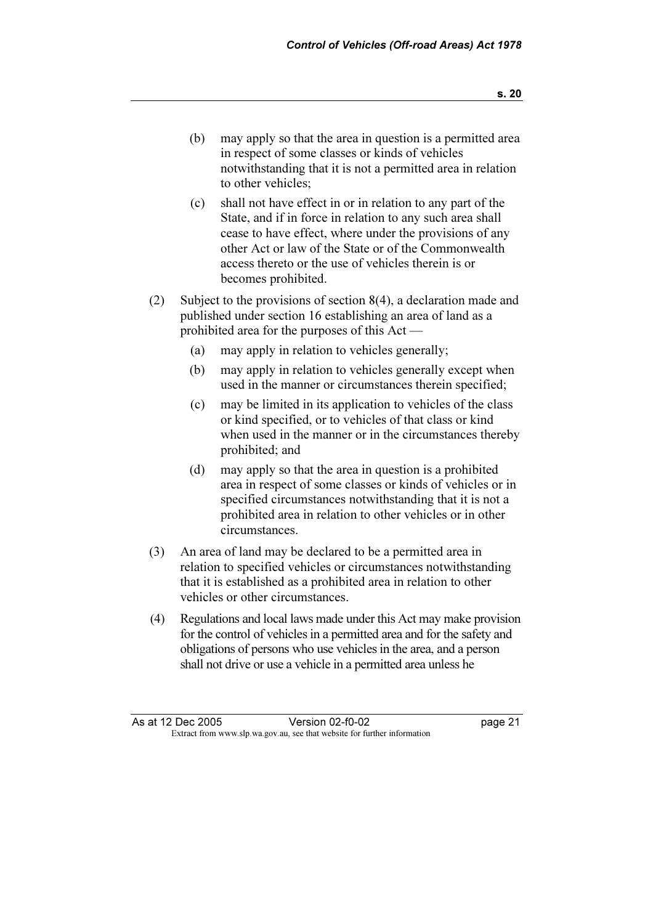- (b) may apply so that the area in question is a permitted area in respect of some classes or kinds of vehicles notwithstanding that it is not a permitted area in relation to other vehicles;
- (c) shall not have effect in or in relation to any part of the State, and if in force in relation to any such area shall cease to have effect, where under the provisions of any other Act or law of the State or of the Commonwealth access thereto or the use of vehicles therein is or becomes prohibited.
- (2) Subject to the provisions of section 8(4), a declaration made and published under section 16 establishing an area of land as a prohibited area for the purposes of this Act —
	- (a) may apply in relation to vehicles generally;
	- (b) may apply in relation to vehicles generally except when used in the manner or circumstances therein specified;
	- (c) may be limited in its application to vehicles of the class or kind specified, or to vehicles of that class or kind when used in the manner or in the circumstances thereby prohibited; and
	- (d) may apply so that the area in question is a prohibited area in respect of some classes or kinds of vehicles or in specified circumstances notwithstanding that it is not a prohibited area in relation to other vehicles or in other circumstances.
- (3) An area of land may be declared to be a permitted area in relation to specified vehicles or circumstances notwithstanding that it is established as a prohibited area in relation to other vehicles or other circumstances.
- (4) Regulations and local laws made under this Act may make provision for the control of vehicles in a permitted area and for the safety and obligations of persons who use vehicles in the area, and a person shall not drive or use a vehicle in a permitted area unless he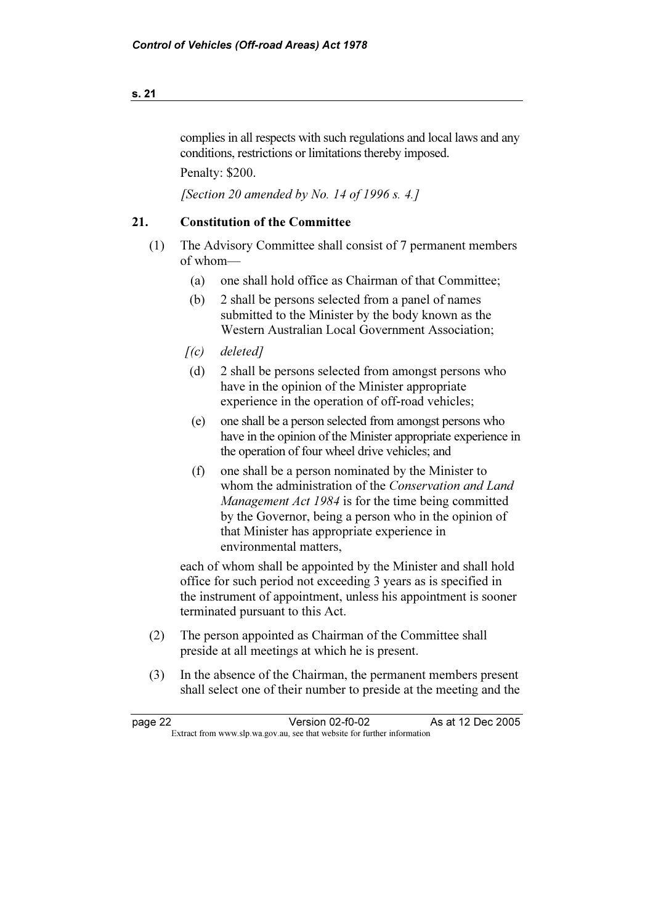# complies in all respects with such regulations and local laws and any conditions, restrictions or limitations thereby imposed.

Penalty: \$200.

[Section 20 amended by No. 14 of 1996 s. 4.]

## 21. Constitution of the Committee

- (1) The Advisory Committee shall consist of 7 permanent members of whom—
	- (a) one shall hold office as Chairman of that Committee;
	- (b) 2 shall be persons selected from a panel of names submitted to the Minister by the body known as the Western Australian Local Government Association;
	- $[(c)$  deleted]
	- (d) 2 shall be persons selected from amongst persons who have in the opinion of the Minister appropriate experience in the operation of off-road vehicles;
	- (e) one shall be a person selected from amongst persons who have in the opinion of the Minister appropriate experience in the operation of four wheel drive vehicles; and
	- (f) one shall be a person nominated by the Minister to whom the administration of the Conservation and Land Management Act 1984 is for the time being committed by the Governor, being a person who in the opinion of that Minister has appropriate experience in environmental matters,

 each of whom shall be appointed by the Minister and shall hold office for such period not exceeding 3 years as is specified in the instrument of appointment, unless his appointment is sooner terminated pursuant to this Act.

- (2) The person appointed as Chairman of the Committee shall preside at all meetings at which he is present.
- (3) In the absence of the Chairman, the permanent members present shall select one of their number to preside at the meeting and the

| page 22 | Version 02-f0-02                                                         | As at 12 Dec 2005 |
|---------|--------------------------------------------------------------------------|-------------------|
|         | Extract from www.slp.wa.gov.au, see that website for further information |                   |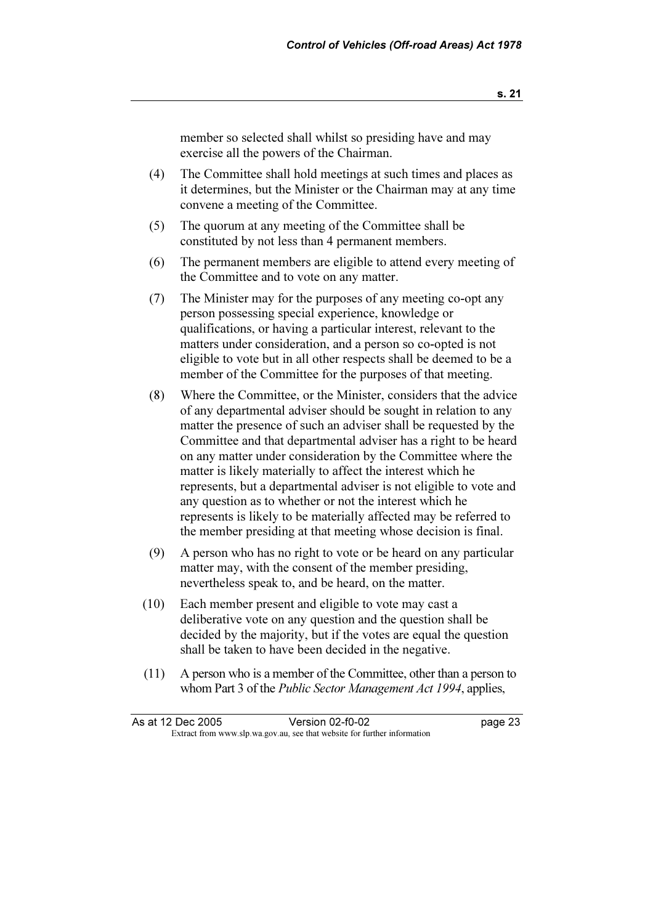member so selected shall whilst so presiding have and may exercise all the powers of the Chairman.

- (4) The Committee shall hold meetings at such times and places as it determines, but the Minister or the Chairman may at any time convene a meeting of the Committee.
- (5) The quorum at any meeting of the Committee shall be constituted by not less than 4 permanent members.
- (6) The permanent members are eligible to attend every meeting of the Committee and to vote on any matter.
- (7) The Minister may for the purposes of any meeting co-opt any person possessing special experience, knowledge or qualifications, or having a particular interest, relevant to the matters under consideration, and a person so co-opted is not eligible to vote but in all other respects shall be deemed to be a member of the Committee for the purposes of that meeting.
- (8) Where the Committee, or the Minister, considers that the advice of any departmental adviser should be sought in relation to any matter the presence of such an adviser shall be requested by the Committee and that departmental adviser has a right to be heard on any matter under consideration by the Committee where the matter is likely materially to affect the interest which he represents, but a departmental adviser is not eligible to vote and any question as to whether or not the interest which he represents is likely to be materially affected may be referred to the member presiding at that meeting whose decision is final.
- (9) A person who has no right to vote or be heard on any particular matter may, with the consent of the member presiding, nevertheless speak to, and be heard, on the matter.
- (10) Each member present and eligible to vote may cast a deliberative vote on any question and the question shall be decided by the majority, but if the votes are equal the question shall be taken to have been decided in the negative.
- (11) A person who is a member of the Committee, other than a person to whom Part 3 of the *Public Sector Management Act 1994*, applies,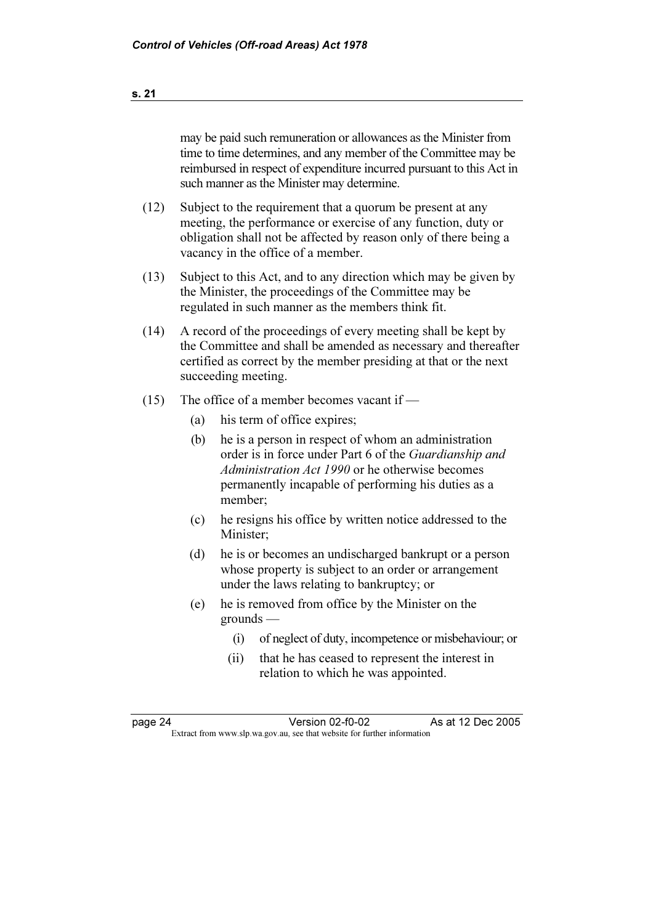|         |     |                                                                                                                                                                                                                                       | may be paid such remuneration or allowances as the Minister from<br>time to time determines, and any member of the Committee may be<br>reimbursed in respect of expenditure incurred pursuant to this Act in<br>such manner as the Minister may determine. |  |
|---------|-----|---------------------------------------------------------------------------------------------------------------------------------------------------------------------------------------------------------------------------------------|------------------------------------------------------------------------------------------------------------------------------------------------------------------------------------------------------------------------------------------------------------|--|
| (12)    |     | Subject to the requirement that a quorum be present at any<br>meeting, the performance or exercise of any function, duty or<br>obligation shall not be affected by reason only of there being a<br>vacancy in the office of a member. |                                                                                                                                                                                                                                                            |  |
| (13)    |     |                                                                                                                                                                                                                                       | Subject to this Act, and to any direction which may be given by<br>the Minister, the proceedings of the Committee may be<br>regulated in such manner as the members think fit.                                                                             |  |
| (14)    |     | succeeding meeting.                                                                                                                                                                                                                   | A record of the proceedings of every meeting shall be kept by<br>the Committee and shall be amended as necessary and thereafter<br>certified as correct by the member presiding at that or the next                                                        |  |
| (15)    |     |                                                                                                                                                                                                                                       | The office of a member becomes vacant if -                                                                                                                                                                                                                 |  |
|         | (a) |                                                                                                                                                                                                                                       | his term of office expires;                                                                                                                                                                                                                                |  |
|         | (b) | member;                                                                                                                                                                                                                               | he is a person in respect of whom an administration<br>order is in force under Part 6 of the Guardianship and<br>Administration Act 1990 or he otherwise becomes<br>permanently incapable of performing his duties as a                                    |  |
|         | (c) | Minister;                                                                                                                                                                                                                             | he resigns his office by written notice addressed to the                                                                                                                                                                                                   |  |
|         | (d) |                                                                                                                                                                                                                                       | he is or becomes an undischarged bankrupt or a person<br>whose property is subject to an order or arrangement<br>under the laws relating to bankruptcy; or                                                                                                 |  |
|         | (e) | $\gamma$ grounds —                                                                                                                                                                                                                    | he is removed from office by the Minister on the                                                                                                                                                                                                           |  |
|         |     | (i)                                                                                                                                                                                                                                   | of neglect of duty, incompetence or misbehaviour; or                                                                                                                                                                                                       |  |
|         |     | (ii)                                                                                                                                                                                                                                  | that he has ceased to represent the interest in<br>relation to which he was appointed.                                                                                                                                                                     |  |
|         |     |                                                                                                                                                                                                                                       |                                                                                                                                                                                                                                                            |  |
| page 24 |     |                                                                                                                                                                                                                                       | Version 02-f0-02<br>As at 12 Dec 2005                                                                                                                                                                                                                      |  |
|         |     |                                                                                                                                                                                                                                       | Extract from www.slp.wa.gov.au, see that website for further information                                                                                                                                                                                   |  |
|         |     |                                                                                                                                                                                                                                       |                                                                                                                                                                                                                                                            |  |
|         |     |                                                                                                                                                                                                                                       |                                                                                                                                                                                                                                                            |  |

<u> 1989 - Johann Stoff, fransk politik (d. 1989)</u>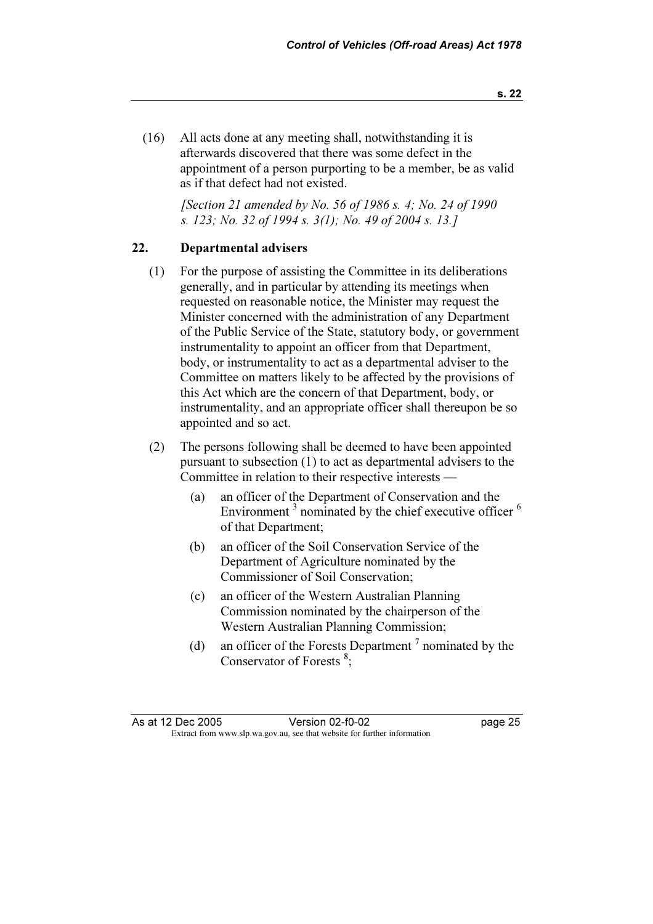(16) All acts done at any meeting shall, notwithstanding it is afterwards discovered that there was some defect in the appointment of a person purporting to be a member, be as valid as if that defect had not existed.

> [Section 21 amended by No. 56 of 1986 s. 4; No. 24 of 1990 s. 123; No. 32 of 1994 s. 3(1); No. 49 of 2004 s. 13.]

# 22. Departmental advisers

- (1) For the purpose of assisting the Committee in its deliberations generally, and in particular by attending its meetings when requested on reasonable notice, the Minister may request the Minister concerned with the administration of any Department of the Public Service of the State, statutory body, or government instrumentality to appoint an officer from that Department, body, or instrumentality to act as a departmental adviser to the Committee on matters likely to be affected by the provisions of this Act which are the concern of that Department, body, or instrumentality, and an appropriate officer shall thereupon be so appointed and so act.
- (2) The persons following shall be deemed to have been appointed pursuant to subsection (1) to act as departmental advisers to the Committee in relation to their respective interests —
	- (a) an officer of the Department of Conservation and the Environment<sup>3</sup> nominated by the chief executive officer<sup>6</sup> of that Department;
	- (b) an officer of the Soil Conservation Service of the Department of Agriculture nominated by the Commissioner of Soil Conservation;
	- (c) an officer of the Western Australian Planning Commission nominated by the chairperson of the Western Australian Planning Commission;
- (d) an officer of the Forests Department  $\prime$  nominated by the Conservator of Forests<sup>8</sup>;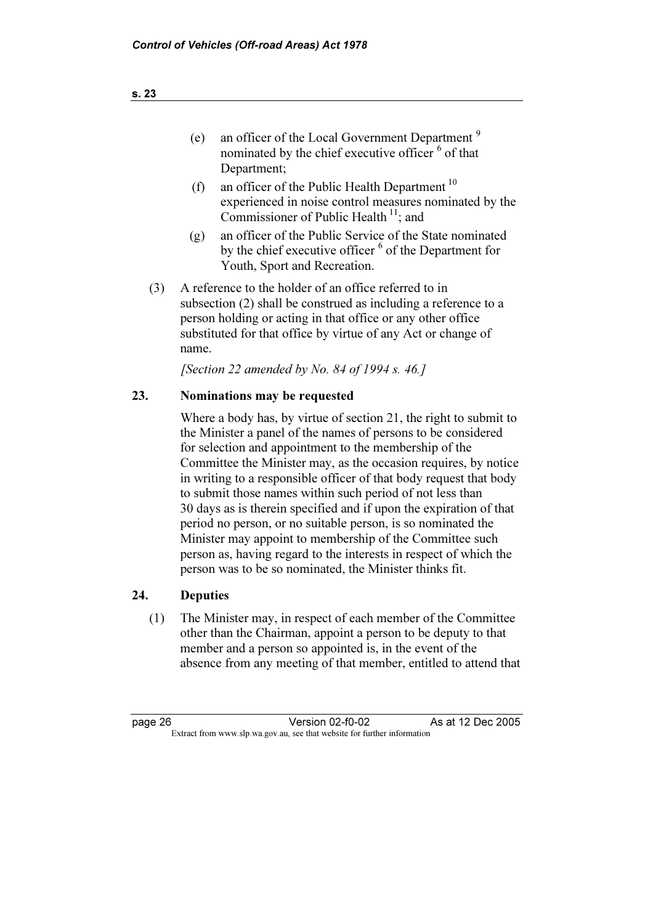- (e) an officer of the Local Government Department  $9$ nominated by the chief executive officer  $\delta$  of that Department;
- (f) an officer of the Public Health Department  $10$ experienced in noise control measures nominated by the Commissioner of Public Health $^{11}$ : and
- (g) an officer of the Public Service of the State nominated by the chief executive officer <sup>6</sup> of the Department for Youth, Sport and Recreation.
- (3) A reference to the holder of an office referred to in subsection (2) shall be construed as including a reference to a person holding or acting in that office or any other office substituted for that office by virtue of any Act or change of name.

[Section 22 amended by No. 84 of 1994 s. 46.]

# 23. Nominations may be requested

 Where a body has, by virtue of section 21, the right to submit to the Minister a panel of the names of persons to be considered for selection and appointment to the membership of the Committee the Minister may, as the occasion requires, by notice in writing to a responsible officer of that body request that body to submit those names within such period of not less than 30 days as is therein specified and if upon the expiration of that period no person, or no suitable person, is so nominated the Minister may appoint to membership of the Committee such person as, having regard to the interests in respect of which the person was to be so nominated, the Minister thinks fit.

# 24. Deputies

 (1) The Minister may, in respect of each member of the Committee other than the Chairman, appoint a person to be deputy to that member and a person so appointed is, in the event of the absence from any meeting of that member, entitled to attend that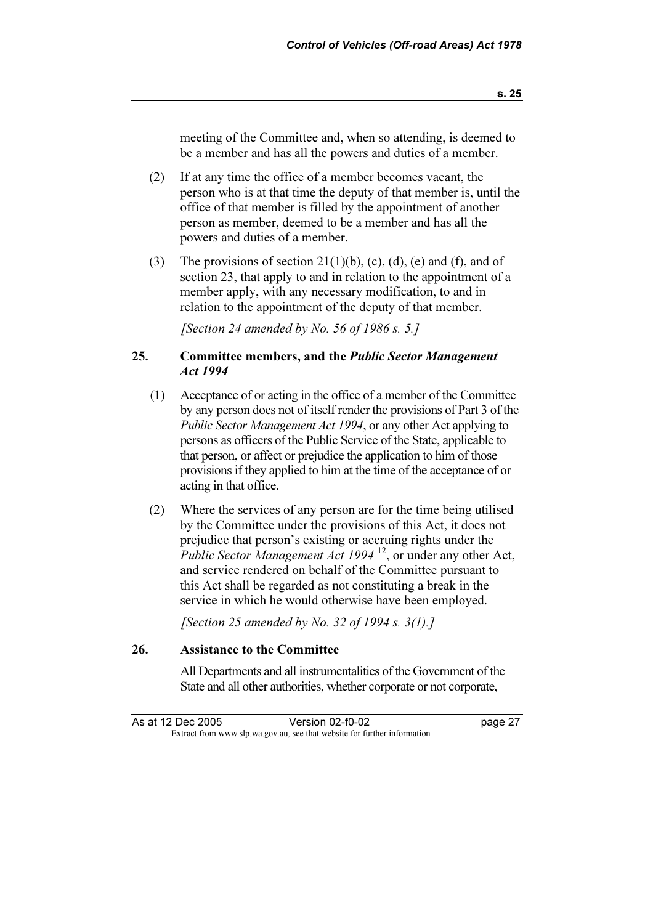meeting of the Committee and, when so attending, is deemed to be a member and has all the powers and duties of a member.

- (2) If at any time the office of a member becomes vacant, the person who is at that time the deputy of that member is, until the office of that member is filled by the appointment of another person as member, deemed to be a member and has all the powers and duties of a member.
- (3) The provisions of section 21(1)(b), (c), (d), (e) and (f), and of section 23, that apply to and in relation to the appointment of a member apply, with any necessary modification, to and in relation to the appointment of the deputy of that member.

[Section 24 amended by No. 56 of 1986 s. 5.]

# 25. Committee members, and the Public Sector Management Act 1994

- (1) Acceptance of or acting in the office of a member of the Committee by any person does not of itself render the provisions of Part 3 of the Public Sector Management Act 1994, or any other Act applying to persons as officers of the Public Service of the State, applicable to that person, or affect or prejudice the application to him of those provisions if they applied to him at the time of the acceptance of or acting in that office.
- (2) Where the services of any person are for the time being utilised by the Committee under the provisions of this Act, it does not prejudice that person's existing or accruing rights under the Public Sector Management Act 1994<sup>12</sup>, or under any other Act, and service rendered on behalf of the Committee pursuant to this Act shall be regarded as not constituting a break in the service in which he would otherwise have been employed.

[Section 25 amended by No. 32 of 1994 s.  $3(1)$ .]

## 26. Assistance to the Committee

 All Departments and all instrumentalities of the Government of the State and all other authorities, whether corporate or not corporate,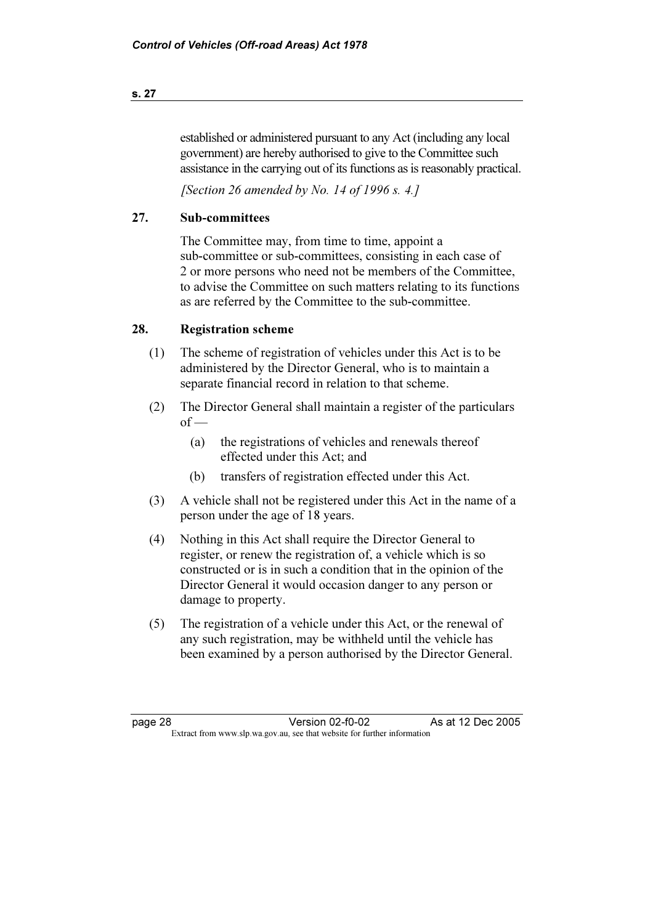# established or administered pursuant to any Act (including any local government) are hereby authorised to give to the Committee such assistance in the carrying out of its functions as is reasonably practical.

[Section 26 amended by No. 14 of 1996 s. 4.]

# 27. Sub-committees

 The Committee may, from time to time, appoint a sub-committee or sub-committees, consisting in each case of 2 or more persons who need not be members of the Committee, to advise the Committee on such matters relating to its functions as are referred by the Committee to the sub-committee.

# 28. Registration scheme

- (1) The scheme of registration of vehicles under this Act is to be administered by the Director General, who is to maintain a separate financial record in relation to that scheme.
- (2) The Director General shall maintain a register of the particulars  $of -$ 
	- (a) the registrations of vehicles and renewals thereof effected under this Act; and
	- (b) transfers of registration effected under this Act.
- (3) A vehicle shall not be registered under this Act in the name of a person under the age of 18 years.
- (4) Nothing in this Act shall require the Director General to register, or renew the registration of, a vehicle which is so constructed or is in such a condition that in the opinion of the Director General it would occasion danger to any person or damage to property.
- (5) The registration of a vehicle under this Act, or the renewal of any such registration, may be withheld until the vehicle has been examined by a person authorised by the Director General.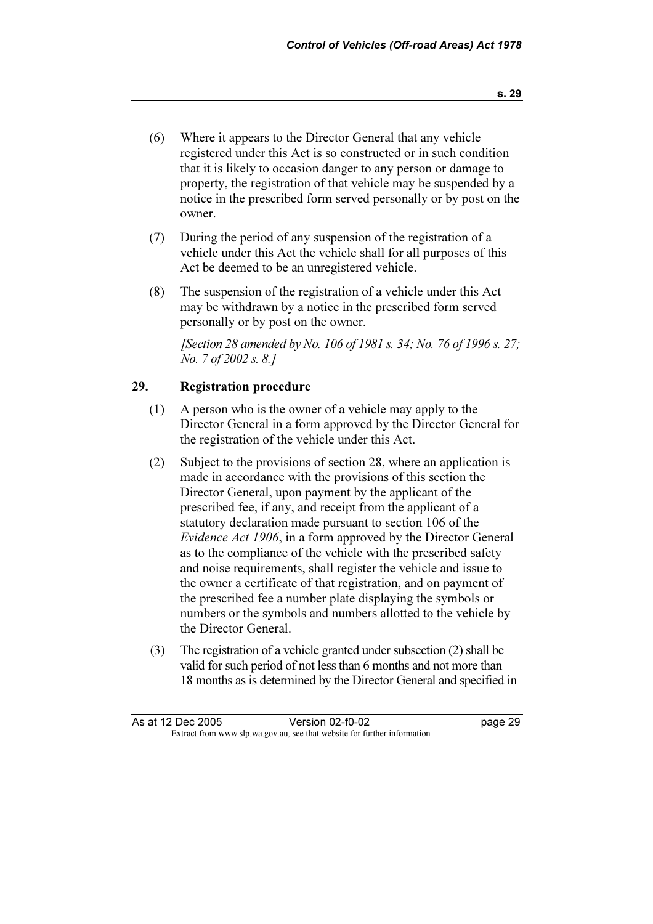- (6) Where it appears to the Director General that any vehicle registered under this Act is so constructed or in such condition that it is likely to occasion danger to any person or damage to property, the registration of that vehicle may be suspended by a notice in the prescribed form served personally or by post on the owner.
- (7) During the period of any suspension of the registration of a vehicle under this Act the vehicle shall for all purposes of this Act be deemed to be an unregistered vehicle.
- (8) The suspension of the registration of a vehicle under this Act may be withdrawn by a notice in the prescribed form served personally or by post on the owner.

[Section 28 amended by No. 106 of 1981 s. 34; No. 76 of 1996 s. 27; No. 7 of 2002 s. 8.]

#### 29. Registration procedure

- (1) A person who is the owner of a vehicle may apply to the Director General in a form approved by the Director General for the registration of the vehicle under this Act.
- (2) Subject to the provisions of section 28, where an application is made in accordance with the provisions of this section the Director General, upon payment by the applicant of the prescribed fee, if any, and receipt from the applicant of a statutory declaration made pursuant to section 106 of the Evidence Act 1906, in a form approved by the Director General as to the compliance of the vehicle with the prescribed safety and noise requirements, shall register the vehicle and issue to the owner a certificate of that registration, and on payment of the prescribed fee a number plate displaying the symbols or numbers or the symbols and numbers allotted to the vehicle by the Director General.
- (3) The registration of a vehicle granted under subsection (2) shall be valid for such period of not less than 6 months and not more than 18 months as is determined by the Director General and specified in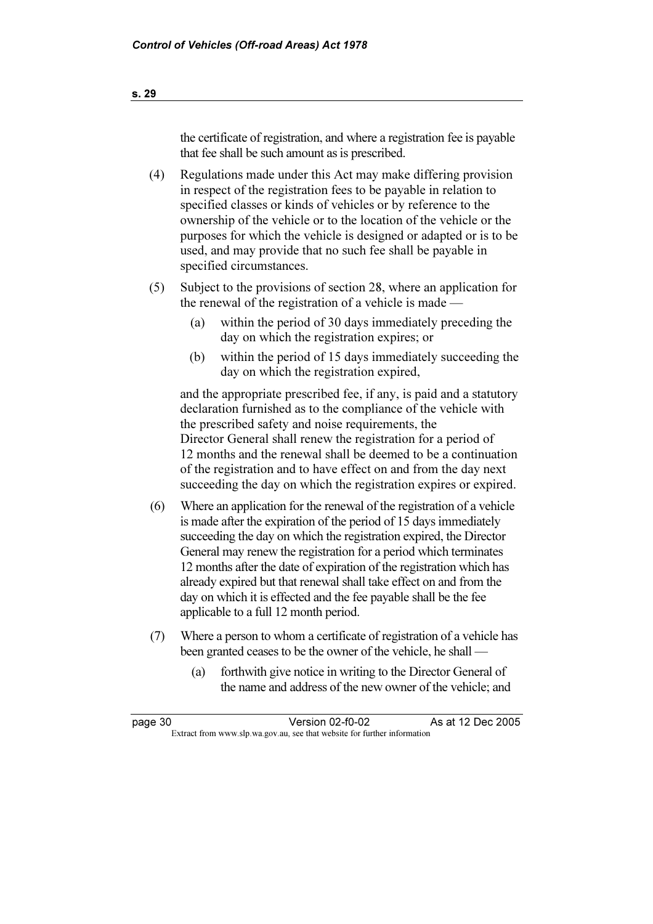the certificate of registration, and where a registration fee is payable that fee shall be such amount as is prescribed.

- (4) Regulations made under this Act may make differing provision in respect of the registration fees to be payable in relation to specified classes or kinds of vehicles or by reference to the ownership of the vehicle or to the location of the vehicle or the purposes for which the vehicle is designed or adapted or is to be used, and may provide that no such fee shall be payable in specified circumstances.
- (5) Subject to the provisions of section 28, where an application for the renewal of the registration of a vehicle is made —
	- (a) within the period of 30 days immediately preceding the day on which the registration expires; or
	- (b) within the period of 15 days immediately succeeding the day on which the registration expired,

 and the appropriate prescribed fee, if any, is paid and a statutory declaration furnished as to the compliance of the vehicle with the prescribed safety and noise requirements, the Director General shall renew the registration for a period of 12 months and the renewal shall be deemed to be a continuation of the registration and to have effect on and from the day next succeeding the day on which the registration expires or expired.

- (6) Where an application for the renewal of the registration of a vehicle is made after the expiration of the period of 15 days immediately succeeding the day on which the registration expired, the Director General may renew the registration for a period which terminates 12 months after the date of expiration of the registration which has already expired but that renewal shall take effect on and from the day on which it is effected and the fee payable shall be the fee applicable to a full 12 month period.
- (7) Where a person to whom a certificate of registration of a vehicle has been granted ceases to be the owner of the vehicle, he shall -
	- (a) forthwith give notice in writing to the Director General of the name and address of the new owner of the vehicle; and

| page 30 | Version 02-f0-02                                                         | As at 12 Dec 2005 |
|---------|--------------------------------------------------------------------------|-------------------|
|         | Extract from www.slp.wa.gov.au, see that website for further information |                   |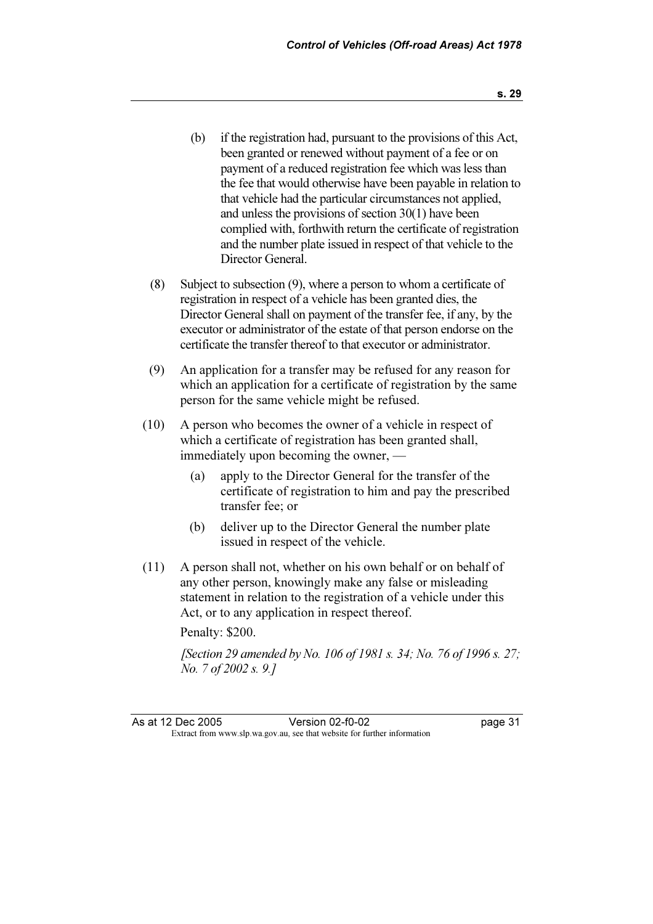- (b) if the registration had, pursuant to the provisions of this Act, been granted or renewed without payment of a fee or on payment of a reduced registration fee which was less than the fee that would otherwise have been payable in relation to that vehicle had the particular circumstances not applied, and unless the provisions of section 30(1) have been complied with, forthwith return the certificate of registration and the number plate issued in respect of that vehicle to the Director General.
- (8) Subject to subsection (9), where a person to whom a certificate of registration in respect of a vehicle has been granted dies, the Director General shall on payment of the transfer fee, if any, by the executor or administrator of the estate of that person endorse on the certificate the transfer thereof to that executor or administrator.
- (9) An application for a transfer may be refused for any reason for which an application for a certificate of registration by the same person for the same vehicle might be refused.
- (10) A person who becomes the owner of a vehicle in respect of which a certificate of registration has been granted shall, immediately upon becoming the owner, —
	- (a) apply to the Director General for the transfer of the certificate of registration to him and pay the prescribed transfer fee; or
	- (b) deliver up to the Director General the number plate issued in respect of the vehicle.
- (11) A person shall not, whether on his own behalf or on behalf of any other person, knowingly make any false or misleading statement in relation to the registration of a vehicle under this Act, or to any application in respect thereof. Penalty: \$200.

[Section 29 amended by No. 106 of 1981 s. 34; No. 76 of 1996 s. 27; No. 7 of 2002 s. 9.]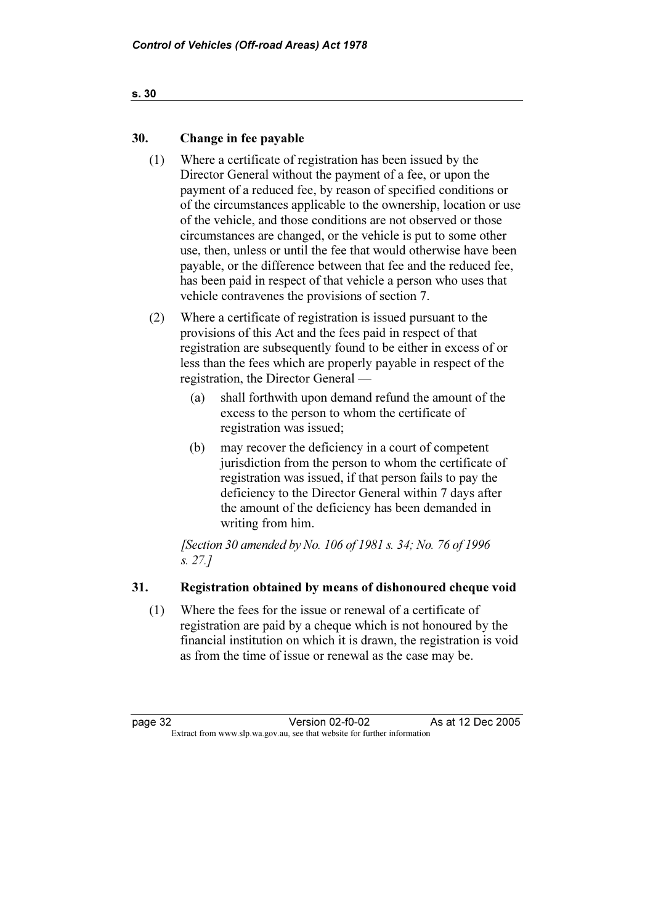# 30. Change in fee payable

- (1) Where a certificate of registration has been issued by the Director General without the payment of a fee, or upon the payment of a reduced fee, by reason of specified conditions or of the circumstances applicable to the ownership, location or use of the vehicle, and those conditions are not observed or those circumstances are changed, or the vehicle is put to some other use, then, unless or until the fee that would otherwise have been payable, or the difference between that fee and the reduced fee, has been paid in respect of that vehicle a person who uses that vehicle contravenes the provisions of section 7.
- (2) Where a certificate of registration is issued pursuant to the provisions of this Act and the fees paid in respect of that registration are subsequently found to be either in excess of or less than the fees which are properly payable in respect of the registration, the Director General —
	- (a) shall forthwith upon demand refund the amount of the excess to the person to whom the certificate of registration was issued;
	- (b) may recover the deficiency in a court of competent jurisdiction from the person to whom the certificate of registration was issued, if that person fails to pay the deficiency to the Director General within 7 days after the amount of the deficiency has been demanded in writing from him.

[Section 30 amended by No. 106 of 1981 s. 34; No. 76 of 1996 s. 27.]

# 31. Registration obtained by means of dishonoured cheque void

 (1) Where the fees for the issue or renewal of a certificate of registration are paid by a cheque which is not honoured by the financial institution on which it is drawn, the registration is void as from the time of issue or renewal as the case may be.

page 32 Version 02-f0-02 As at 12 Dec 2005<br>Extract from www.slp.wa.gov.au, see that website for further information Version 02-f0-02 Extract from www.slp.wa.gov.au, see that website for further information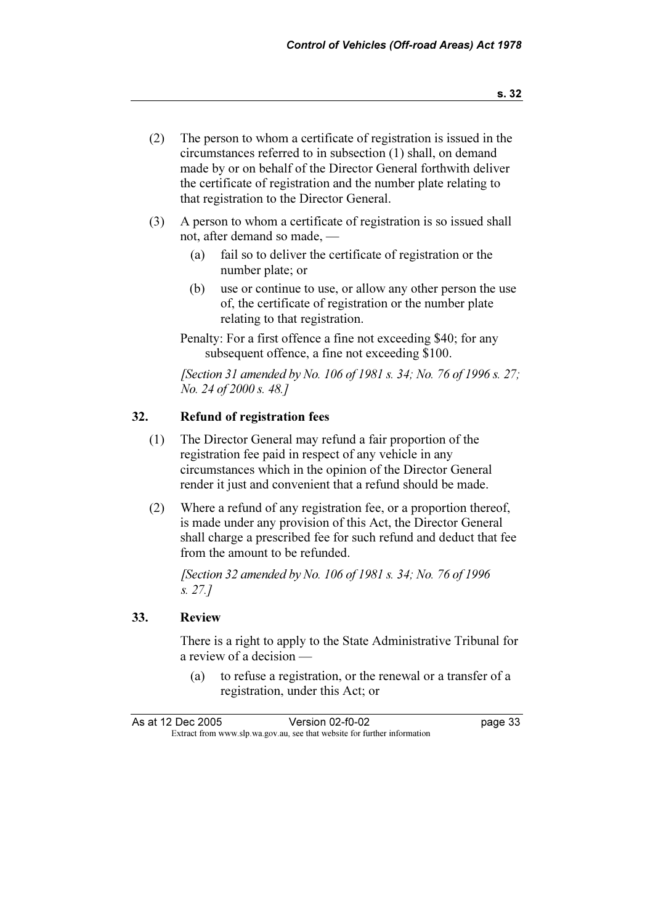- (2) The person to whom a certificate of registration is issued in the circumstances referred to in subsection (1) shall, on demand made by or on behalf of the Director General forthwith deliver the certificate of registration and the number plate relating to that registration to the Director General.
- (3) A person to whom a certificate of registration is so issued shall not, after demand so made, —
	- (a) fail so to deliver the certificate of registration or the number plate; or
	- (b) use or continue to use, or allow any other person the use of, the certificate of registration or the number plate relating to that registration.
	- Penalty: For a first offence a fine not exceeding \$40; for any subsequent offence, a fine not exceeding \$100.

[Section 31 amended by No. 106 of 1981 s. 34; No. 76 of 1996 s. 27; No. 24 of 2000 s. 48.]

# 32. Refund of registration fees

- (1) The Director General may refund a fair proportion of the registration fee paid in respect of any vehicle in any circumstances which in the opinion of the Director General render it just and convenient that a refund should be made.
- (2) Where a refund of any registration fee, or a proportion thereof, is made under any provision of this Act, the Director General shall charge a prescribed fee for such refund and deduct that fee from the amount to be refunded.

[Section 32 amended by No. 106 of 1981 s. 34; No. 76 of 1996] s. 27.]

## 33. Review

 There is a right to apply to the State Administrative Tribunal for a review of a decision —

 (a) to refuse a registration, or the renewal or a transfer of a registration, under this Act; or

| As at 12 Dec 2005 | Version 02-f0-02                                                         | page 33 |
|-------------------|--------------------------------------------------------------------------|---------|
|                   | Extract from www.slp.wa.gov.au, see that website for further information |         |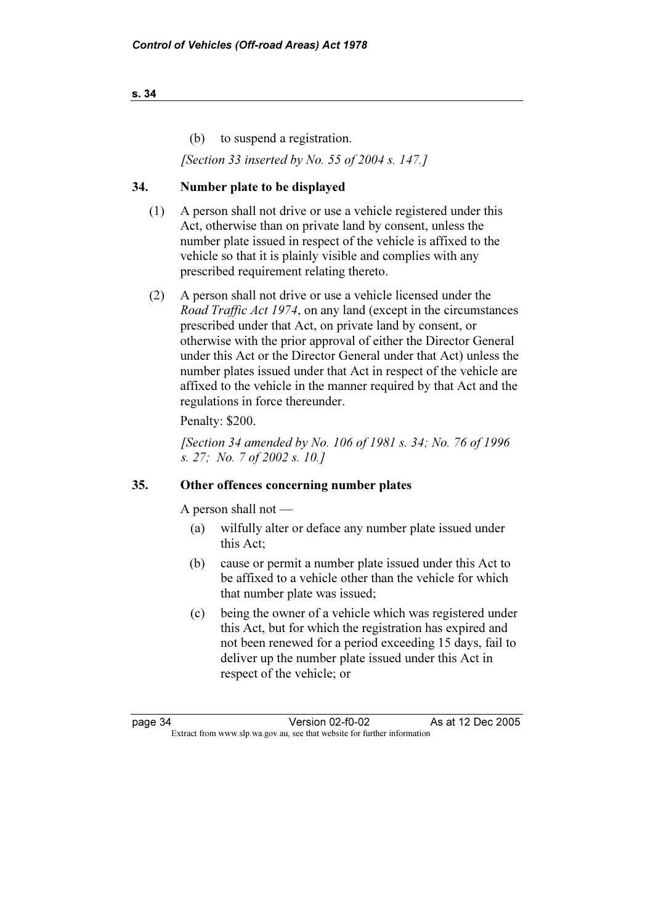#### s. 34

(b) to suspend a registration.

[Section 33 inserted by No. 55 of 2004 s. 147.]

# 34. Number plate to be displayed

- (1) A person shall not drive or use a vehicle registered under this Act, otherwise than on private land by consent, unless the number plate issued in respect of the vehicle is affixed to the vehicle so that it is plainly visible and complies with any prescribed requirement relating thereto.
- (2) A person shall not drive or use a vehicle licensed under the Road Traffic Act 1974, on any land (except in the circumstances prescribed under that Act, on private land by consent, or otherwise with the prior approval of either the Director General under this Act or the Director General under that Act) unless the number plates issued under that Act in respect of the vehicle are affixed to the vehicle in the manner required by that Act and the regulations in force thereunder.

# Penalty: \$200.

 [Section 34 amended by No. 106 of 1981 s. 34; No. 76 of 1996 s. 27; No. 7 of 2002 s. 10.]

## 35. Other offences concerning number plates

A person shall not —

- (a) wilfully alter or deface any number plate issued under this Act;
- (b) cause or permit a number plate issued under this Act to be affixed to a vehicle other than the vehicle for which that number plate was issued;
- (c) being the owner of a vehicle which was registered under this Act, but for which the registration has expired and not been renewed for a period exceeding 15 days, fail to deliver up the number plate issued under this Act in respect of the vehicle; or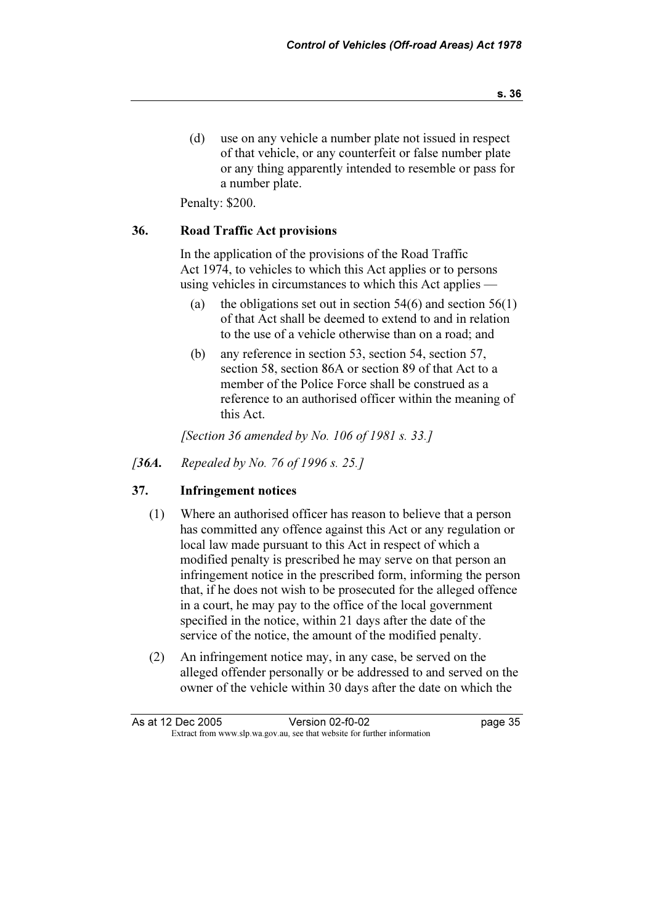(d) use on any vehicle a number plate not issued in respect of that vehicle, or any counterfeit or false number plate or any thing apparently intended to resemble or pass for a number plate.

Penalty: \$200.

#### 36. Road Traffic Act provisions

 In the application of the provisions of the Road Traffic Act 1974, to vehicles to which this Act applies or to persons using vehicles in circumstances to which this Act applies —

- (a) the obligations set out in section  $54(6)$  and section  $56(1)$ of that Act shall be deemed to extend to and in relation to the use of a vehicle otherwise than on a road; and
- (b) any reference in section 53, section 54, section 57, section 58, section 86A or section 89 of that Act to a member of the Police Force shall be construed as a reference to an authorised officer within the meaning of this Act.

[Section 36 amended by No. 106 of 1981 s. 33.]

[36A. Repealed by No. 76 of 1996 s. 25.]

# 37. Infringement notices

- (1) Where an authorised officer has reason to believe that a person has committed any offence against this Act or any regulation or local law made pursuant to this Act in respect of which a modified penalty is prescribed he may serve on that person an infringement notice in the prescribed form, informing the person that, if he does not wish to be prosecuted for the alleged offence in a court, he may pay to the office of the local government specified in the notice, within 21 days after the date of the service of the notice, the amount of the modified penalty.
- (2) An infringement notice may, in any case, be served on the alleged offender personally or be addressed to and served on the owner of the vehicle within 30 days after the date on which the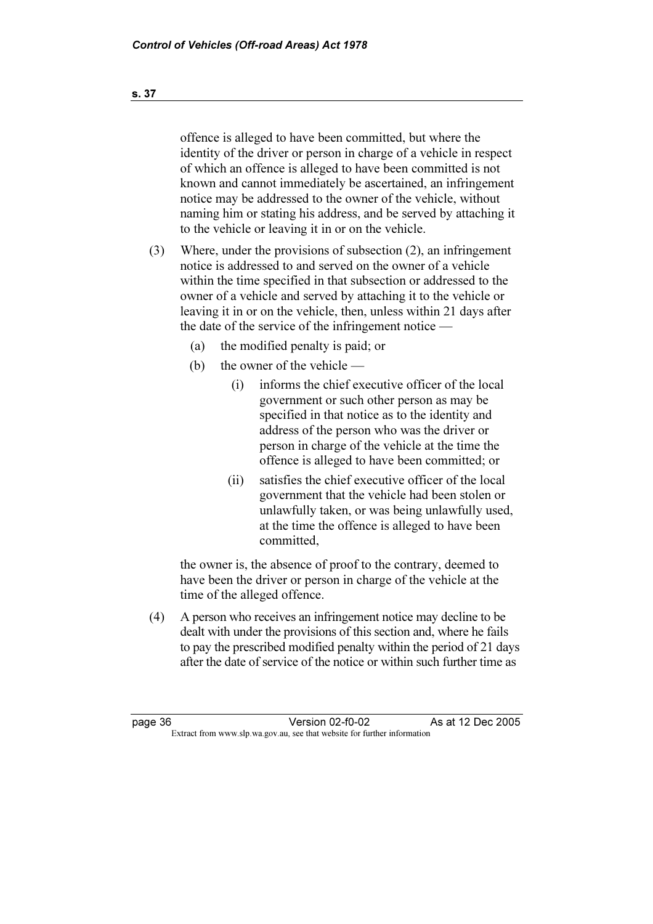offence is alleged to have been committed, but where the identity of the driver or person in charge of a vehicle in respect of which an offence is alleged to have been committed is not known and cannot immediately be ascertained, an infringement notice may be addressed to the owner of the vehicle, without naming him or stating his address, and be served by attaching it to the vehicle or leaving it in or on the vehicle.

- (3) Where, under the provisions of subsection (2), an infringement notice is addressed to and served on the owner of a vehicle within the time specified in that subsection or addressed to the owner of a vehicle and served by attaching it to the vehicle or leaving it in or on the vehicle, then, unless within 21 days after the date of the service of the infringement notice —
	- (a) the modified penalty is paid; or
	- (b) the owner of the vehicle
		- (i) informs the chief executive officer of the local government or such other person as may be specified in that notice as to the identity and address of the person who was the driver or person in charge of the vehicle at the time the offence is alleged to have been committed; or
		- (ii) satisfies the chief executive officer of the local government that the vehicle had been stolen or unlawfully taken, or was being unlawfully used, at the time the offence is alleged to have been committed,

 the owner is, the absence of proof to the contrary, deemed to have been the driver or person in charge of the vehicle at the time of the alleged offence.

 (4) A person who receives an infringement notice may decline to be dealt with under the provisions of this section and, where he fails to pay the prescribed modified penalty within the period of 21 days after the date of service of the notice or within such further time as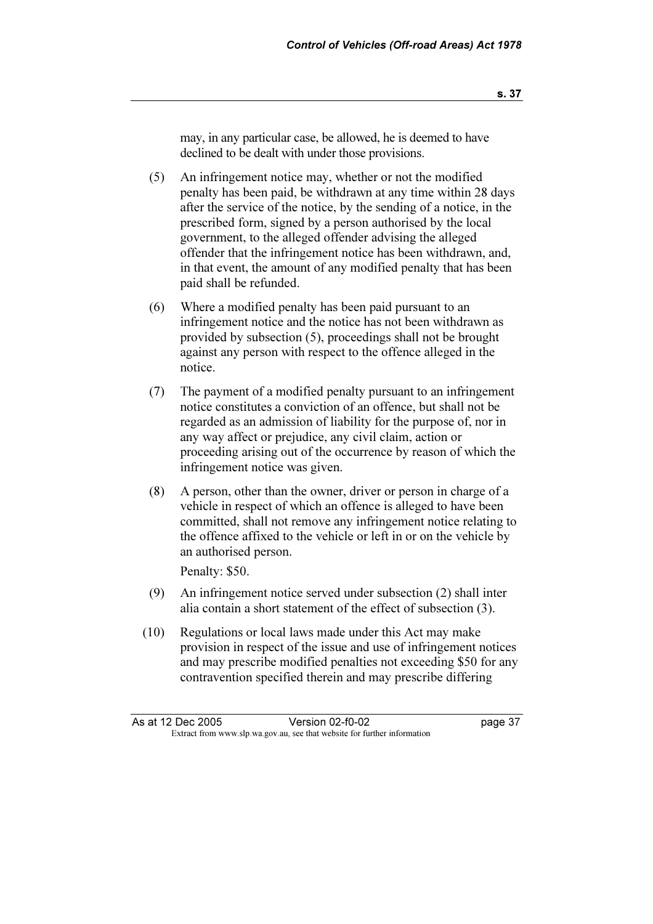may, in any particular case, be allowed, he is deemed to have declined to be dealt with under those provisions.

- (5) An infringement notice may, whether or not the modified penalty has been paid, be withdrawn at any time within 28 days after the service of the notice, by the sending of a notice, in the prescribed form, signed by a person authorised by the local government, to the alleged offender advising the alleged offender that the infringement notice has been withdrawn, and, in that event, the amount of any modified penalty that has been paid shall be refunded.
- (6) Where a modified penalty has been paid pursuant to an infringement notice and the notice has not been withdrawn as provided by subsection (5), proceedings shall not be brought against any person with respect to the offence alleged in the notice.
- (7) The payment of a modified penalty pursuant to an infringement notice constitutes a conviction of an offence, but shall not be regarded as an admission of liability for the purpose of, nor in any way affect or prejudice, any civil claim, action or proceeding arising out of the occurrence by reason of which the infringement notice was given.
- (8) A person, other than the owner, driver or person in charge of a vehicle in respect of which an offence is alleged to have been committed, shall not remove any infringement notice relating to the offence affixed to the vehicle or left in or on the vehicle by an authorised person.

Penalty: \$50.

- (9) An infringement notice served under subsection (2) shall inter alia contain a short statement of the effect of subsection (3).
- (10) Regulations or local laws made under this Act may make provision in respect of the issue and use of infringement notices and may prescribe modified penalties not exceeding \$50 for any contravention specified therein and may prescribe differing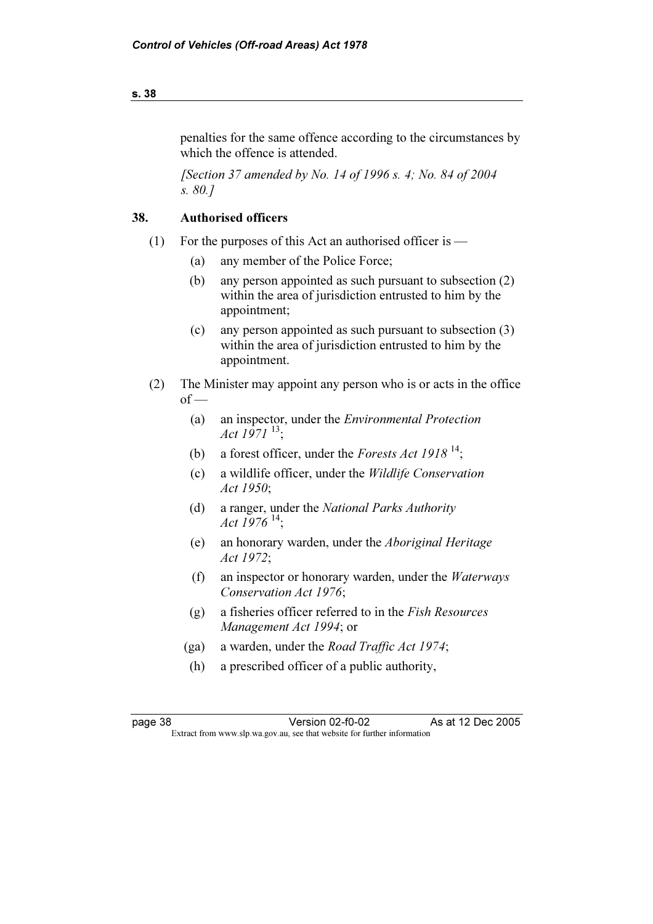# penalties for the same offence according to the circumstances by which the offence is attended.

[Section 37 amended by No. 14 of 1996 s. 4; No. 84 of 2004] s. 80.]

# 38. Authorised officers

- (1) For the purposes of this Act an authorised officer is  $-$ 
	- (a) any member of the Police Force;
	- (b) any person appointed as such pursuant to subsection (2) within the area of jurisdiction entrusted to him by the appointment;
	- (c) any person appointed as such pursuant to subsection (3) within the area of jurisdiction entrusted to him by the appointment.
- (2) The Minister may appoint any person who is or acts in the office  $of$  —
	- (a) an inspector, under the Environmental Protection Act  $1971^{13}$ :
- (b) a forest officer, under the Forests Act 1918<sup>14</sup>;
	- (c) a wildlife officer, under the Wildlife Conservation Act 1950;
	- (d) a ranger, under the National Parks Authority *Act 1976*<sup>14</sup>;
	- (e) an honorary warden, under the Aboriginal Heritage Act 1972;
	- (f) an inspector or honorary warden, under the Waterways Conservation Act 1976;
	- (g) a fisheries officer referred to in the Fish Resources Management Act 1994; or
	- (ga) a warden, under the Road Traffic Act 1974;
	- (h) a prescribed officer of a public authority,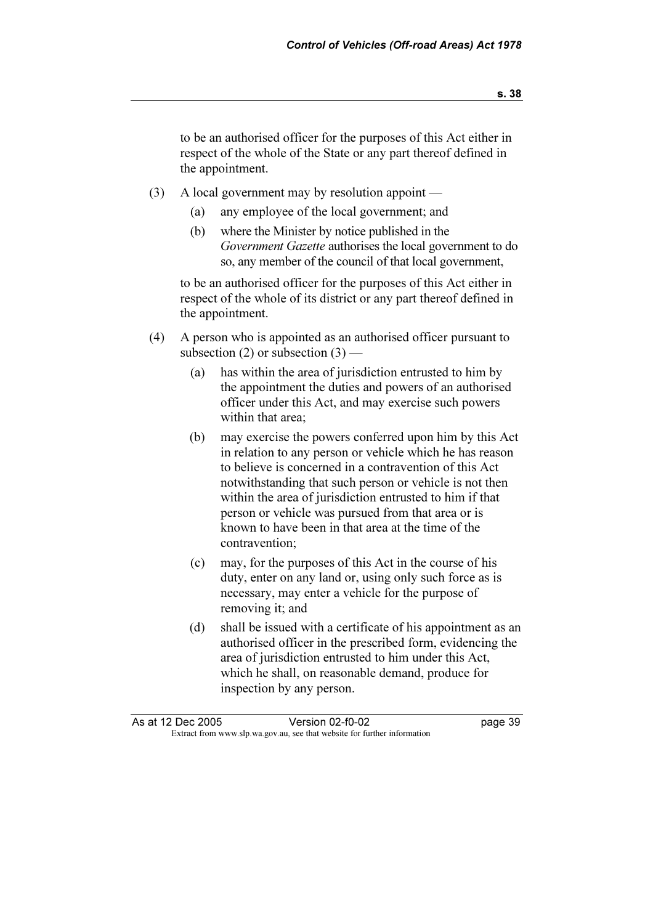to be an authorised officer for the purposes of this Act either in respect of the whole of the State or any part thereof defined in the appointment.

- (3) A local government may by resolution appoint
	- (a) any employee of the local government; and
	- (b) where the Minister by notice published in the Government Gazette authorises the local government to do so, any member of the council of that local government,

 to be an authorised officer for the purposes of this Act either in respect of the whole of its district or any part thereof defined in the appointment.

- (4) A person who is appointed as an authorised officer pursuant to subsection  $(2)$  or subsection  $(3)$  —
	- (a) has within the area of jurisdiction entrusted to him by the appointment the duties and powers of an authorised officer under this Act, and may exercise such powers within that area;
	- (b) may exercise the powers conferred upon him by this Act in relation to any person or vehicle which he has reason to believe is concerned in a contravention of this Act notwithstanding that such person or vehicle is not then within the area of jurisdiction entrusted to him if that person or vehicle was pursued from that area or is known to have been in that area at the time of the contravention;
	- (c) may, for the purposes of this Act in the course of his duty, enter on any land or, using only such force as is necessary, may enter a vehicle for the purpose of removing it; and
	- (d) shall be issued with a certificate of his appointment as an authorised officer in the prescribed form, evidencing the area of jurisdiction entrusted to him under this Act, which he shall, on reasonable demand, produce for inspection by any person.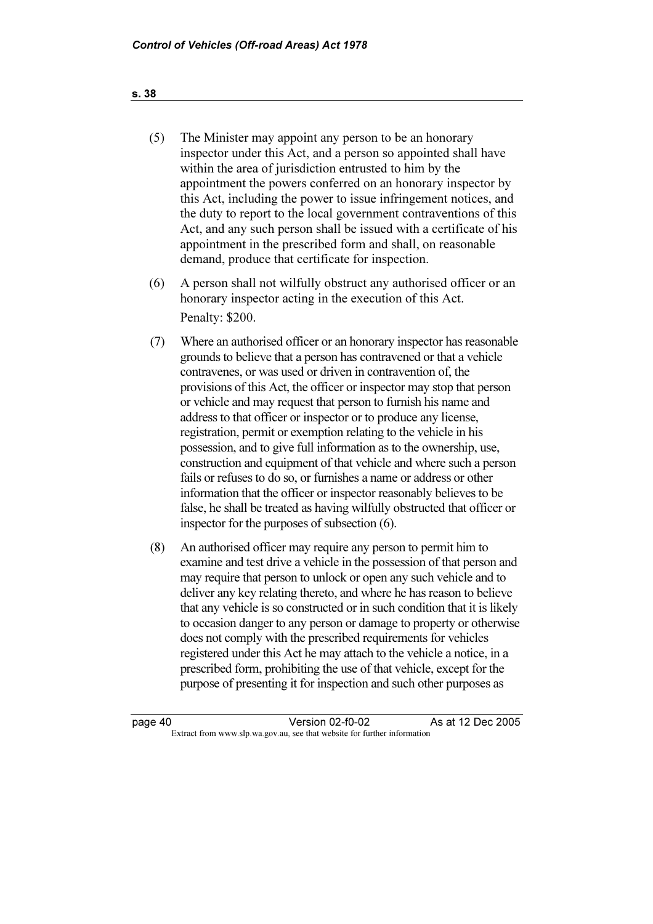- (5) The Minister may appoint any person to be an honorary inspector under this Act, and a person so appointed shall have within the area of jurisdiction entrusted to him by the appointment the powers conferred on an honorary inspector by this Act, including the power to issue infringement notices, and the duty to report to the local government contraventions of this Act, and any such person shall be issued with a certificate of his appointment in the prescribed form and shall, on reasonable demand, produce that certificate for inspection.
- (6) A person shall not wilfully obstruct any authorised officer or an honorary inspector acting in the execution of this Act. Penalty: \$200.
- (7) Where an authorised officer or an honorary inspector has reasonable grounds to believe that a person has contravened or that a vehicle contravenes, or was used or driven in contravention of, the provisions of this Act, the officer or inspector may stop that person or vehicle and may request that person to furnish his name and address to that officer or inspector or to produce any license, registration, permit or exemption relating to the vehicle in his possession, and to give full information as to the ownership, use, construction and equipment of that vehicle and where such a person fails or refuses to do so, or furnishes a name or address or other information that the officer or inspector reasonably believes to be false, he shall be treated as having wilfully obstructed that officer or inspector for the purposes of subsection (6).
- (8) An authorised officer may require any person to permit him to examine and test drive a vehicle in the possession of that person and may require that person to unlock or open any such vehicle and to deliver any key relating thereto, and where he has reason to believe that any vehicle is so constructed or in such condition that it is likely to occasion danger to any person or damage to property or otherwise does not comply with the prescribed requirements for vehicles registered under this Act he may attach to the vehicle a notice, in a prescribed form, prohibiting the use of that vehicle, except for the purpose of presenting it for inspection and such other purposes as

page 40 Version 02-f0-02<br>Extract from www.slp.wa.gov.au, see that website for further information As at 12 Dec 2005 Version 02-f0-02 Extract from www.slp.wa.gov.au, see that website for further information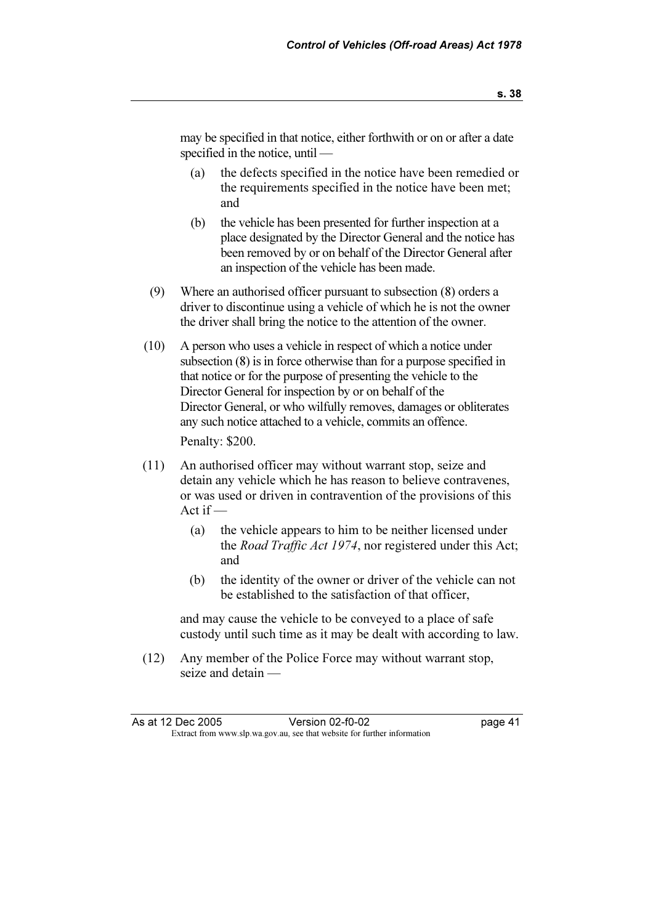may be specified in that notice, either forthwith or on or after a date specified in the notice, until —

- (a) the defects specified in the notice have been remedied or the requirements specified in the notice have been met; and
- (b) the vehicle has been presented for further inspection at a place designated by the Director General and the notice has been removed by or on behalf of the Director General after an inspection of the vehicle has been made.
- (9) Where an authorised officer pursuant to subsection (8) orders a driver to discontinue using a vehicle of which he is not the owner the driver shall bring the notice to the attention of the owner.
- (10) A person who uses a vehicle in respect of which a notice under subsection (8) is in force otherwise than for a purpose specified in that notice or for the purpose of presenting the vehicle to the Director General for inspection by or on behalf of the Director General, or who wilfully removes, damages or obliterates any such notice attached to a vehicle, commits an offence.

Penalty: \$200.

- (11) An authorised officer may without warrant stop, seize and detain any vehicle which he has reason to believe contravenes, or was used or driven in contravention of the provisions of this Act if —
	- (a) the vehicle appears to him to be neither licensed under the Road Traffic Act 1974, nor registered under this Act; and
	- (b) the identity of the owner or driver of the vehicle can not be established to the satisfaction of that officer,

 and may cause the vehicle to be conveyed to a place of safe custody until such time as it may be dealt with according to law.

 (12) Any member of the Police Force may without warrant stop, seize and detain —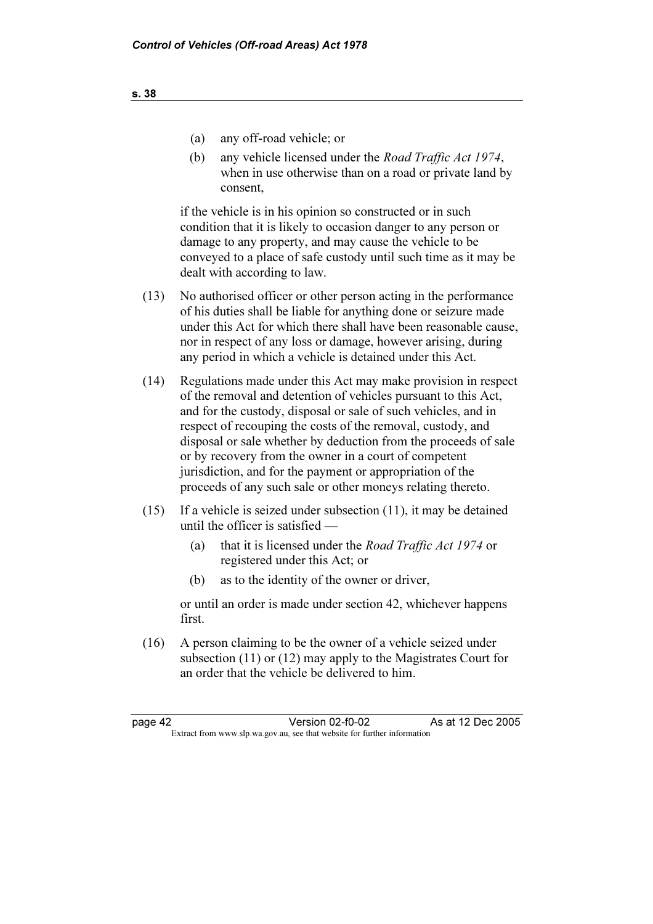- (a) any off-road vehicle; or
- (b) any vehicle licensed under the Road Traffic Act 1974, when in use otherwise than on a road or private land by consent,

 if the vehicle is in his opinion so constructed or in such condition that it is likely to occasion danger to any person or damage to any property, and may cause the vehicle to be conveyed to a place of safe custody until such time as it may be dealt with according to law.

- (13) No authorised officer or other person acting in the performance of his duties shall be liable for anything done or seizure made under this Act for which there shall have been reasonable cause, nor in respect of any loss or damage, however arising, during any period in which a vehicle is detained under this Act.
- (14) Regulations made under this Act may make provision in respect of the removal and detention of vehicles pursuant to this Act, and for the custody, disposal or sale of such vehicles, and in respect of recouping the costs of the removal, custody, and disposal or sale whether by deduction from the proceeds of sale or by recovery from the owner in a court of competent jurisdiction, and for the payment or appropriation of the proceeds of any such sale or other moneys relating thereto.
- (15) If a vehicle is seized under subsection (11), it may be detained until the officer is satisfied —
	- (a) that it is licensed under the Road Traffic Act 1974 or registered under this Act; or
	- (b) as to the identity of the owner or driver,

 or until an order is made under section 42, whichever happens first.

 (16) A person claiming to be the owner of a vehicle seized under subsection (11) or (12) may apply to the Magistrates Court for an order that the vehicle be delivered to him.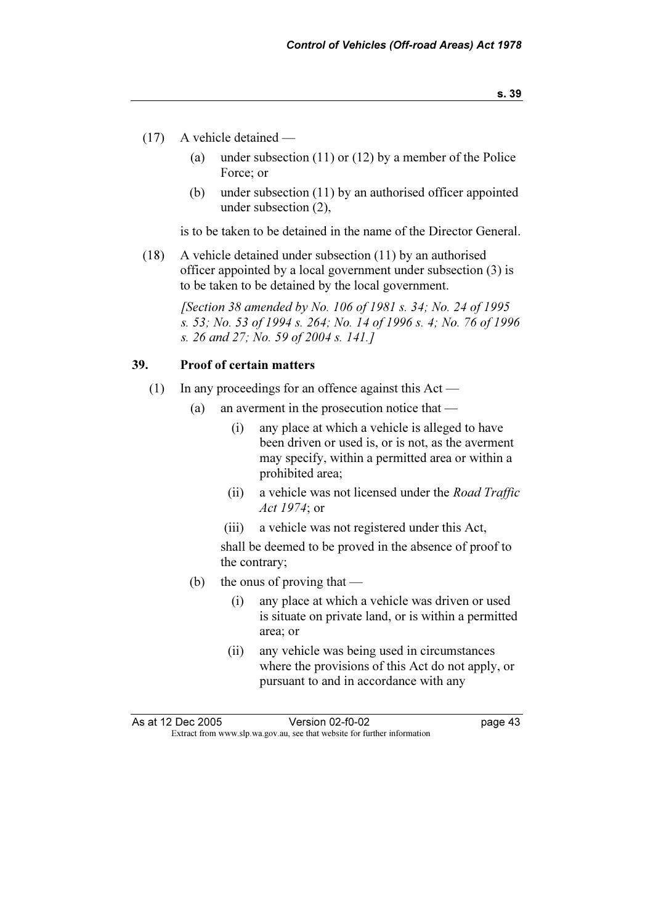- (17) A vehicle detained
	- (a) under subsection (11) or (12) by a member of the Police Force; or
	- (b) under subsection (11) by an authorised officer appointed under subsection (2),

is to be taken to be detained in the name of the Director General.

 (18) A vehicle detained under subsection (11) by an authorised officer appointed by a local government under subsection (3) is to be taken to be detained by the local government.

[Section 38 amended by No. 106 of 1981 s. 34; No. 24 of 1995] s. 53; No. 53 of 1994 s. 264; No. 14 of 1996 s. 4; No. 76 of 1996 s. 26 and 27; No. 59 of 2004 s. 141.]

## 39. Proof of certain matters

- (1) In any proceedings for an offence against this Act
	- (a) an averment in the prosecution notice that
		- (i) any place at which a vehicle is alleged to have been driven or used is, or is not, as the averment may specify, within a permitted area or within a prohibited area;
		- (ii) a vehicle was not licensed under the Road Traffic Act 1974; or
		- (iii) a vehicle was not registered under this Act,

 shall be deemed to be proved in the absence of proof to the contrary;

- (b) the onus of proving that
	- (i) any place at which a vehicle was driven or used is situate on private land, or is within a permitted area; or
	- (ii) any vehicle was being used in circumstances where the provisions of this Act do not apply, or pursuant to and in accordance with any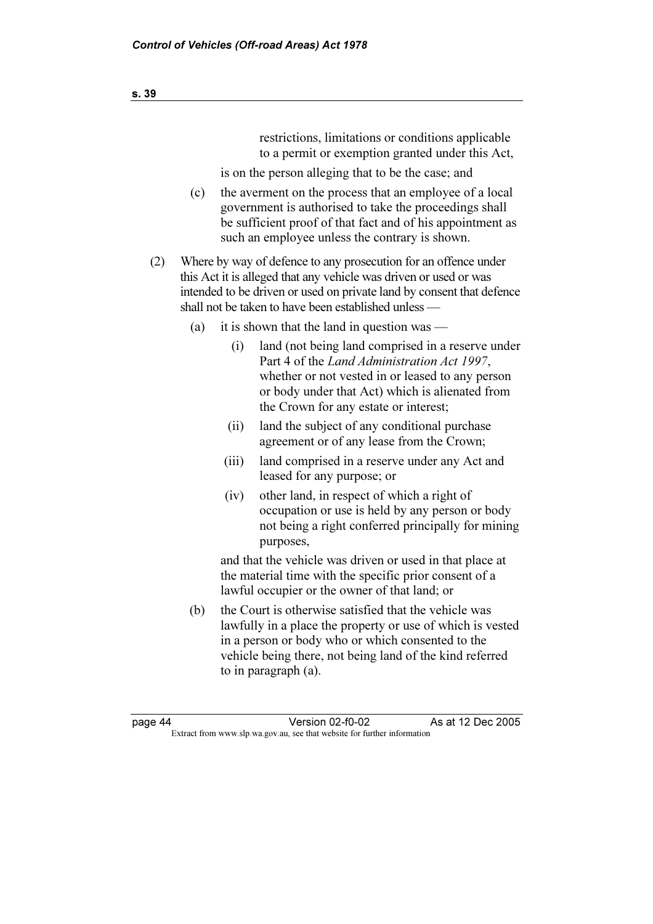restrictions, limitations or conditions applicable to a permit or exemption granted under this Act,

is on the person alleging that to be the case; and

- (c) the averment on the process that an employee of a local government is authorised to take the proceedings shall be sufficient proof of that fact and of his appointment as such an employee unless the contrary is shown.
- (2) Where by way of defence to any prosecution for an offence under this Act it is alleged that any vehicle was driven or used or was intended to be driven or used on private land by consent that defence shall not be taken to have been established unless —
	- (a) it is shown that the land in question was
		- (i) land (not being land comprised in a reserve under Part 4 of the Land Administration Act 1997, whether or not vested in or leased to any person or body under that Act) which is alienated from the Crown for any estate or interest;
		- (ii) land the subject of any conditional purchase agreement or of any lease from the Crown;
		- (iii) land comprised in a reserve under any Act and leased for any purpose; or
		- (iv) other land, in respect of which a right of occupation or use is held by any person or body not being a right conferred principally for mining purposes,

 and that the vehicle was driven or used in that place at the material time with the specific prior consent of a lawful occupier or the owner of that land; or

 (b) the Court is otherwise satisfied that the vehicle was lawfully in a place the property or use of which is vested in a person or body who or which consented to the vehicle being there, not being land of the kind referred to in paragraph (a).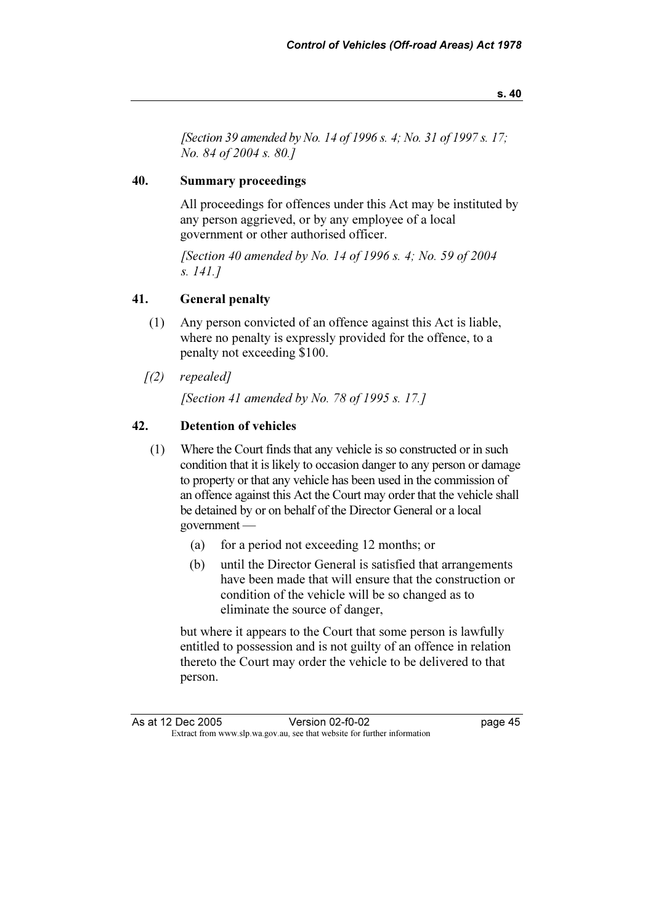[Section 39 amended by No. 14 of 1996 s. 4; No. 31 of 1997 s. 17; No. 84 of 2004 s. 80.]

# 40. Summary proceedings

 All proceedings for offences under this Act may be instituted by any person aggrieved, or by any employee of a local government or other authorised officer.

 [Section 40 amended by No. 14 of 1996 s. 4; No. 59 of 2004 s. 141.]

# 41. General penalty

- (1) Any person convicted of an offence against this Act is liable, where no penalty is expressly provided for the offence, to a penalty not exceeding \$100.
- $(2)$  repealed]

[Section 41 amended by No. 78 of 1995 s. 17.]

# 42. Detention of vehicles

- (1) Where the Court finds that any vehicle is so constructed or in such condition that it is likely to occasion danger to any person or damage to property or that any vehicle has been used in the commission of an offence against this Act the Court may order that the vehicle shall be detained by or on behalf of the Director General or a local government —
	- (a) for a period not exceeding 12 months; or
	- (b) until the Director General is satisfied that arrangements have been made that will ensure that the construction or condition of the vehicle will be so changed as to eliminate the source of danger,

 but where it appears to the Court that some person is lawfully entitled to possession and is not guilty of an offence in relation thereto the Court may order the vehicle to be delivered to that person.

As at 12 Dec 2005 As 2005 Version 02-f0-02 page 45<br>Extract from www.slp.wa.gov.au, see that website for further information Extract from www.slp.wa.gov.au, see that website for further information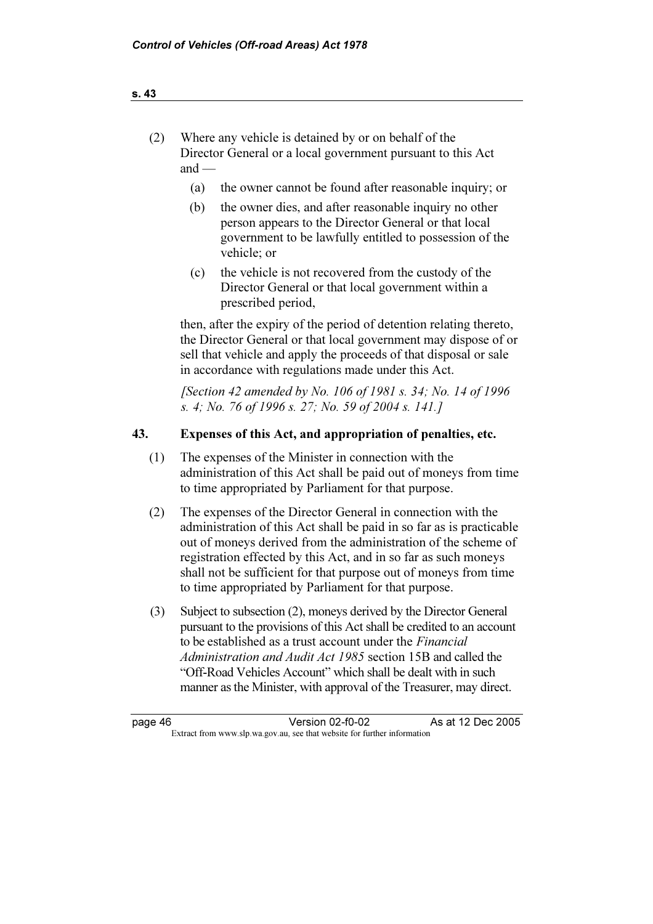| Where any vehicle is detained by or on behalf of the        |
|-------------------------------------------------------------|
| Director General or a local government pursuant to this Act |
| and $-$                                                     |

- (a) the owner cannot be found after reasonable inquiry; or
- (b) the owner dies, and after reasonable inquiry no other person appears to the Director General or that local government to be lawfully entitled to possession of the vehicle; or
- (c) the vehicle is not recovered from the custody of the Director General or that local government within a prescribed period,

 then, after the expiry of the period of detention relating thereto, the Director General or that local government may dispose of or sell that vehicle and apply the proceeds of that disposal or sale in accordance with regulations made under this Act.

 [Section 42 amended by No. 106 of 1981 s. 34; No. 14 of 1996 s. 4; No. 76 of 1996 s. 27; No. 59 of 2004 s. 141.]

#### 43. Expenses of this Act, and appropriation of penalties, etc.

- (1) The expenses of the Minister in connection with the administration of this Act shall be paid out of moneys from time to time appropriated by Parliament for that purpose.
- (2) The expenses of the Director General in connection with the administration of this Act shall be paid in so far as is practicable out of moneys derived from the administration of the scheme of registration effected by this Act, and in so far as such moneys shall not be sufficient for that purpose out of moneys from time to time appropriated by Parliament for that purpose.
- (3) Subject to subsection (2), moneys derived by the Director General pursuant to the provisions of this Act shall be credited to an account to be established as a trust account under the Financial Administration and Audit Act 1985 section 15B and called the "Off-Road Vehicles Account" which shall be dealt with in such manner as the Minister, with approval of the Treasurer, may direct.

page 46 Version 02-f0-02<br>Extract from www.slp.wa.gov.au, see that website for further information Version 02-f0-02 As at 12 Dec 2005 Extract from www.slp.wa.gov.au, see that website for further information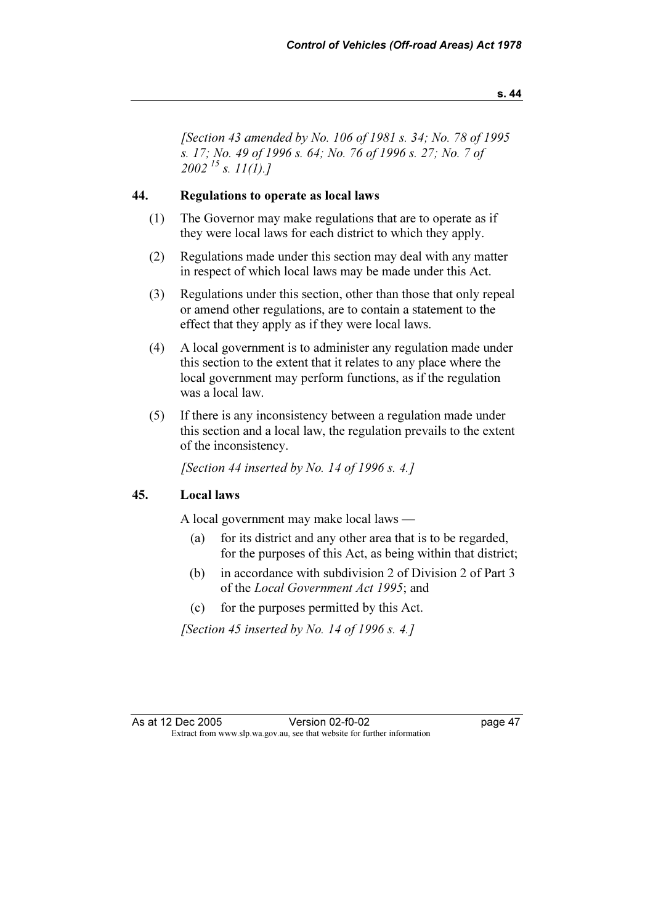s. 44

[Section 43 amended by No. 106 of 1981 s. 34; No. 78 of 1995] s. 17; No. 49 of 1996 s. 64; No. 76 of 1996 s. 27; No. 7 of  $2002^{15}$  s. 11(1).]

#### 44. Regulations to operate as local laws

- (1) The Governor may make regulations that are to operate as if they were local laws for each district to which they apply.
- (2) Regulations made under this section may deal with any matter in respect of which local laws may be made under this Act.
- (3) Regulations under this section, other than those that only repeal or amend other regulations, are to contain a statement to the effect that they apply as if they were local laws.
- (4) A local government is to administer any regulation made under this section to the extent that it relates to any place where the local government may perform functions, as if the regulation was a local law.
- (5) If there is any inconsistency between a regulation made under this section and a local law, the regulation prevails to the extent of the inconsistency.

[Section 44 inserted by No. 14 of 1996 s. 4.]

#### 45. Local laws

A local government may make local laws —

- (a) for its district and any other area that is to be regarded, for the purposes of this Act, as being within that district;
- (b) in accordance with subdivision 2 of Division 2 of Part 3 of the Local Government Act 1995; and
- (c) for the purposes permitted by this Act.

[Section 45 inserted by No. 14 of 1996 s. 4.]

As at 12 Dec 2005 As 12 Dec 2005 Version 02-f0-02<br>
Extract from www.slp.wa.gov.au, see that website for further information Version 02-f0-02 Extract from www.slp.wa.gov.au, see that website for further information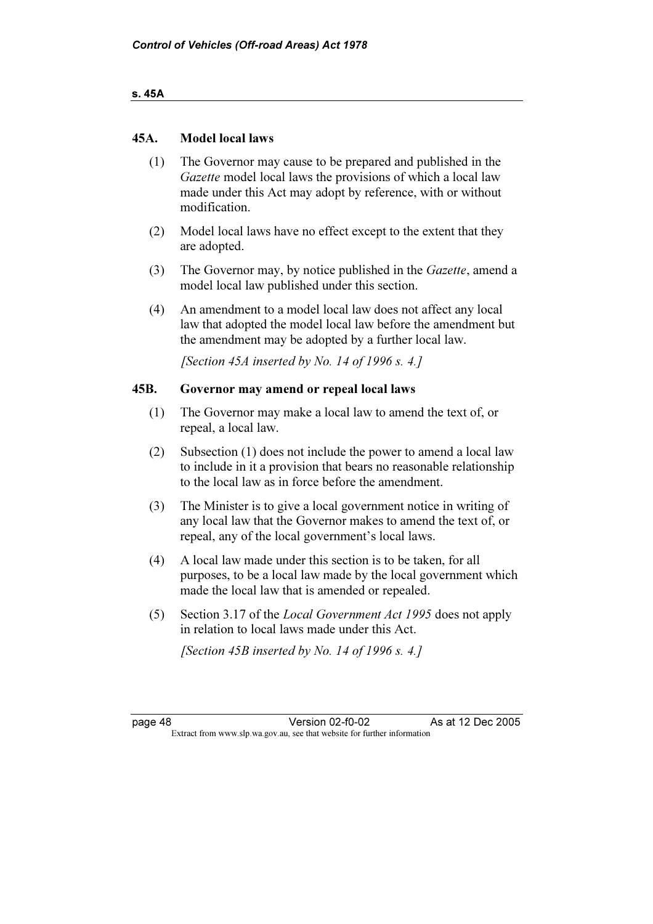#### s. 45A

## 45A. Model local laws

- (1) The Governor may cause to be prepared and published in the Gazette model local laws the provisions of which a local law made under this Act may adopt by reference, with or without modification.
- (2) Model local laws have no effect except to the extent that they are adopted.
- (3) The Governor may, by notice published in the Gazette, amend a model local law published under this section.
- (4) An amendment to a model local law does not affect any local law that adopted the model local law before the amendment but the amendment may be adopted by a further local law.

[Section 45A inserted by No. 14 of 1996 s. 4.]

#### 45B. Governor may amend or repeal local laws

- (1) The Governor may make a local law to amend the text of, or repeal, a local law.
- (2) Subsection (1) does not include the power to amend a local law to include in it a provision that bears no reasonable relationship to the local law as in force before the amendment.
- (3) The Minister is to give a local government notice in writing of any local law that the Governor makes to amend the text of, or repeal, any of the local government's local laws.
- (4) A local law made under this section is to be taken, for all purposes, to be a local law made by the local government which made the local law that is amended or repealed.
- (5) Section 3.17 of the Local Government Act 1995 does not apply in relation to local laws made under this Act.

[Section 45B inserted by No. 14 of 1996 s. 4.]

page 48 Version 02-f0-02 As at 12 Dec 2005<br>Extract from www.slp.wa.gov.au, see that website for further information Version 02-f0-02 Extract from www.slp.wa.gov.au, see that website for further information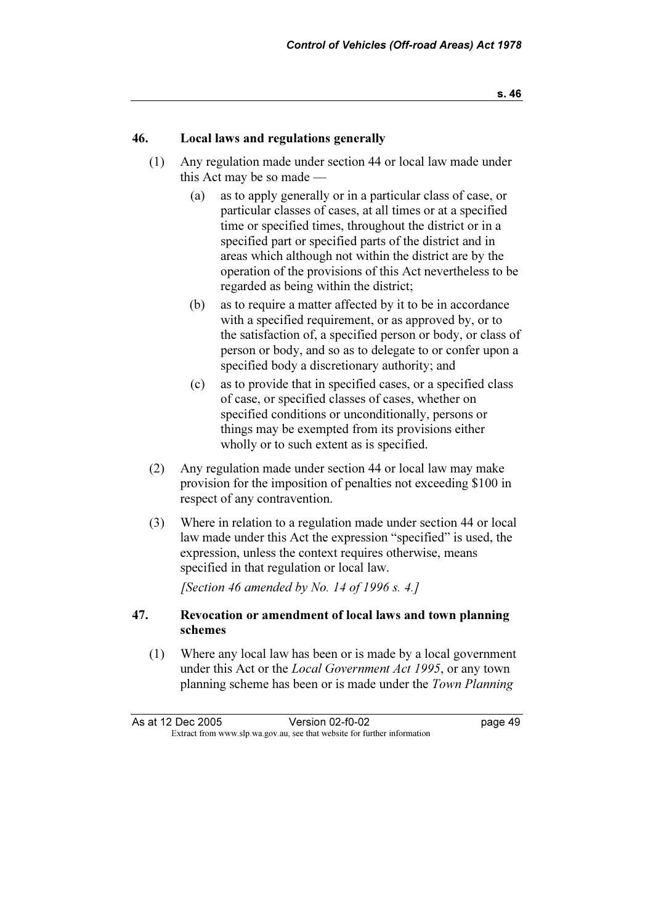## 46. Local laws and regulations generally

- (1) Any regulation made under section 44 or local law made under this Act may be so made —
	- (a) as to apply generally or in a particular class of case, or particular classes of cases, at all times or at a specified time or specified times, throughout the district or in a specified part or specified parts of the district and in areas which although not within the district are by the operation of the provisions of this Act nevertheless to be regarded as being within the district;
	- (b) as to require a matter affected by it to be in accordance with a specified requirement, or as approved by, or to the satisfaction of, a specified person or body, or class of person or body, and so as to delegate to or confer upon a specified body a discretionary authority; and
	- (c) as to provide that in specified cases, or a specified class of case, or specified classes of cases, whether on specified conditions or unconditionally, persons or things may be exempted from its provisions either wholly or to such extent as is specified.
- (2) Any regulation made under section 44 or local law may make provision for the imposition of penalties not exceeding \$100 in respect of any contravention.
- (3) Where in relation to a regulation made under section 44 or local law made under this Act the expression "specified" is used, the expression, unless the context requires otherwise, means specified in that regulation or local law.

[Section 46 amended by No. 14 of 1996 s. 4.]

## 47. Revocation or amendment of local laws and town planning schemes

 (1) Where any local law has been or is made by a local government under this Act or the Local Government Act 1995, or any town planning scheme has been or is made under the Town Planning

As at 12 Dec 2005  $\frac{12005}{2005}$  Version 02-f0-02<br>Extract from www.slp.wa.gov.au, see that website for further information Version 02-f0-02 Extract from www.slp.wa.gov.au, see that website for further information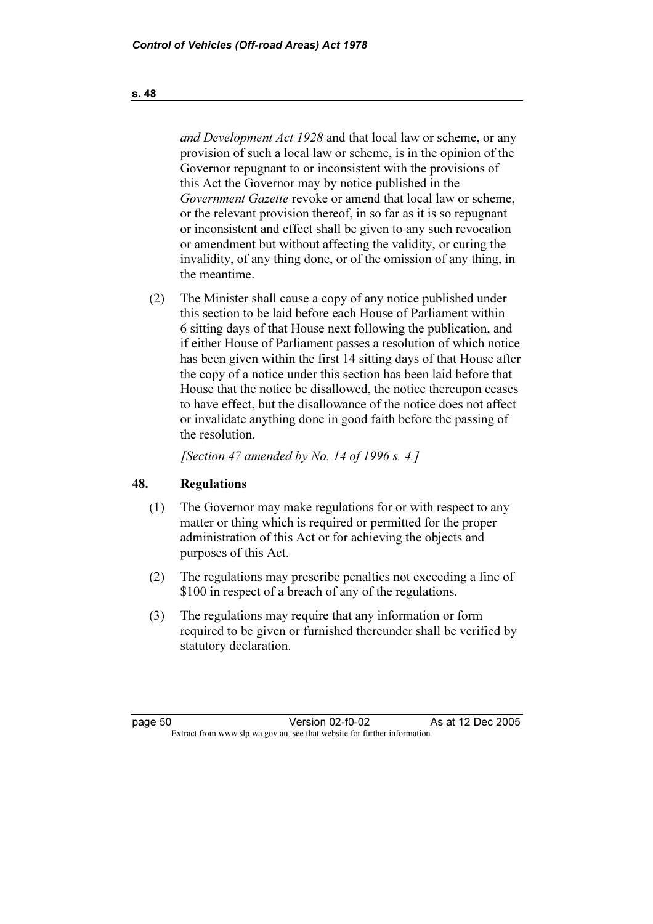and Development Act 1928 and that local law or scheme, or any provision of such a local law or scheme, is in the opinion of the Governor repugnant to or inconsistent with the provisions of this Act the Governor may by notice published in the Government Gazette revoke or amend that local law or scheme, or the relevant provision thereof, in so far as it is so repugnant or inconsistent and effect shall be given to any such revocation or amendment but without affecting the validity, or curing the invalidity, of any thing done, or of the omission of any thing, in the meantime.

 (2) The Minister shall cause a copy of any notice published under this section to be laid before each House of Parliament within 6 sitting days of that House next following the publication, and if either House of Parliament passes a resolution of which notice has been given within the first 14 sitting days of that House after the copy of a notice under this section has been laid before that House that the notice be disallowed, the notice thereupon ceases to have effect, but the disallowance of the notice does not affect or invalidate anything done in good faith before the passing of the resolution.

[Section 47 amended by No. 14 of 1996 s. 4.]

# 48. Regulations

- (1) The Governor may make regulations for or with respect to any matter or thing which is required or permitted for the proper administration of this Act or for achieving the objects and purposes of this Act.
- (2) The regulations may prescribe penalties not exceeding a fine of \$100 in respect of a breach of any of the regulations.
- (3) The regulations may require that any information or form required to be given or furnished thereunder shall be verified by statutory declaration.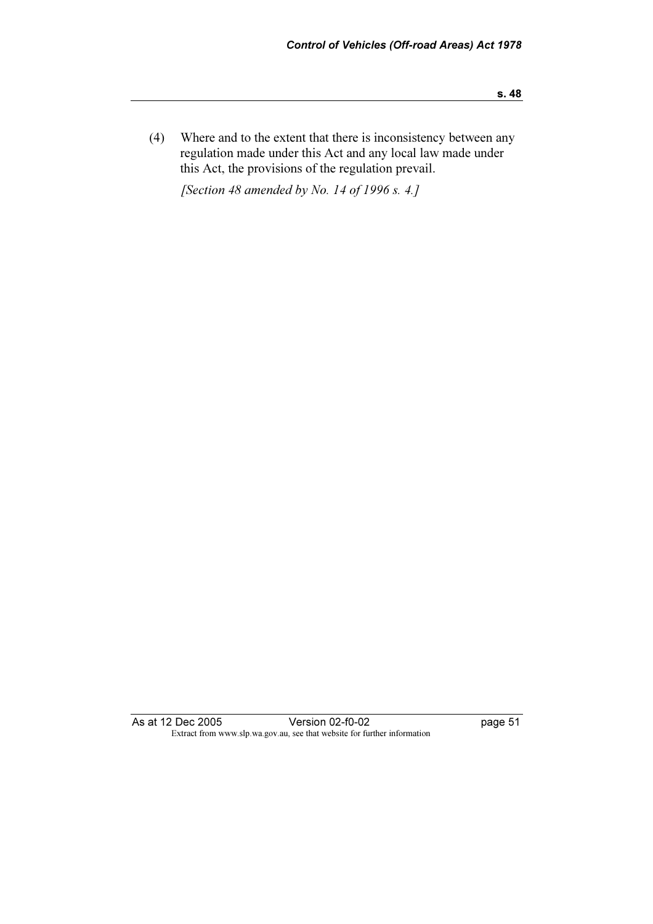(4) Where and to the extent that there is inconsistency between any regulation made under this Act and any local law made under this Act, the provisions of the regulation prevail.

[Section 48 amended by No. 14 of 1996 s. 4.]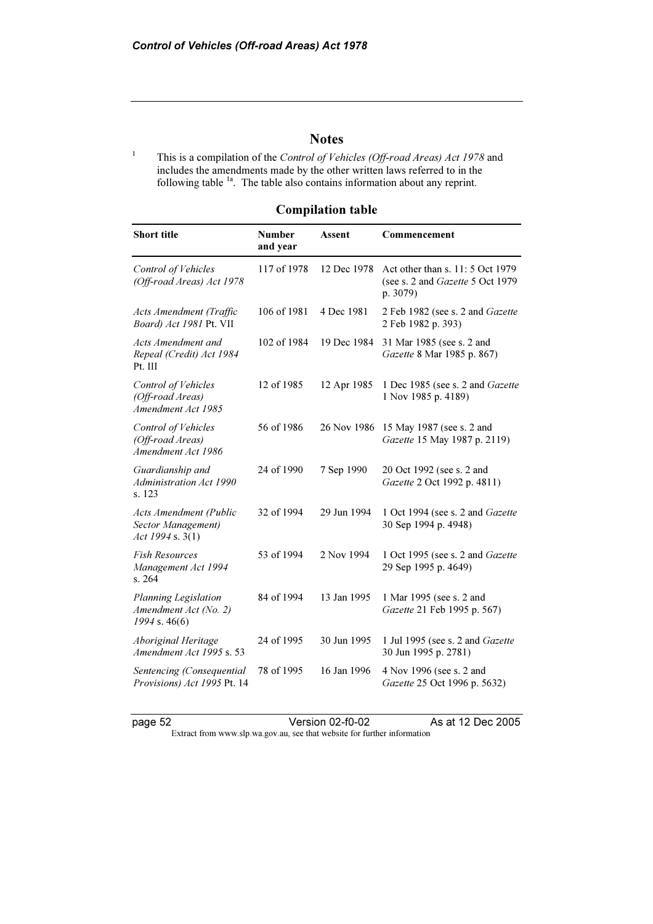# **Notes**

<sup>1</sup> This is a compilation of the Control of Vehicles (Off-road Areas) Act 1978 and includes the amendments made by the other written laws referred to in the following table  $1a$ . The table also contains information about any reprint.

# Compilation table

| <b>Short title</b>                                                      | <b>Number</b><br>and year | Assent      | Commencement                                                                      |
|-------------------------------------------------------------------------|---------------------------|-------------|-----------------------------------------------------------------------------------|
| <b>Control of Vehicles</b><br>(Off-road Areas) Act 1978                 | 117 of 1978               | 12 Dec 1978 | Act other than s. 11: 5 Oct 1979<br>(see s. 2 and Gazette 5 Oct 1979)<br>p. 3079) |
| Acts Amendment (Traffic<br>Board) Act 1981 Pt. VII                      | 106 of 1981               | 4 Dec 1981  | 2 Feb 1982 (see s. 2 and Gazette<br>2 Feb 1982 p. 393)                            |
| Acts Amendment and<br>Repeal (Credit) Act 1984<br>Pt. III               | 102 of 1984               | 19 Dec 1984 | 31 Mar 1985 (see s. 2 and<br>Gazette 8 Mar 1985 p. 867)                           |
| Control of Vehicles<br>(Off-road Areas)<br>Amendment Act 1985           | 12 of 1985                | 12 Apr 1985 | 1 Dec 1985 (see s. 2 and Gazette<br>1 Nov 1985 p. 4189)                           |
| Control of Vehicles<br>(Off-road Areas)<br>Amendment Act 1986           | 56 of 1986                | 26 Nov 1986 | 15 May 1987 (see s. 2 and<br>Gazette 15 May 1987 p. 2119)                         |
| Guardianship and<br><b>Administration Act 1990</b><br>s. 123            | 24 of 1990                | 7 Sep 1990  | 20 Oct 1992 (see s. 2 and<br>Gazette 2 Oct 1992 p. 4811)                          |
| <b>Acts Amendment (Public</b><br>Sector Management)<br>Act 1994 s. 3(1) | 32 of 1994                | 29 Jun 1994 | 1 Oct 1994 (see s. 2 and Gazette<br>30 Sep 1994 p. 4948)                          |
| <b>Fish Resources</b><br>Management Act 1994<br>s. 264                  | 53 of 1994                | 2 Nov 1994  | 1 Oct 1995 (see s. 2 and Gazette<br>29 Sep 1995 p. 4649)                          |
| Planning Legislation<br>Amendment Act (No. 2)<br>$1994$ s. 46(6)        | 84 of 1994                | 13 Jan 1995 | 1 Mar 1995 (see s. 2 and<br>Gazette 21 Feb 1995 p. 567)                           |
| Aboriginal Heritage<br>Amendment Act 1995 s. 53                         | 24 of 1995                | 30 Jun 1995 | 1 Jul 1995 (see s. 2 and Gazette<br>30 Jun 1995 p. 2781)                          |
| Sentencing (Consequential<br>Provisions) Act 1995 Pt. 14                | 78 of 1995                | 16 Jan 1996 | 4 Nov 1996 (see s. 2 and<br>Gazette 25 Oct 1996 p. 5632)                          |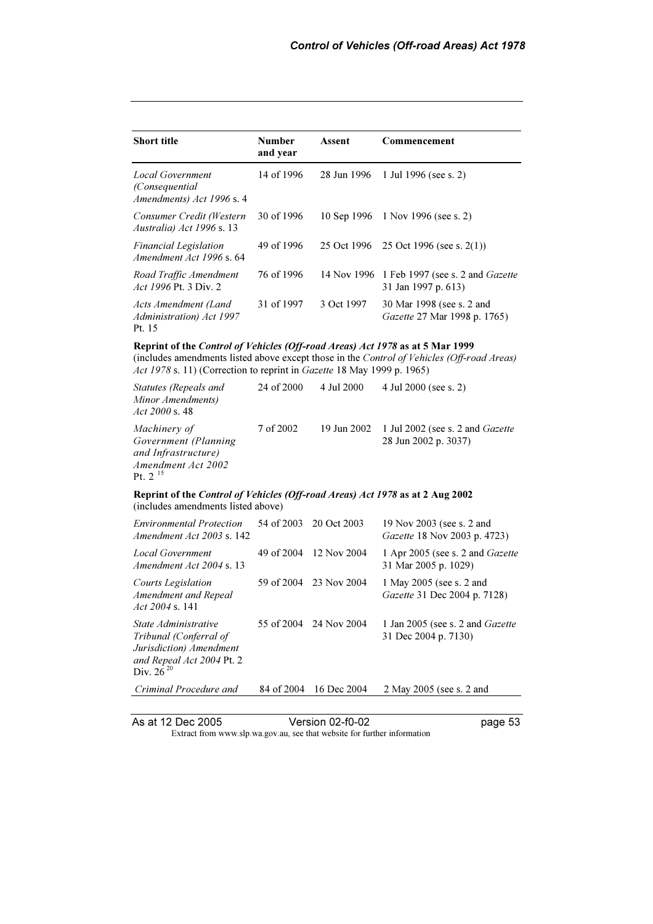| <b>Short title</b>                                                                                                                                      | <b>Number</b><br>and year | <b>Assent</b> | Commencement                                                                               |
|---------------------------------------------------------------------------------------------------------------------------------------------------------|---------------------------|---------------|--------------------------------------------------------------------------------------------|
| Local Government<br>(Consequential<br>Amendments) Act 1996 s. 4                                                                                         | 14 of 1996                | 28 Jun 1996   | 1 Jul 1996 (see s. 2)                                                                      |
| Consumer Credit (Western<br>Australia) Act 1996 s. 13                                                                                                   | 30 of 1996                | 10 Sep 1996   | 1 Nov 1996 (see s. 2)                                                                      |
| <b>Financial Legislation</b><br>Amendment Act 1996 s. 64                                                                                                | 49 of 1996                | 25 Oct 1996   | 25 Oct 1996 (see s. $2(1)$ )                                                               |
| Road Traffic Amendment<br><i>Act 1996</i> Pt. 3 Div. 2                                                                                                  | 76 of 1996                | 14 Nov 1996   | 1 Feb 1997 (see s. 2 and Gazette<br>31 Jan 1997 p. 613)                                    |
| Acts Amendment (Land<br>Administration) Act 1997<br>Pt. 15                                                                                              | 31 of 1997                | 3 Oct 1997    | 30 Mar 1998 (see s. 2 and<br>Gazette 27 Mar 1998 p. 1765)                                  |
| Reprint of the Control of Vehicles (Off-road Areas) Act 1978 as at 5 Mar 1999<br>Act 1978 s. 11) (Correction to reprint in Gazette 18 May 1999 p. 1965) |                           |               | (includes amendments listed above except those in the Control of Vehicles (Off-road Areas) |
| Statutes (Repeals and<br>Minor Amendments)<br>Act 2000 s. 48                                                                                            | 24 of 2000                | 4 Jul 2000    | 4 Jul 2000 (see s. 2)                                                                      |
| Machinery of<br>Government (Planning<br>and Infrastructure)<br>Amendment Act 2002<br>Pt. $2^{15}$                                                       | 7 of 2002                 | 19 Jun 2002   | 1 Jul 2002 (see s. 2 and Gazette<br>28 Jun 2002 p. 3037)                                   |
| Reprint of the Control of Vehicles (Off-road Areas) Act 1978 as at 2 Aug 2002<br>(includes amendments listed above)                                     |                           |               |                                                                                            |
| <b>Environmental Protection</b><br>Amendment Act 2003 s. 142                                                                                            | 54 of 2003                | 20 Oct 2003   | 19 Nov 2003 (see s. 2 and<br>Gazette 18 Nov 2003 p. 4723)                                  |
| <b>Local Government</b><br>Amendment Act 2004 s. 13                                                                                                     | 49 of 2004                | 12 Nov 2004   | 1 Apr 2005 (see s. 2 and Gazette<br>31 Mar 2005 p. 1029)                                   |
| <b>Courts Legislation</b><br>Amendment and Repeal<br>Act 2004 s. 141                                                                                    | 59 of 2004                | 23 Nov 2004   | 1 May 2005 (see s. 2 and<br>Gazette 31 Dec 2004 p. 7128)                                   |
| State Administrative<br>Tribunal (Conferral of<br>Jurisdiction) Amendment<br>and Repeal Act 2004 Pt. 2<br>Div. $26^{20}$                                | 55 of 2004                | 24 Nov 2004   | 1 Jan 2005 (see s. 2 and Gazette<br>31 Dec 2004 p. 7130)                                   |

Criminal Procedure and 84 of 2004 16 Dec 2004 2 May 2005 (see s. 2 and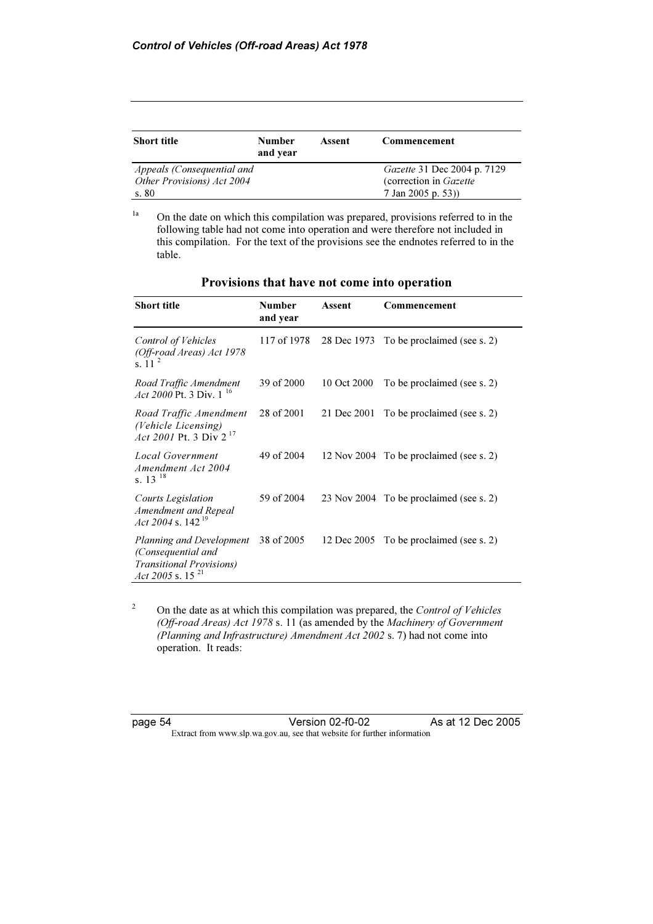| <b>Short title</b>         | <b>Number</b><br>and year | Assent | Commencement                |
|----------------------------|---------------------------|--------|-----------------------------|
| Appeals (Consequential and |                           |        | Gazette 31 Dec 2004 p. 7129 |
| Other Provisions) Act 2004 |                           |        | (correction in Gazette)     |
| s.80                       |                           |        | 7 Jan 2005 p. 53))          |

<sup>1a</sup> On the date on which this compilation was prepared, provisions referred to in the following table had not come into operation and were therefore not included in this compilation. For the text of the provisions see the endnotes referred to in the table.

| Short title                                                                                                        | Number<br>and year | Assent      | Commencement                            |
|--------------------------------------------------------------------------------------------------------------------|--------------------|-------------|-----------------------------------------|
| Control of Vehicles<br>(Off-road Areas) Act 1978<br>s. 11                                                          | 117 of 1978        | 28 Dec 1973 | To be proclaimed (see s. 2)             |
| Road Traffic Amendment<br>Act 2000 Pt. 3 Div. $1^{16}$                                                             | 39 of 2000         | 10 Oct 2000 | To be proclaimed (see s. 2)             |
| Road Traffic Amendment<br>(Vehicle Licensing)<br>Act 2001 Pt. 3 Div $2^{17}$                                       | 28 of 2001         | 21 Dec 2001 | To be proclaimed (see s. 2)             |
| Local Government<br>Amendment Act 2004<br>s. $13^{18}$                                                             | 49 of 2004         |             | 12 Nov 2004 To be proclaimed (see s. 2) |
| <b>Courts Legislation</b><br>Amendment and Repeal<br>Act 2004 s. 142 <sup>19</sup>                                 | 59 of 2004         |             | 23 Nov 2004 To be proclaimed (see s. 2) |
| Planning and Development<br>(Consequential and<br><i>Transitional Provisions</i> )<br>Act 2005 s. 15 <sup>21</sup> | 38 of 2005         | 12 Dec 2005 | To be proclaimed (see s. 2)             |

| Provisions that have not come into operation |  |  |  |
|----------------------------------------------|--|--|--|
|                                              |  |  |  |

2 On the date as at which this compilation was prepared, the Control of Vehicles (Off-road Areas) Act 1978 s. 11 (as amended by the Machinery of Government (Planning and Infrastructure) Amendment Act 2002 s. 7) had not come into operation. It reads: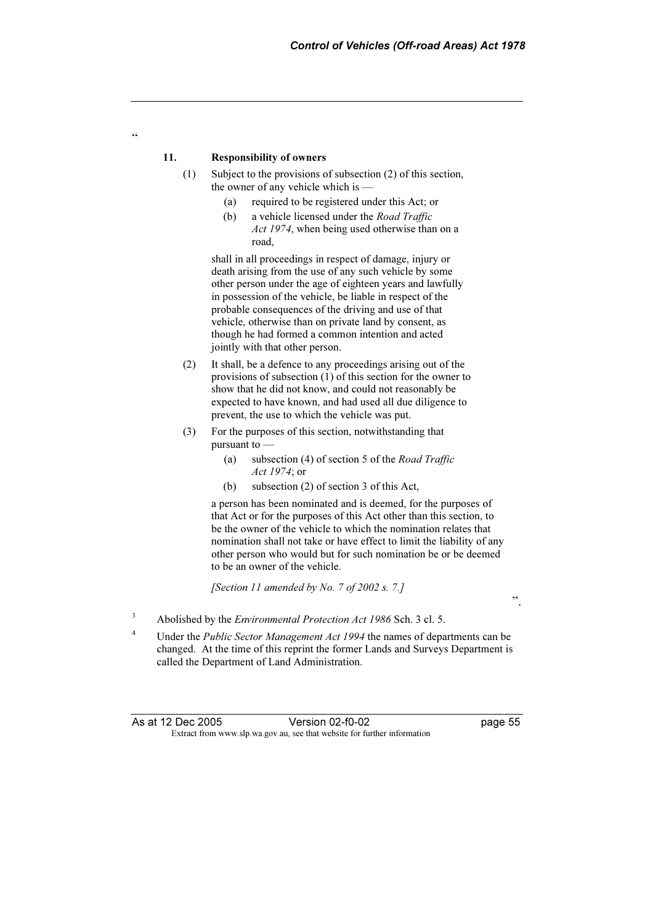#### 11. Responsibility of owners

 $\epsilon$ 

- (1) Subject to the provisions of subsection (2) of this section, the owner of any vehicle which is —
	- (a) required to be registered under this Act; or
	- (b) a vehicle licensed under the Road Traffic Act 1974, when being used otherwise than on a road,

 shall in all proceedings in respect of damage, injury or death arising from the use of any such vehicle by some other person under the age of eighteen years and lawfully in possession of the vehicle, be liable in respect of the probable consequences of the driving and use of that vehicle, otherwise than on private land by consent, as though he had formed a common intention and acted jointly with that other person.

- (2) It shall, be a defence to any proceedings arising out of the provisions of subsection (1) of this section for the owner to show that he did not know, and could not reasonably be expected to have known, and had used all due diligence to prevent, the use to which the vehicle was put.
- (3) For the purposes of this section, notwithstanding that pursuant to —
	- (a) subsection (4) of section 5 of the Road Traffic Act 1974; or
	- (b) subsection (2) of section 3 of this Act,

 a person has been nominated and is deemed, for the purposes of that Act or for the purposes of this Act other than this section, to be the owner of the vehicle to which the nomination relates that nomination shall not take or have effect to limit the liability of any other person who would but for such nomination be or be deemed to be an owner of the vehicle.

[Section 11 amended by No. 7 of 2002 s. 7.]

".

- 3 Abolished by the Environmental Protection Act 1986 Sch. 3 cl. 5.
- <sup>4</sup> Under the *Public Sector Management Act 1994* the names of departments can be changed. At the time of this reprint the former Lands and Surveys Department is called the Department of Land Administration.

As at 12 Dec 2005 Extract from www.slp.wa.gov.au, see that website for further information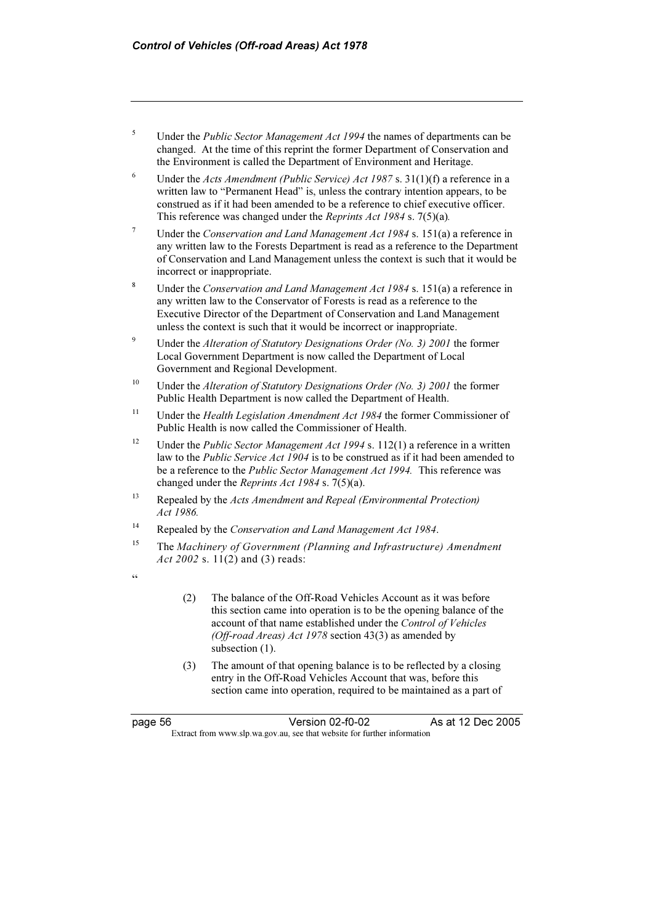- $5$  Under the *Public Sector Management Act 1994* the names of departments can be changed. At the time of this reprint the former Department of Conservation and the Environment is called the Department of Environment and Heritage.
- <sup>6</sup> Under the *Acts Amendment (Public Service) Act 1987* s. 31(1)(f) a reference in a written law to "Permanent Head" is, unless the contrary intention appears, to be construed as if it had been amended to be a reference to chief executive officer. This reference was changed under the Reprints Act 1984 s. 7(5)(a).
- <sup>7</sup> Under the Conservation and Land Management Act 1984 s. 151(a) a reference in any written law to the Forests Department is read as a reference to the Department of Conservation and Land Management unless the context is such that it would be incorrect or inappropriate.
- <sup>8</sup> Under the *Conservation and Land Management Act 1984* s. 151(a) a reference in any written law to the Conservator of Forests is read as a reference to the Executive Director of the Department of Conservation and Land Management unless the context is such that it would be incorrect or inappropriate.
- <sup>9</sup> Under the *Alteration of Statutory Designations Order (No. 3) 2001* the former Local Government Department is now called the Department of Local Government and Regional Development.
- <sup>10</sup> Under the *Alteration of Statutory Designations Order (No. 3) 2001* the former Public Health Department is now called the Department of Health.
- <sup>11</sup> Under the *Health Legislation Amendment Act 1984* the former Commissioner of Public Health is now called the Commissioner of Health.
- <sup>12</sup> Under the *Public Sector Management Act 1994* s. 112(1) a reference in a written law to the *Public Service Act 1904* is to be construed as if it had been amended to be a reference to the *Public Sector Management Act 1994*. This reference was changed under the Reprints Act 1984 s. 7(5)(a).
- <sup>13</sup> Repealed by the *Acts Amendment* and *Repeal (Environmental Protection)* Act 1986.
- $14$  Repealed by the Conservation and Land Management Act 1984.
- <sup>15</sup> The Machinery of Government (Planning and Infrastructure) Amendment Act 2002 s. 11(2) and (3) reads:
- $\epsilon$
- (2) The balance of the Off-Road Vehicles Account as it was before this section came into operation is to be the opening balance of the account of that name established under the Control of Vehicles (Off-road Areas) Act 1978 section 43(3) as amended by subsection (1).
- (3) The amount of that opening balance is to be reflected by a closing entry in the Off-Road Vehicles Account that was, before this section came into operation, required to be maintained as a part of

page 56 Version 02-f0-02<br>Extract from www.slp.wa.gov.au, see that website for further information As at 12 Dec 2005 Extract from www.slp.wa.gov.au, see that website for further information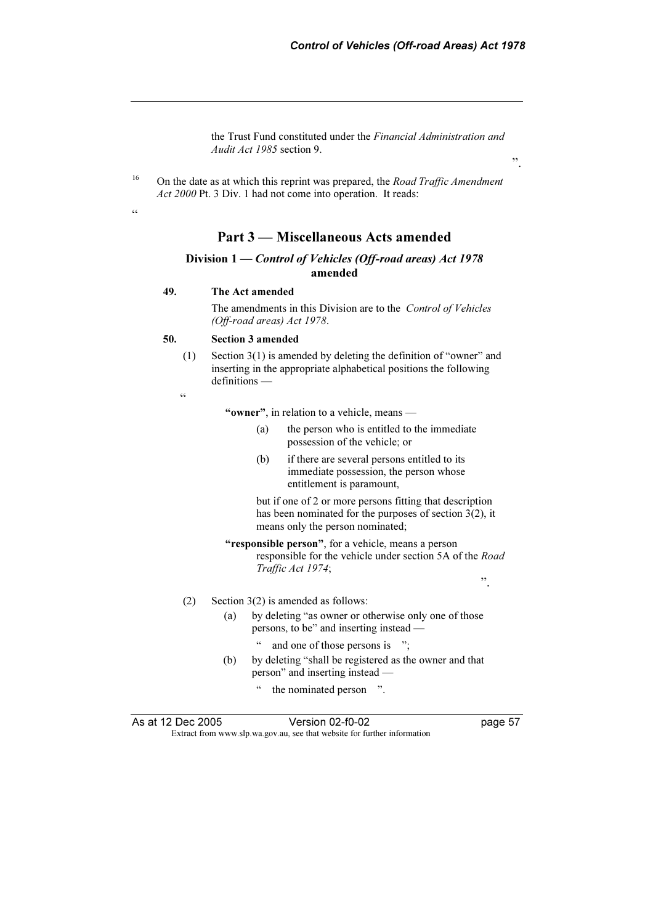the Trust Fund constituted under the Financial Administration and Audit Act 1985 section 9.

<sup>16</sup> On the date as at which this reprint was prepared, the *Road Traffic Amendment* Act 2000 Pt. 3 Div. 1 had not come into operation. It reads:

 $\epsilon$ 

# Part 3 — Miscellaneous Acts amended

#### Division 1 — Control of Vehicles (Off-road areas) Act 1978 amended

#### 49. The Act amended

 The amendments in this Division are to the Control of Vehicles (Off-road areas) Act 1978.

#### 50. Section 3 amended

 (1) Section 3(1) is amended by deleting the definition of "owner" and inserting in the appropriate alphabetical positions the following definitions —

.<br>cc

"owner", in relation to a vehicle, means —

- (a) the person who is entitled to the immediate possession of the vehicle; or
- (b) if there are several persons entitled to its immediate possession, the person whose entitlement is paramount,

 but if one of 2 or more persons fitting that description has been nominated for the purposes of section 3(2), it means only the person nominated;

"responsible person", for a vehicle, means a person responsible for the vehicle under section 5A of the Road Traffic Act 1974;

".

#### (2) Section 3(2) is amended as follows:

- (a) by deleting "as owner or otherwise only one of those persons, to be" and inserting instead
	- and one of those persons is ";
- (b) by deleting "shall be registered as the owner and that person" and inserting instead —
	- " the nominated person ".

As at 12 Dec 2005

Extract from www.slp.wa.gov.au, see that website for further information

".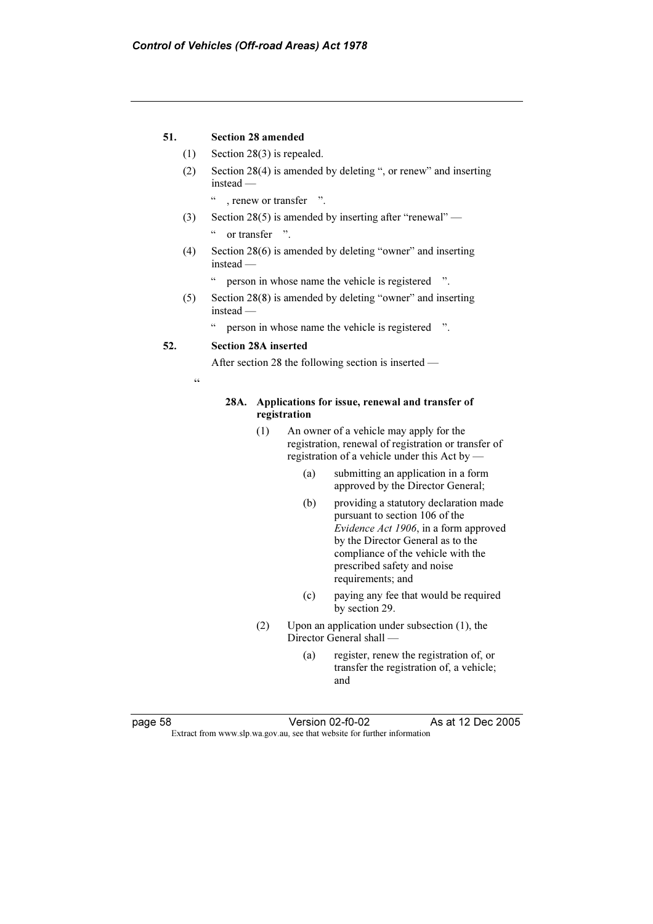#### 51. Section 28 amended

- (1) Section 28(3) is repealed.
- (2) Section 28(4) is amended by deleting ", or renew" and inserting instead
	- " , renew or transfer ".
- (3) Section 28(5) is amended by inserting after "renewal" " or transfer ".
- (4) Section 28(6) is amended by deleting "owner" and inserting instead —
	- " person in whose name the vehicle is registered ".
- (5) Section 28(8) is amended by deleting "owner" and inserting instead —
	- " person in whose name the vehicle is registered ".

#### 52. Section 28A inserted

After section 28 the following section is inserted —

"

#### 28A. Applications for issue, renewal and transfer of registration

- (1) An owner of a vehicle may apply for the registration, renewal of registration or transfer of registration of a vehicle under this Act by —
	- (a) submitting an application in a form approved by the Director General;
	- (b) providing a statutory declaration made pursuant to section 106 of the Evidence Act 1906, in a form approved by the Director General as to the compliance of the vehicle with the prescribed safety and noise requirements; and
	- (c) paying any fee that would be required by section 29.
- (2) Upon an application under subsection (1), the Director General shall —
	- (a) register, renew the registration of, or transfer the registration of, a vehicle; and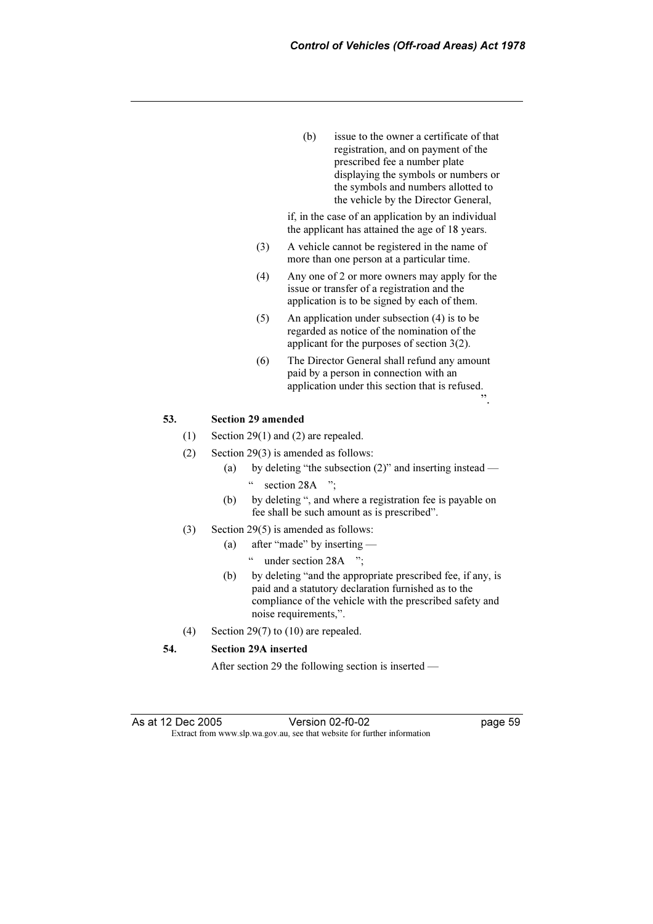(b) issue to the owner a certificate of that registration, and on payment of the prescribed fee a number plate displaying the symbols or numbers or the symbols and numbers allotted to the vehicle by the Director General,

 if, in the case of an application by an individual the applicant has attained the age of 18 years.

- (3) A vehicle cannot be registered in the name of more than one person at a particular time.
- (4) Any one of 2 or more owners may apply for the issue or transfer of a registration and the application is to be signed by each of them.
- (5) An application under subsection (4) is to be regarded as notice of the nomination of the applicant for the purposes of section 3(2).
- (6) The Director General shall refund any amount paid by a person in connection with an application under this section that is refused.

#### 53. Section 29 amended

- (1) Section 29(1) and (2) are repealed.
- (2) Section 29(3) is amended as follows:
	- (a) by deleting "the subsection (2)" and inserting instead " section 28A ";
	- (b) by deleting ", and where a registration fee is payable on fee shall be such amount as is prescribed".
- (3) Section 29(5) is amended as follows:
	- (a) after "made" by inserting
		- " under section 28A ";
	- (b) by deleting "and the appropriate prescribed fee, if any, is paid and a statutory declaration furnished as to the compliance of the vehicle with the prescribed safety and noise requirements,".
- (4) Section 29(7) to (10) are repealed.

#### 54. Section 29A inserted

After section 29 the following section is inserted —

 $\ddot{\hspace{1mm}1}$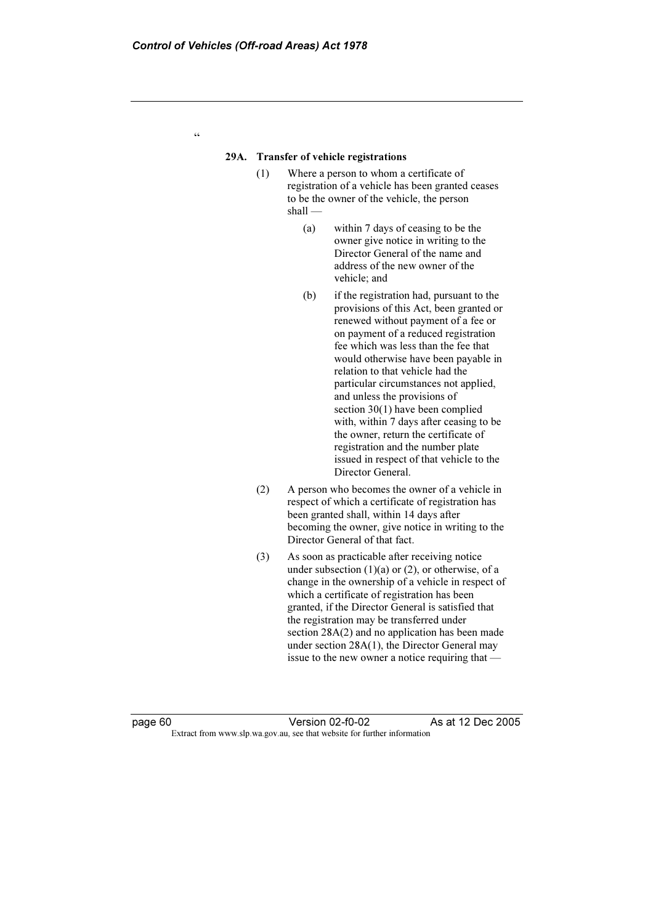#### 29A. Transfer of vehicle registrations

- (1) Where a person to whom a certificate of registration of a vehicle has been granted ceases to be the owner of the vehicle, the person shall —
	- (a) within 7 days of ceasing to be the owner give notice in writing to the Director General of the name and address of the new owner of the vehicle; and
	- (b) if the registration had, pursuant to the provisions of this Act, been granted or renewed without payment of a fee or on payment of a reduced registration fee which was less than the fee that would otherwise have been payable in relation to that vehicle had the particular circumstances not applied, and unless the provisions of section 30(1) have been complied with, within 7 days after ceasing to be the owner, return the certificate of registration and the number plate issued in respect of that vehicle to the Director General.
- (2) A person who becomes the owner of a vehicle in respect of which a certificate of registration has been granted shall, within 14 days after becoming the owner, give notice in writing to the Director General of that fact.
- (3) As soon as practicable after receiving notice under subsection  $(1)(a)$  or  $(2)$ , or otherwise, of a change in the ownership of a vehicle in respect of which a certificate of registration has been granted, if the Director General is satisfied that the registration may be transferred under section 28A(2) and no application has been made under section 28A(1), the Director General may issue to the new owner a notice requiring that —

Extract from www.slp.wa.gov.au, see that website for further information

As at 12 Dec 2005

"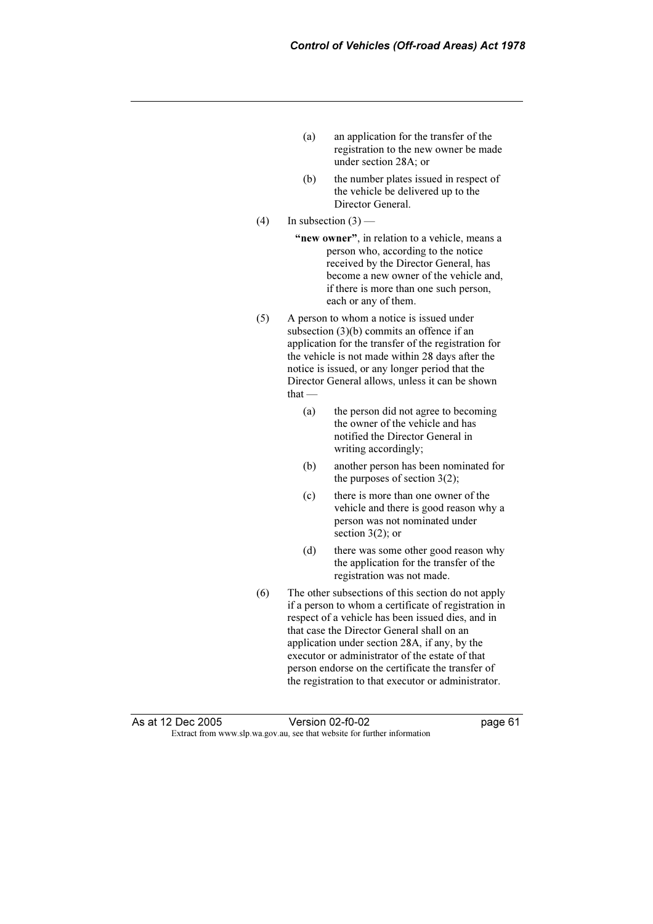- (a) an application for the transfer of the registration to the new owner be made under section 28A; or
- (b) the number plates issued in respect of the vehicle be delivered up to the Director General.
- (4) In subsection  $(3)$ 
	- "new owner", in relation to a vehicle, means a person who, according to the notice received by the Director General, has become a new owner of the vehicle and, if there is more than one such person, each or any of them.
- (5) A person to whom a notice is issued under subsection (3)(b) commits an offence if an application for the transfer of the registration for the vehicle is not made within 28 days after the notice is issued, or any longer period that the Director General allows, unless it can be shown that —
	- (a) the person did not agree to becoming the owner of the vehicle and has notified the Director General in writing accordingly;
	- (b) another person has been nominated for the purposes of section  $3(2)$ ;
	- (c) there is more than one owner of the vehicle and there is good reason why a person was not nominated under section  $3(2)$ ; or
	- (d) there was some other good reason why the application for the transfer of the registration was not made.
- (6) The other subsections of this section do not apply if a person to whom a certificate of registration in respect of a vehicle has been issued dies, and in that case the Director General shall on an application under section 28A, if any, by the executor or administrator of the estate of that person endorse on the certificate the transfer of the registration to that executor or administrator.

As at 12 Dec 2005 Extract from www.slp.wa.gov.au, see that website for further information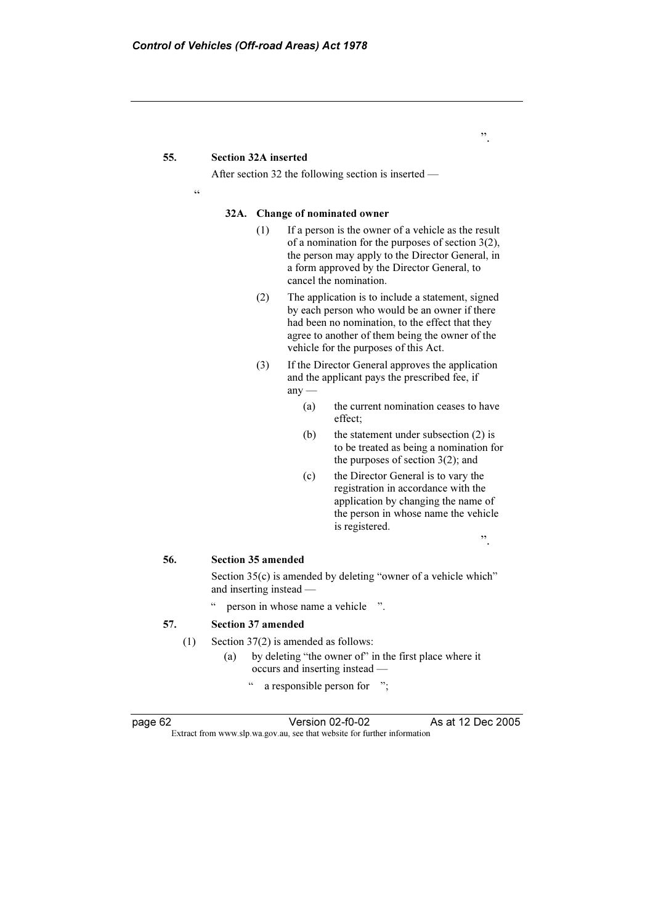#### 55. Section 32A inserted

After section 32 the following section is inserted —

.<br>44

#### 32A. Change of nominated owner

- (1) If a person is the owner of a vehicle as the result of a nomination for the purposes of section 3(2), the person may apply to the Director General, in a form approved by the Director General, to cancel the nomination.
- (2) The application is to include a statement, signed by each person who would be an owner if there had been no nomination, to the effect that they agree to another of them being the owner of the vehicle for the purposes of this Act.
- (3) If the Director General approves the application and the applicant pays the prescribed fee, if  $any -$ 
	- (a) the current nomination ceases to have effect;
	- (b) the statement under subsection (2) is to be treated as being a nomination for the purposes of section  $3(2)$ ; and
	- (c) the Director General is to vary the registration in accordance with the application by changing the name of the person in whose name the vehicle is registered.

".

".

#### 56. Section 35 amended

 Section 35(c) is amended by deleting "owner of a vehicle which" and inserting instead —

" person in whose name a vehicle ".

#### 57. Section 37 amended

- (1) Section 37(2) is amended as follows:
	- (a) by deleting "the owner of" in the first place where it occurs and inserting instead —
		- " a responsible person for ";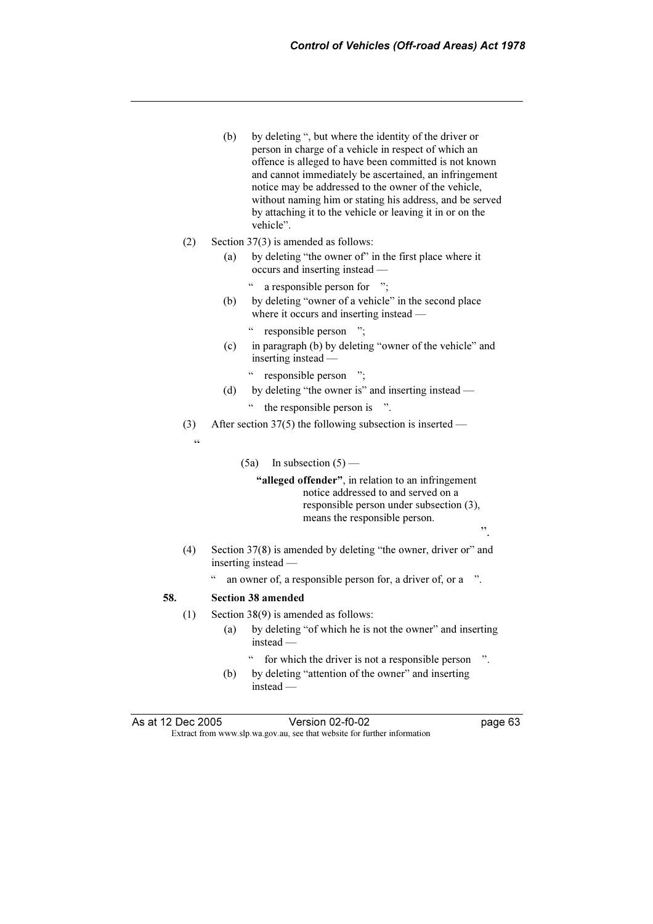- (b) by deleting ", but where the identity of the driver or person in charge of a vehicle in respect of which an offence is alleged to have been committed is not known and cannot immediately be ascertained, an infringement notice may be addressed to the owner of the vehicle, without naming him or stating his address, and be served by attaching it to the vehicle or leaving it in or on the vehicle".
- (2) Section 37(3) is amended as follows:
	- (a) by deleting "the owner of" in the first place where it occurs and inserting instead —
		- " a responsible person for ";
	- (b) by deleting "owner of a vehicle" in the second place where it occurs and inserting instead —
		- " responsible person ";
	- (c) in paragraph (b) by deleting "owner of the vehicle" and inserting instead —
		- " responsible person ";
	- (d) by deleting "the owner is" and inserting instead " the responsible person is ".
- (3) After section 37(5) the following subsection is inserted —

 $\epsilon$ 

(5a) In subsection  $(5)$  —

"alleged offender", in relation to an infringement notice addressed to and served on a responsible person under subsection (3), means the responsible person.

- (4) Section 37(8) is amended by deleting "the owner, driver or" and inserting instead
	- an owner of, a responsible person for, a driver of, or a ".

#### 58. Section 38 amended

- (1) Section 38(9) is amended as follows:
	- (a) by deleting "of which he is not the owner" and inserting instead
		- for which the driver is not a responsible person ".
	- (b) by deleting "attention of the owner" and inserting instead —

As at 12 Dec 2005 Extract from www.slp.wa.gov.au, see that website for further information

 $\ddot{\hspace{1mm}1}$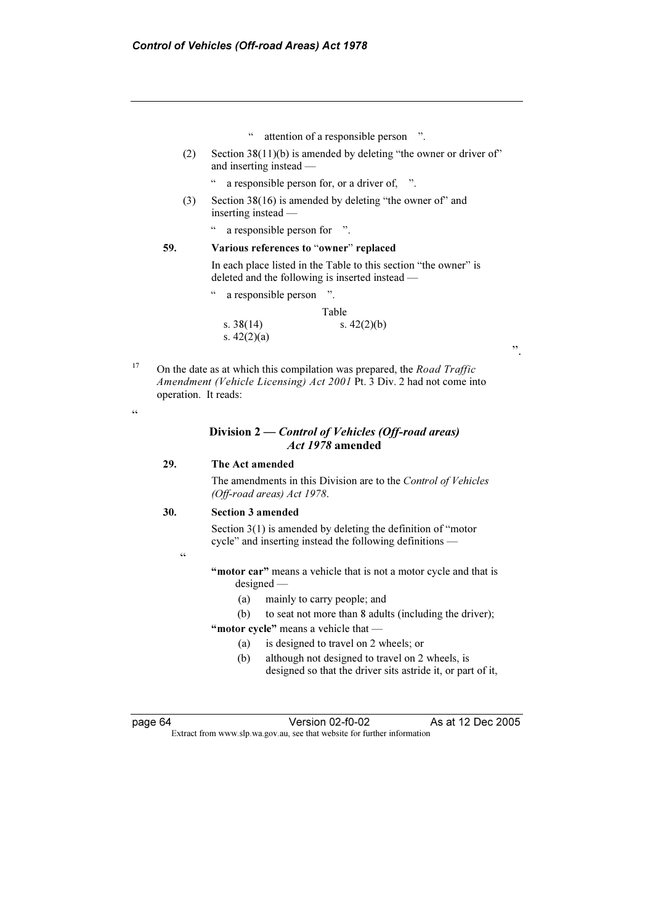- " attention of a responsible person ".
- (2) Section 38(11)(b) is amended by deleting "the owner or driver of" and inserting instead —
	- " a responsible person for, or a driver of, ".
- (3) Section 38(16) is amended by deleting "the owner of" and inserting instead —
	- " a responsible person for ".

#### 59. Various references to "owner" replaced

 In each place listed in the Table to this section "the owner" is deleted and the following is inserted instead —

" a responsible person ".

|               | Table         |
|---------------|---------------|
| s. $38(14)$   | s. $42(2)(b)$ |
| s. $42(2)(a)$ |               |

<sup>17</sup> On the date as at which this compilation was prepared, the *Road Traffic* Amendment (Vehicle Licensing) Act 2001 Pt. 3 Div. 2 had not come into operation. It reads:

#### $\epsilon$

#### Division 2 — Control of Vehicles (Off-road areas) Act 1978 amended

#### 29. The Act amended

 The amendments in this Division are to the Control of Vehicles (Off-road areas) Act 1978.

#### 30. Section 3 amended

 $\epsilon$ 

 Section 3(1) is amended by deleting the definition of "motor cycle" and inserting instead the following definitions —

"motor car" means a vehicle that is not a motor cycle and that is designed —

(a) mainly to carry people; and

(b) to seat not more than 8 adults (including the driver);

"motor cycle" means a vehicle that -

- (a) is designed to travel on 2 wheels; or
- (b) although not designed to travel on 2 wheels, is designed so that the driver sits astride it, or part of it,

As at 12 Dec 2005

".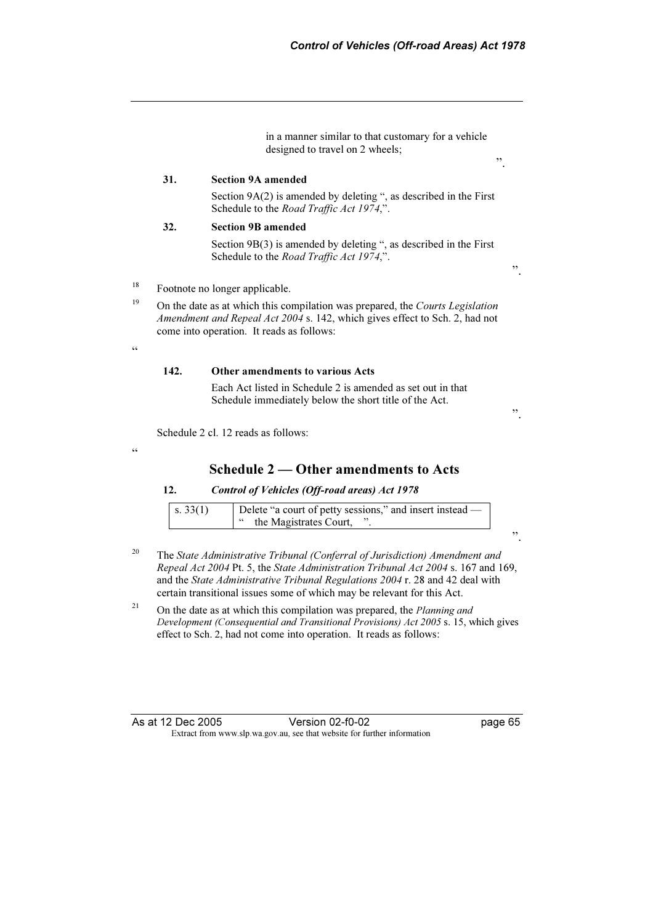in a manner similar to that customary for a vehicle designed to travel on 2 wheels;

#### 31. Section 9A amended

 Section 9A(2) is amended by deleting ", as described in the First Schedule to the Road Traffic Act 1974,".

#### 32. Section 9B amended

 Section 9B(3) is amended by deleting ", as described in the First Schedule to the Road Traffic Act 1974,".

".

".

<sup>18</sup> Footnote no longer applicable.

<sup>19</sup> On the date as at which this compilation was prepared, the *Courts Legislation* Amendment and Repeal Act 2004 s. 142, which gives effect to Sch. 2, had not come into operation. It reads as follows:

 $\zeta$   $\zeta$ 

#### 142. Other amendments to various Acts

 Each Act listed in Schedule 2 is amended as set out in that Schedule immediately below the short title of the Act.

".

Schedule 2 cl. 12 reads as follows:

#### .<br>"

## Schedule 2 — Other amendments to Acts

#### 12. Control of Vehicles (Off-road areas) Act 1978

| $\vert$ s. 33(1) | Delete "a court of petty sessions," and insert instead — |
|------------------|----------------------------------------------------------|
|                  | I " the Magistrates Court,                               |

".

- <sup>20</sup> The State Administrative Tribunal (Conferral of Jurisdiction) Amendment and Repeal Act 2004 Pt. 5, the State Administration Tribunal Act 2004 s. 167 and 169, and the State Administrative Tribunal Regulations 2004 r. 28 and 42 deal with certain transitional issues some of which may be relevant for this Act.
- <sup>21</sup> On the date as at which this compilation was prepared, the *Planning and* Development (Consequential and Transitional Provisions) Act 2005 s. 15, which gives effect to Sch. 2, had not come into operation. It reads as follows:

| As at 12 Dec 2005 | Version 02-f0-02                                                         | page 65 |
|-------------------|--------------------------------------------------------------------------|---------|
|                   | Extract from www.slp.wa.gov.au, see that website for further information |         |